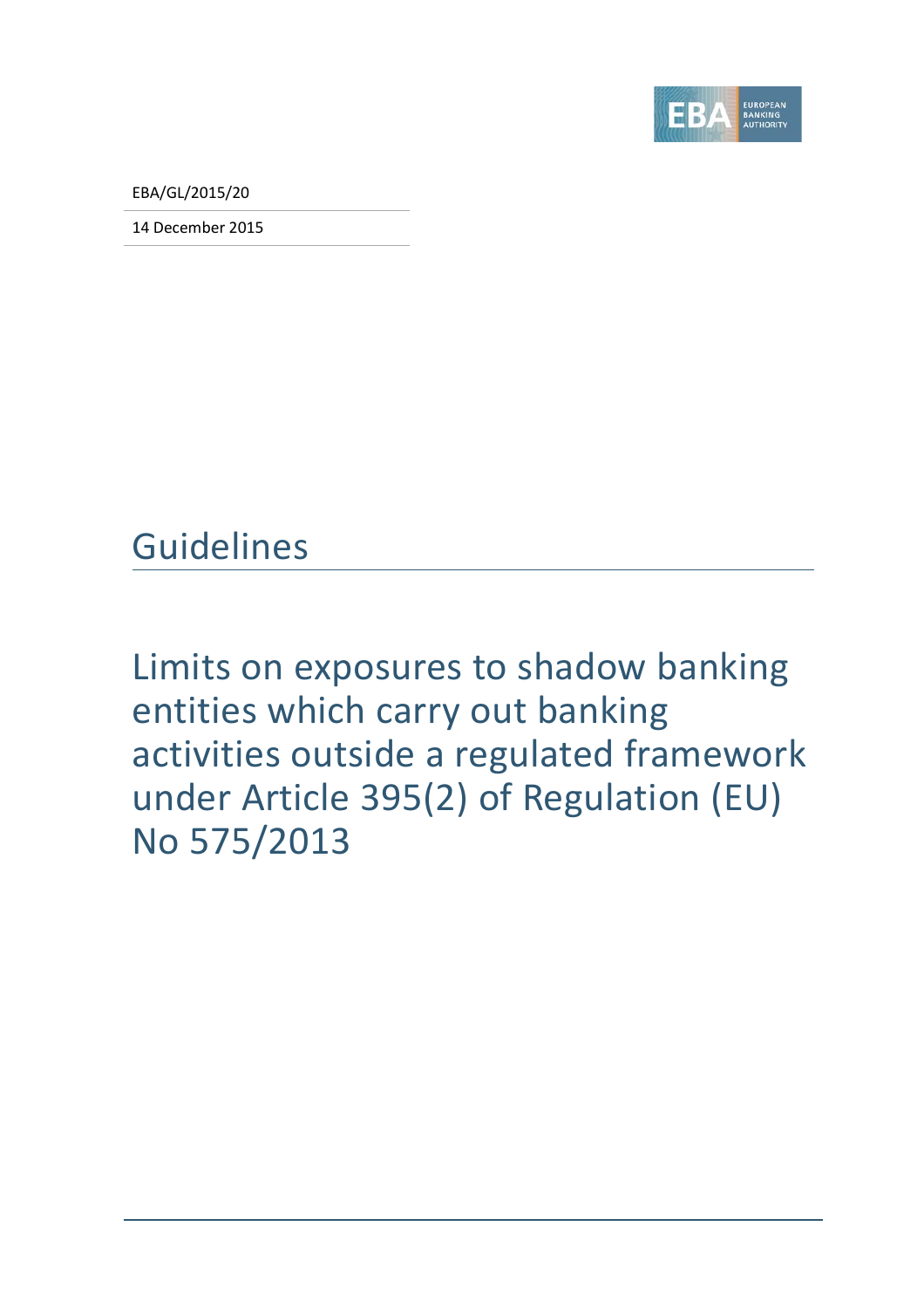

EBA/GL/2015/20

14 December 2015

Guidelines

Limits on exposures to shadow banking entities which carry out banking activities outside a regulated framework under Article 395(2) of Regulation (EU) No 575/2013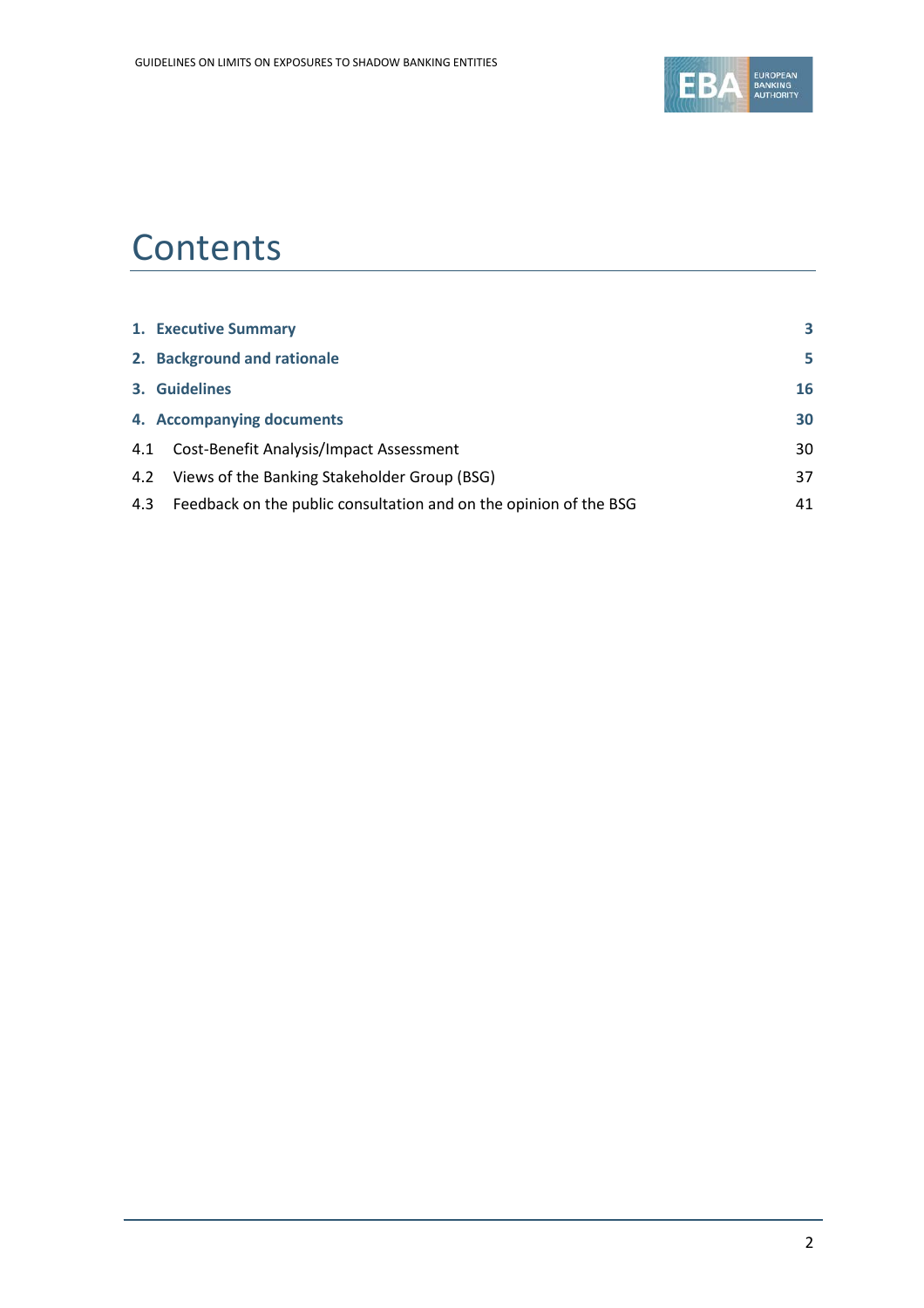

# **Contents**

|     | 1. Executive Summary                                              | 3  |
|-----|-------------------------------------------------------------------|----|
|     | 2. Background and rationale                                       | 5  |
|     | 3. Guidelines                                                     | 16 |
|     | 4. Accompanying documents                                         | 30 |
|     | 4.1 Cost-Benefit Analysis/Impact Assessment                       | 30 |
|     | 4.2 Views of the Banking Stakeholder Group (BSG)                  | 37 |
| 4.3 | Feedback on the public consultation and on the opinion of the BSG | 41 |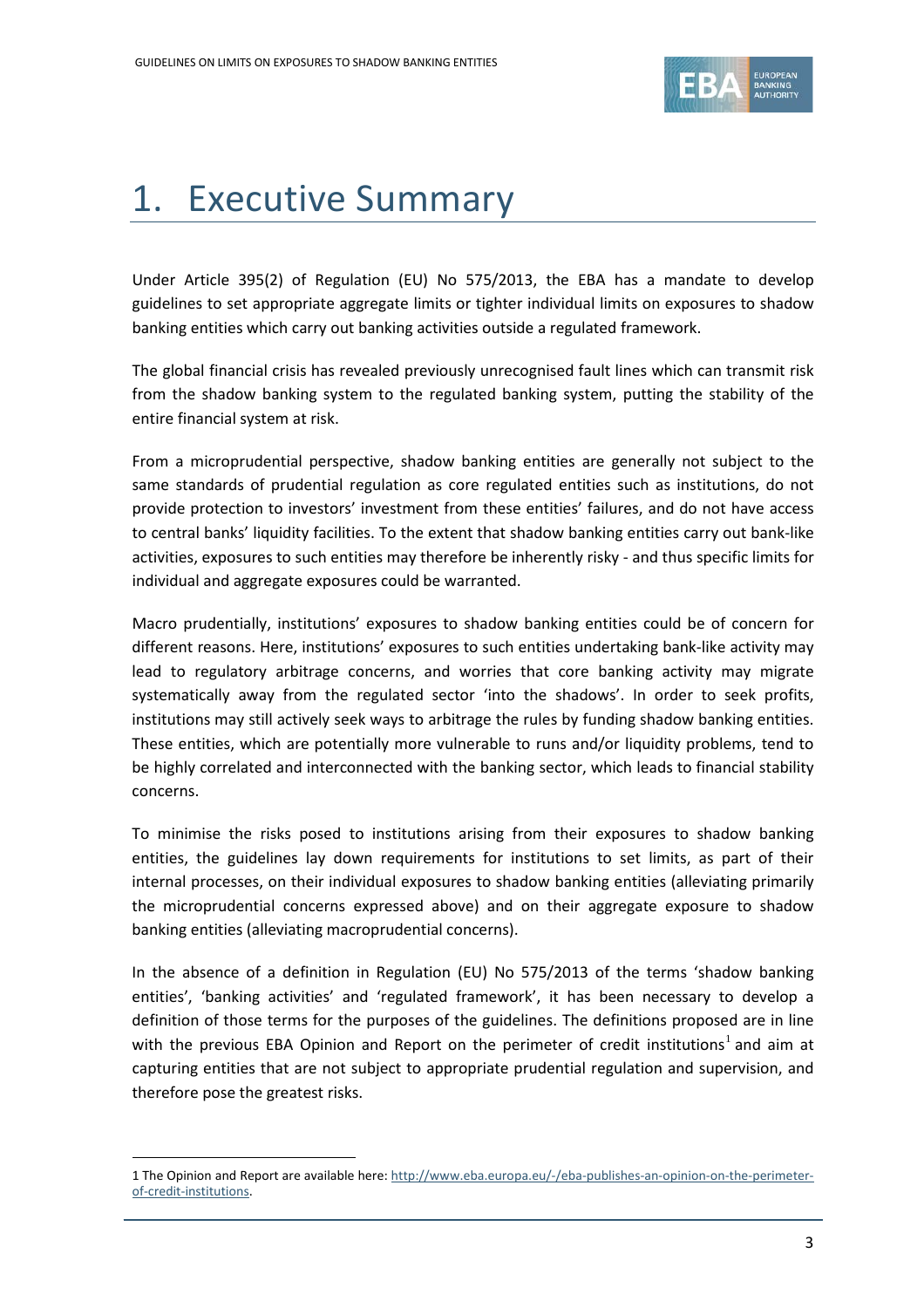

# <span id="page-2-0"></span>1. Executive Summary

Under Article 395(2) of Regulation (EU) No 575/2013, the EBA has a mandate to develop guidelines to set appropriate aggregate limits or tighter individual limits on exposures to shadow banking entities which carry out banking activities outside a regulated framework.

The global financial crisis has revealed previously unrecognised fault lines which can transmit risk from the shadow banking system to the regulated banking system, putting the stability of the entire financial system at risk.

From a microprudential perspective, shadow banking entities are generally not subject to the same standards of prudential regulation as core regulated entities such as institutions, do not provide protection to investors' investment from these entities' failures, and do not have access to central banks' liquidity facilities. To the extent that shadow banking entities carry out bank-like activities, exposures to such entities may therefore be inherently risky - and thus specific limits for individual and aggregate exposures could be warranted.

Macro prudentially, institutions' exposures to shadow banking entities could be of concern for different reasons. Here, institutions' exposures to such entities undertaking bank-like activity may lead to regulatory arbitrage concerns, and worries that core banking activity may migrate systematically away from the regulated sector 'into the shadows'. In order to seek profits, institutions may still actively seek ways to arbitrage the rules by funding shadow banking entities. These entities, which are potentially more vulnerable to runs and/or liquidity problems, tend to be highly correlated and interconnected with the banking sector, which leads to financial stability concerns.

To minimise the risks posed to institutions arising from their exposures to shadow banking entities, the guidelines lay down requirements for institutions to set limits, as part of their internal processes, on their individual exposures to shadow banking entities (alleviating primarily the microprudential concerns expressed above) and on their aggregate exposure to shadow banking entities (alleviating macroprudential concerns).

In the absence of a definition in Regulation (EU) No 575/2013 of the terms 'shadow banking entities', 'banking activities' and 'regulated framework', it has been necessary to develop a definition of those terms for the purposes of the guidelines. The definitions proposed are in line with the previous EBA Opinion and Report on the perimeter of credit institutions<sup>[1](#page-2-1)</sup> and aim at capturing entities that are not subject to appropriate prudential regulation and supervision, and therefore pose the greatest risks.

<span id="page-2-1"></span><sup>1</sup> The Opinion and Report are available here: [http://www.eba.europa.eu/-/eba-publishes-an-opinion-on-the-perimeter](http://www.eba.europa.eu/-/eba-publishes-an-opinion-on-the-perimeter-of-credit-institutions)[of-credit-institutions.](http://www.eba.europa.eu/-/eba-publishes-an-opinion-on-the-perimeter-of-credit-institutions)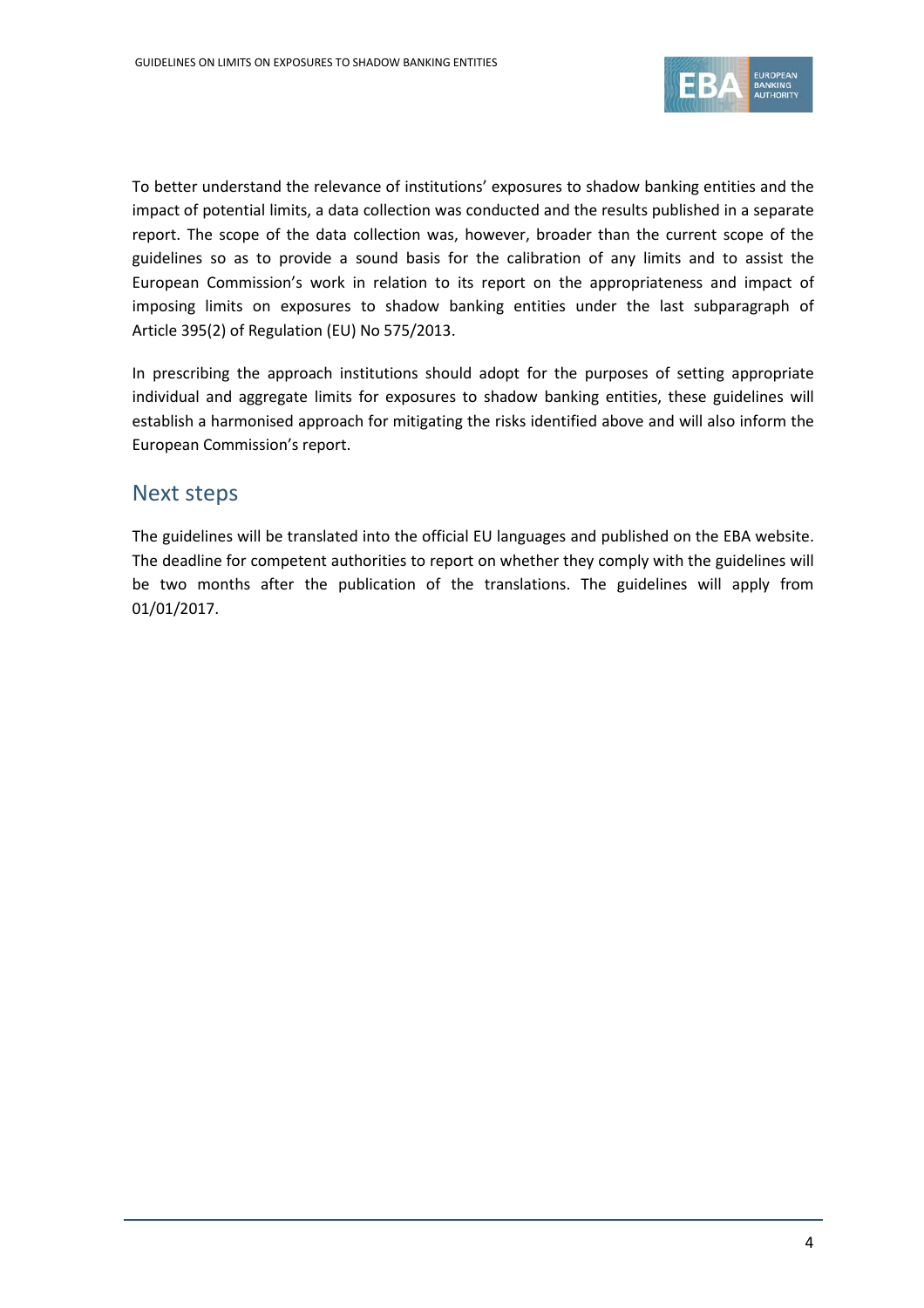

To better understand the relevance of institutions' exposures to shadow banking entities and the impact of potential limits, a data collection was conducted and the results published in a separate report. The scope of the data collection was, however, broader than the current scope of the guidelines so as to provide a sound basis for the calibration of any limits and to assist the European Commission's work in relation to its report on the appropriateness and impact of imposing limits on exposures to shadow banking entities under the last subparagraph of Article 395(2) of Regulation (EU) No 575/2013.

In prescribing the approach institutions should adopt for the purposes of setting appropriate individual and aggregate limits for exposures to shadow banking entities, these guidelines will establish a harmonised approach for mitigating the risks identified above and will also inform the European Commission's report.

### Next steps

The guidelines will be translated into the official EU languages and published on the EBA website. The deadline for competent authorities to report on whether they comply with the guidelines will be two months after the publication of the translations. The guidelines will apply from 01/01/2017.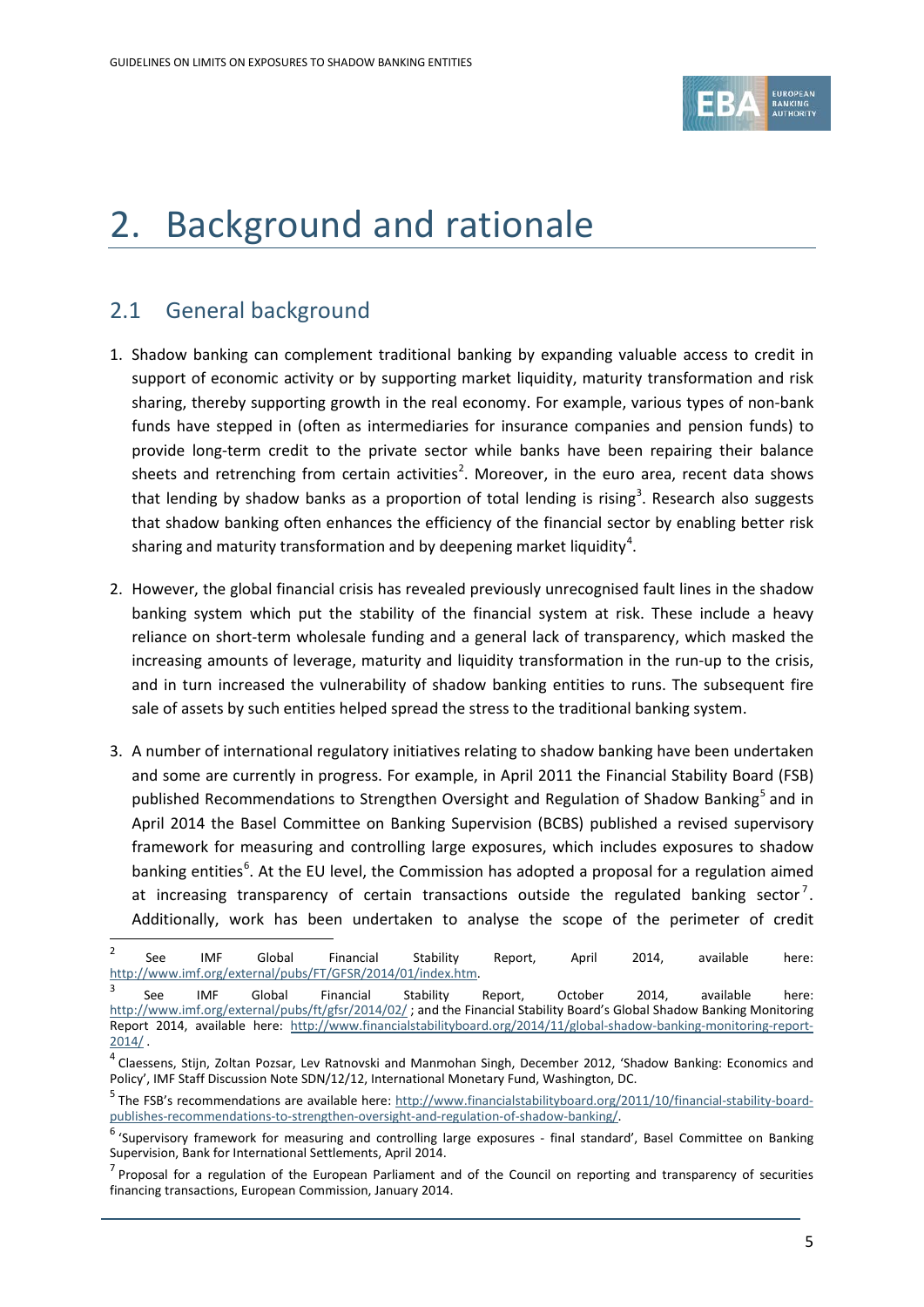

# <span id="page-4-0"></span>2. Background and rationale

## 2.1 General background

- 1. Shadow banking can complement traditional banking by expanding valuable access to credit in support of economic activity or by supporting market liquidity, maturity transformation and risk sharing, thereby supporting growth in the real economy. For example, various types of non-bank funds have stepped in (often as intermediaries for insurance companies and pension funds) to provide long-term credit to the private sector while banks have been repairing their balance sheets and retrenching from certain activities<sup>[2](#page-4-1)</sup>. Moreover, in the euro area, recent data shows that lending by shadow banks as a proportion of total lending is rising<sup>[3](#page-4-2)</sup>. Research also suggests that shadow banking often enhances the efficiency of the financial sector by enabling better risk sharing and maturity transformation and by deepening market liquidity<sup>[4](#page-4-3)</sup>.
- 2. However, the global financial crisis has revealed previously unrecognised fault lines in the shadow banking system which put the stability of the financial system at risk. These include a heavy reliance on short-term wholesale funding and a general lack of transparency, which masked the increasing amounts of leverage, maturity and liquidity transformation in the run-up to the crisis, and in turn increased the vulnerability of shadow banking entities to runs. The subsequent fire sale of assets by such entities helped spread the stress to the traditional banking system.
- 3. A number of international regulatory initiatives relating to shadow banking have been undertaken and some are currently in progress. For example, in April 2011 the Financial Stability Board (FSB) published Recommendations to Strengthen Oversight and Regulation of Shadow Banking<sup>[5](#page-4-4)</sup> and in April 2014 the Basel Committee on Banking Supervision (BCBS) published a revised supervisory framework for measuring and controlling large exposures, which includes exposures to shadow banking entities<sup>[6](#page-4-5)</sup>. At the EU level, the Commission has adopted a proposal for a regulation aimed at increasing transparency of certain transactions outside the regulated banking sector<sup>[7](#page-4-6)</sup>. Additionally, work has been undertaken to analyse the scope of the perimeter of credit

<span id="page-4-1"></span><sup>&</sup>lt;sup>2</sup> See IMF Global Financial Stability Report, April 2014, available here: [http://www.imf.org/external/pubs/FT/GFSR/2014/01/index.htm.](http://www.imf.org/external/pubs/FT/GFSR/2014/01/index.htm)

<span id="page-4-2"></span> $3$  See IMF Global Financial Stability Report, October 2014, available here: <http://www.imf.org/external/pubs/ft/gfsr/2014/02/> ; and the Financial Stability Board's Global Shadow Banking Monitoring Report 2014, available here: [http://www.financialstabilityboard.org/2014/11/global-shadow-banking-monitoring-report-](http://www.financialstabilityboard.org/2014/11/global-shadow-banking-monitoring-report-2014/)[2014/](http://www.financialstabilityboard.org/2014/11/global-shadow-banking-monitoring-report-2014/) .

<span id="page-4-3"></span><sup>&</sup>lt;sup>4</sup> Claessens, Stijn, Zoltan Pozsar, Lev Ratnovski and Manmohan Singh, December 2012, 'Shadow Banking: Economics and Policy', IMF Staff Discussion Note SDN/12/12, International Monetary Fund, Washington, DC.

<span id="page-4-4"></span><sup>5</sup> The FSB's recommendations are available here: [http://www.financialstabilityboard.org/2011/10/financial-stability-board](http://www.financialstabilityboard.org/2011/10/financial-stability-board-publishes-recommendations-to-strengthen-oversight-and-regulation-of-shadow-banking/)[publishes-recommendations-to-strengthen-oversight-and-regulation-of-shadow-banking/.](http://www.financialstabilityboard.org/2011/10/financial-stability-board-publishes-recommendations-to-strengthen-oversight-and-regulation-of-shadow-banking/)

<span id="page-4-5"></span> $6$  'Supervisory framework for measuring and controlling large exposures - final standard', Basel Committee on Banking Supervision, Bank for International Settlements, April 2014.

<span id="page-4-6"></span> $<sup>7</sup>$  Proposal for a regulation of the European Parliament and of the Council on reporting and transparency of securities</sup> financing transactions, European Commission, January 2014.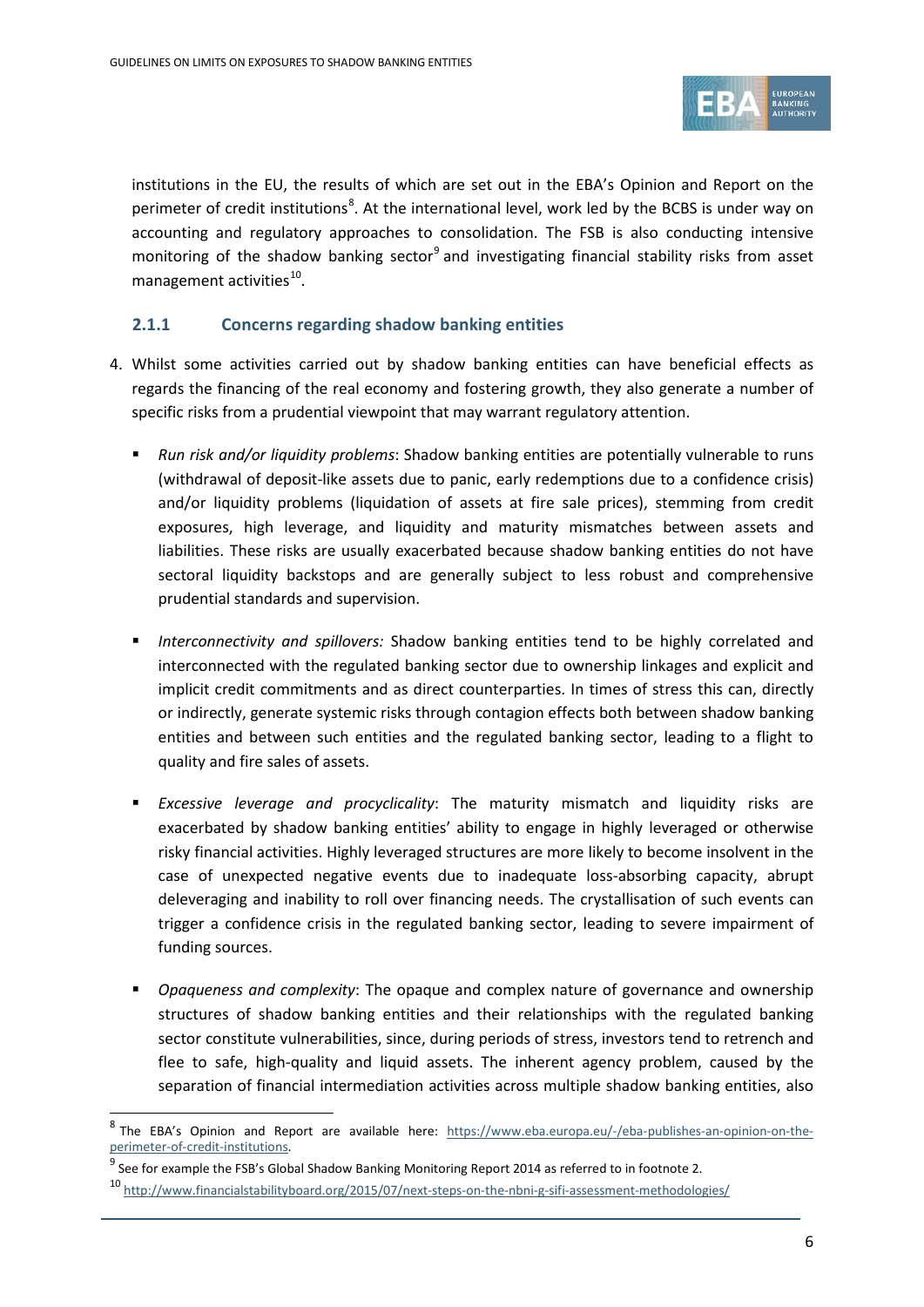

institutions in the EU, the results of which are set out in the EBA's Opinion and Report on the perimeter of credit institutions<sup>[8](#page-5-0)</sup>. At the international level, work led by the BCBS is under way on accounting and regulatory approaches to consolidation. The FSB is also conducting intensive monitoring of the shadow banking sector<sup>[9](#page-5-1)</sup> and investigating financial stability risks from asset management activities $^{10}$  $^{10}$  $^{10}$ .

### **2.1.1 Concerns regarding shadow banking entities**

- 4. Whilst some activities carried out by shadow banking entities can have beneficial effects as regards the financing of the real economy and fostering growth, they also generate a number of specific risks from a prudential viewpoint that may warrant regulatory attention.
	- *Run risk and/or liquidity problems*: Shadow banking entities are potentially vulnerable to runs (withdrawal of deposit-like assets due to panic, early redemptions due to a confidence crisis) and/or liquidity problems (liquidation of assets at fire sale prices), stemming from credit exposures, high leverage, and liquidity and maturity mismatches between assets and liabilities. These risks are usually exacerbated because shadow banking entities do not have sectoral liquidity backstops and are generally subject to less robust and comprehensive prudential standards and supervision.
	- *Interconnectivity and spillovers:* Shadow banking entities tend to be highly correlated and interconnected with the regulated banking sector due to ownership linkages and explicit and implicit credit commitments and as direct counterparties. In times of stress this can, directly or indirectly, generate systemic risks through contagion effects both between shadow banking entities and between such entities and the regulated banking sector, leading to a flight to quality and fire sales of assets.
	- *Excessive leverage and procyclicality*: The maturity mismatch and liquidity risks are exacerbated by shadow banking entities' ability to engage in highly leveraged or otherwise risky financial activities. Highly leveraged structures are more likely to become insolvent in the case of unexpected negative events due to inadequate loss-absorbing capacity, abrupt deleveraging and inability to roll over financing needs. The crystallisation of such events can trigger a confidence crisis in the regulated banking sector, leading to severe impairment of funding sources.
	- *Opaqueness and complexity*: The opaque and complex nature of governance and ownership structures of shadow banking entities and their relationships with the regulated banking sector constitute vulnerabilities, since, during periods of stress, investors tend to retrench and flee to safe, high-quality and liquid assets. The inherent agency problem, caused by the separation of financial intermediation activities across multiple shadow banking entities, also

<span id="page-5-0"></span><sup>&</sup>lt;sup>8</sup> The EBA's Opinion and Report are available here: [https://www.eba.europa.eu/-/eba-publishes-an-opinion-on-the](https://www.eba.europa.eu/-/eba-publishes-an-opinion-on-the-perimeter-of-credit-institutions)[perimeter-of-credit-institutions.](https://www.eba.europa.eu/-/eba-publishes-an-opinion-on-the-perimeter-of-credit-institutions)

<span id="page-5-1"></span> $9$  See for example the FSB's Global Shadow Banking Monitoring Report 2014 as referred to in footnote 2.

<span id="page-5-2"></span><sup>10</sup> <http://www.financialstabilityboard.org/2015/07/next-steps-on-the-nbni-g-sifi-assessment-methodologies/>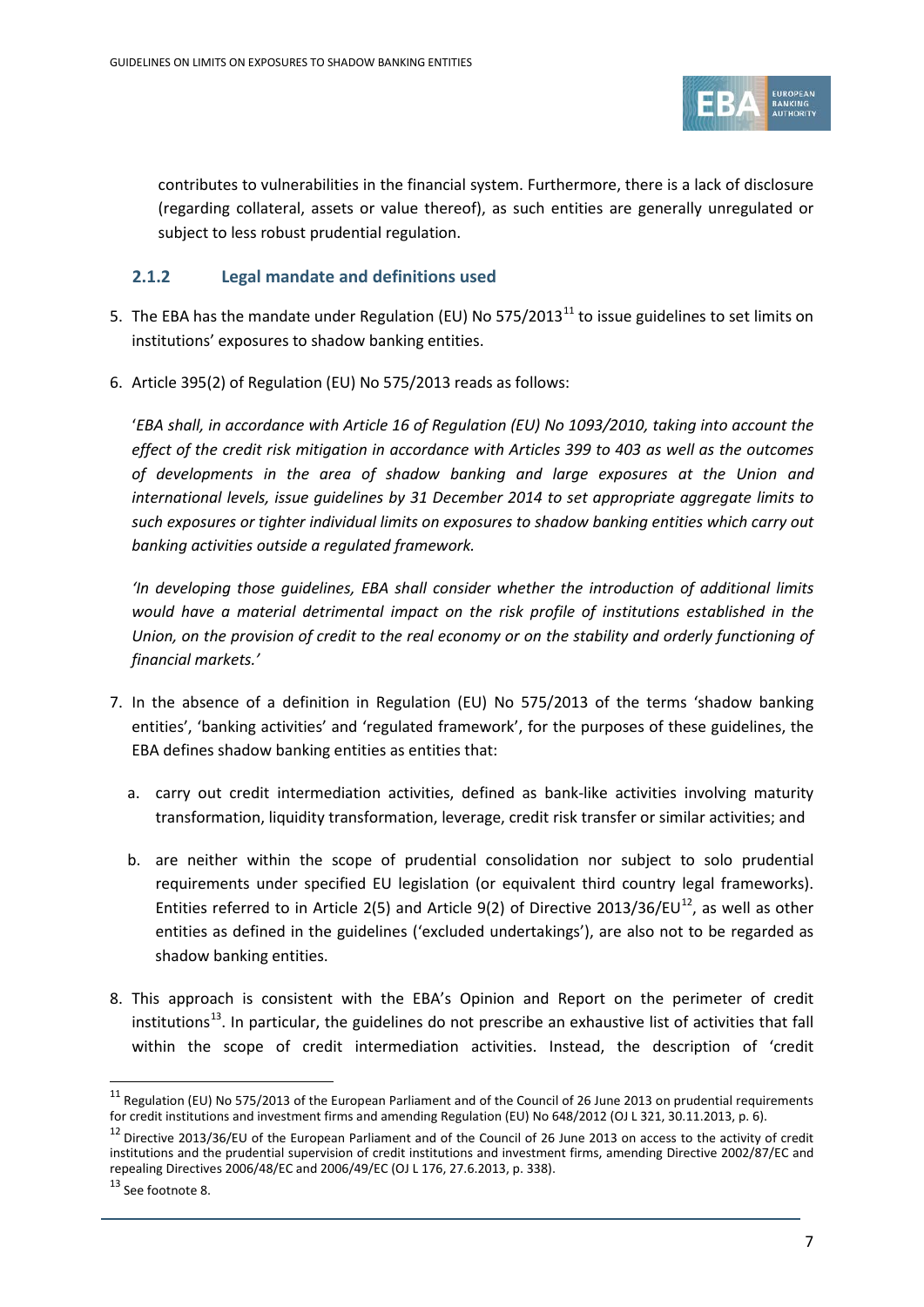

contributes to vulnerabilities in the financial system. Furthermore, there is a lack of disclosure (regarding collateral, assets or value thereof), as such entities are generally unregulated or subject to less robust prudential regulation.

### **2.1.2 Legal mandate and definitions used**

- 5. The EBA has the mandate under Regulation (EU) No 575/2013<sup>[11](#page-6-0)</sup> to issue guidelines to set limits on institutions' exposures to shadow banking entities.
- 6. Article 395(2) of Regulation (EU) No 575/2013 reads as follows:

'*EBA shall, in accordance with Article 16 of Regulation (EU) No 1093/2010, taking into account the effect of the credit risk mitigation in accordance with Articles 399 to 403 as well as the outcomes of developments in the area of shadow banking and large exposures at the Union and international levels, issue guidelines by 31 December 2014 to set appropriate aggregate limits to such exposures or tighter individual limits on exposures to shadow banking entities which carry out banking activities outside a regulated framework.*

*'In developing those guidelines, EBA shall consider whether the introduction of additional limits would have a material detrimental impact on the risk profile of institutions established in the Union, on the provision of credit to the real economy or on the stability and orderly functioning of financial markets.'*

- 7. In the absence of a definition in Regulation (EU) No 575/2013 of the terms 'shadow banking entities', 'banking activities' and 'regulated framework', for the purposes of these guidelines, the EBA defines shadow banking entities as entities that:
	- a. carry out credit intermediation activities, defined as bank-like activities involving maturity transformation, liquidity transformation, leverage, credit risk transfer or similar activities; and
	- b. are neither within the scope of prudential consolidation nor subject to solo prudential requirements under specified EU legislation (or equivalent third country legal frameworks). Entities referred to in Article 2(5) and Article 9(2) of Directive 2013/36/EU<sup>[12](#page-6-1)</sup>, as well as other entities as defined in the guidelines ('excluded undertakings'), are also not to be regarded as shadow banking entities.
- 8. This approach is consistent with the EBA's Opinion and Report on the perimeter of credit institutions<sup>13</sup>. In particular, the guidelines do not prescribe an exhaustive list of activities that fall within the scope of credit intermediation activities. Instead, the description of 'credit

<span id="page-6-0"></span> $11$  Regulation (EU) No 575/2013 of the European Parliament and of the Council of 26 June 2013 on prudential requirements for credit institutions and investment firms and amending Regulation (EU) No 648/2012 (OJ L 321, 30.11.2013, p. 6).

<span id="page-6-1"></span><sup>&</sup>lt;sup>12</sup> Directive 2013/36/EU of the European Parliament and of the Council of 26 June 2013 on access to the activity of credit institutions and the prudential supervision of credit institutions and investment firms, amending Directive 2002/87/EC and repealing Directives 2006/48/EC and 2006/49/EC (OJ L 176, 27.6.2013, p. 338).

<span id="page-6-2"></span><sup>13</sup> See footnote 8.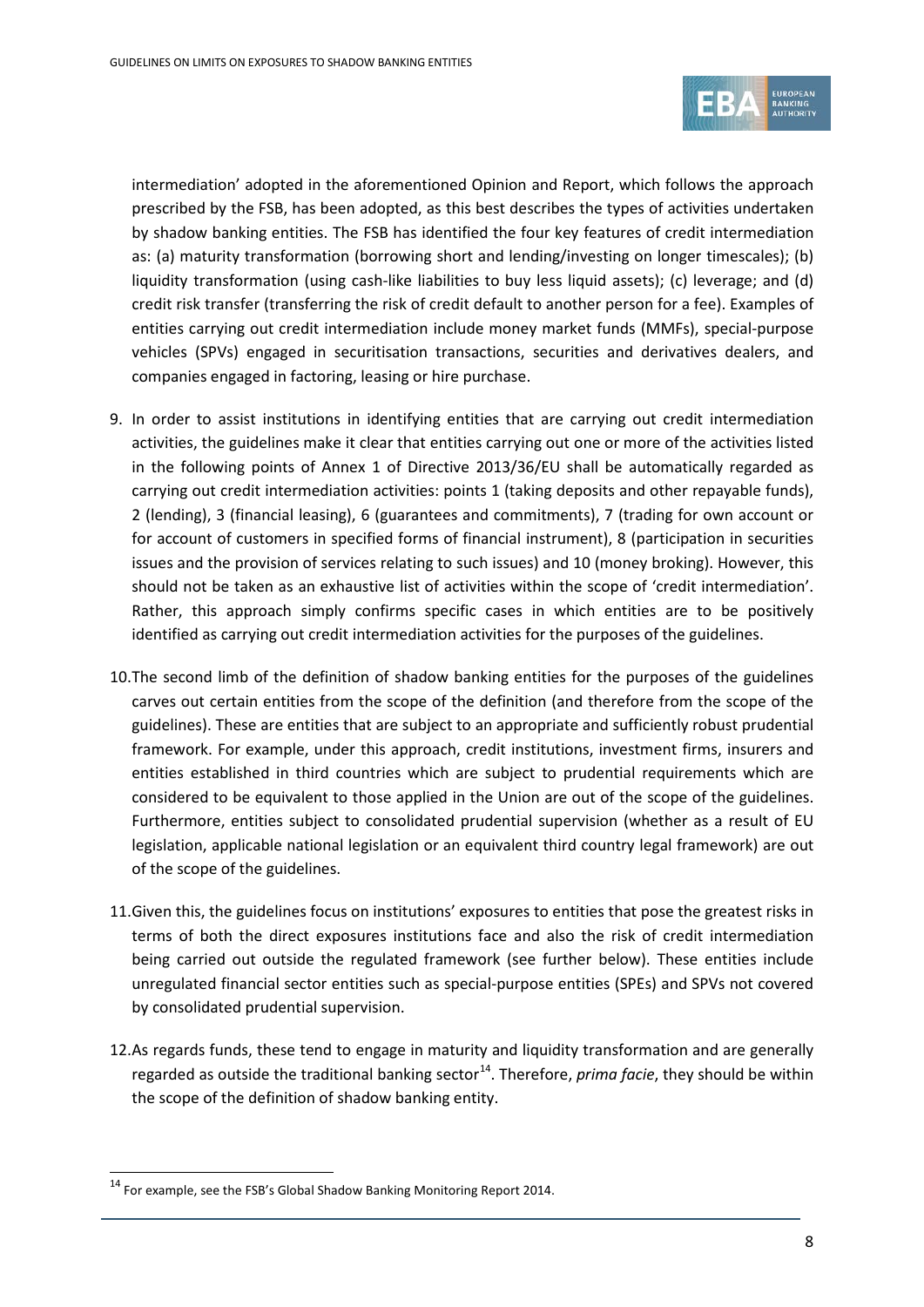

intermediation' adopted in the aforementioned Opinion and Report, which follows the approach prescribed by the FSB, has been adopted, as this best describes the types of activities undertaken by shadow banking entities. The FSB has identified the four key features of credit intermediation as: (a) maturity transformation (borrowing short and lending/investing on longer timescales); (b) liquidity transformation (using cash-like liabilities to buy less liquid assets); (c) leverage; and (d) credit risk transfer (transferring the risk of credit default to another person for a fee). Examples of entities carrying out credit intermediation include money market funds (MMFs), special-purpose vehicles (SPVs) engaged in securitisation transactions, securities and derivatives dealers, and companies engaged in factoring, leasing or hire purchase.

- 9. In order to assist institutions in identifying entities that are carrying out credit intermediation activities, the guidelines make it clear that entities carrying out one or more of the activities listed in the following points of Annex 1 of Directive 2013/36/EU shall be automatically regarded as carrying out credit intermediation activities: points 1 (taking deposits and other repayable funds), 2 (lending), 3 (financial leasing), 6 (guarantees and commitments), 7 (trading for own account or for account of customers in specified forms of financial instrument), 8 (participation in securities issues and the provision of services relating to such issues) and 10 (money broking). However, this should not be taken as an exhaustive list of activities within the scope of 'credit intermediation'. Rather, this approach simply confirms specific cases in which entities are to be positively identified as carrying out credit intermediation activities for the purposes of the guidelines.
- 10.The second limb of the definition of shadow banking entities for the purposes of the guidelines carves out certain entities from the scope of the definition (and therefore from the scope of the guidelines). These are entities that are subject to an appropriate and sufficiently robust prudential framework. For example, under this approach, credit institutions, investment firms, insurers and entities established in third countries which are subject to prudential requirements which are considered to be equivalent to those applied in the Union are out of the scope of the guidelines. Furthermore, entities subject to consolidated prudential supervision (whether as a result of EU legislation, applicable national legislation or an equivalent third country legal framework) are out of the scope of the guidelines.
- 11.Given this, the guidelines focus on institutions' exposures to entities that pose the greatest risks in terms of both the direct exposures institutions face and also the risk of credit intermediation being carried out outside the regulated framework (see further below). These entities include unregulated financial sector entities such as special-purpose entities (SPEs) and SPVs not covered by consolidated prudential supervision.
- 12.As regards funds, these tend to engage in maturity and liquidity transformation and are generally regarded as outside the traditional banking sector<sup>[14](#page-7-0)</sup>. Therefore, *prima facie*, they should be within the scope of the definition of shadow banking entity.

<span id="page-7-0"></span> $^{14}$  For example, see the FSB's Global Shadow Banking Monitoring Report 2014.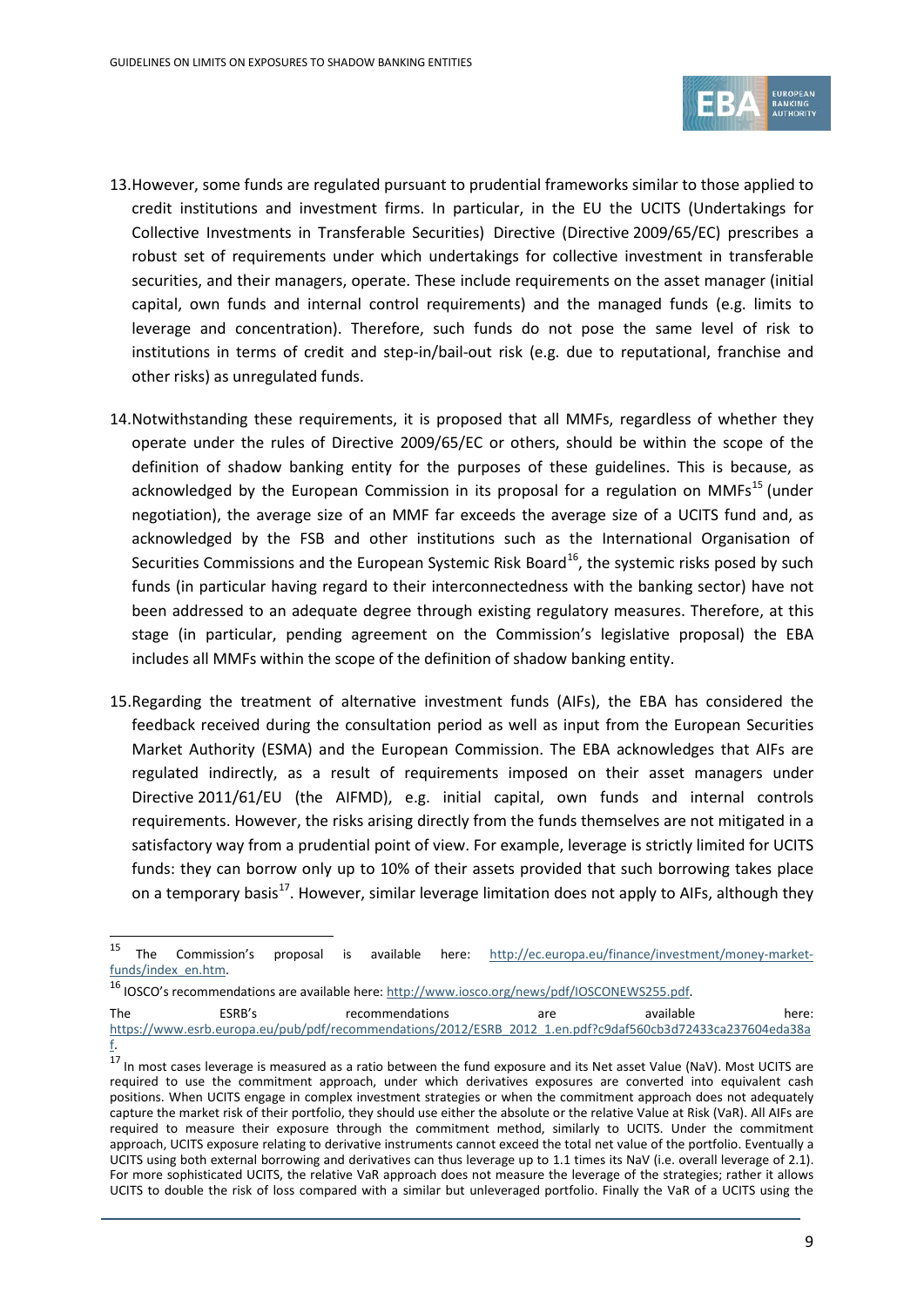

- 13.However, some funds are regulated pursuant to prudential frameworks similar to those applied to credit institutions and investment firms. In particular, in the EU the UCITS (Undertakings for Collective Investments in Transferable Securities) Directive (Directive 2009/65/EC) prescribes a robust set of requirements under which undertakings for collective investment in transferable securities, and their managers, operate. These include requirements on the asset manager (initial capital, own funds and internal control requirements) and the managed funds (e.g. limits to leverage and concentration). Therefore, such funds do not pose the same level of risk to institutions in terms of credit and step-in/bail-out risk (e.g. due to reputational, franchise and other risks) as unregulated funds.
- 14.Notwithstanding these requirements, it is proposed that all MMFs, regardless of whether they operate under the rules of Directive 2009/65/EC or others, should be within the scope of the definition of shadow banking entity for the purposes of these guidelines. This is because, as acknowledged by the European Commission in its proposal for a regulation on  $MMFs^{15}$  $MMFs^{15}$  $MMFs^{15}$  (under negotiation), the average size of an MMF far exceeds the average size of a UCITS fund and, as acknowledged by the FSB and other institutions such as the International Organisation of Securities Commissions and the European Systemic Risk Board<sup>16</sup>, the systemic risks posed by such funds (in particular having regard to their interconnectedness with the banking sector) have not been addressed to an adequate degree through existing regulatory measures. Therefore, at this stage (in particular, pending agreement on the Commission's legislative proposal) the EBA includes all MMFs within the scope of the definition of shadow banking entity.
- 15.Regarding the treatment of alternative investment funds (AIFs), the EBA has considered the feedback received during the consultation period as well as input from the European Securities Market Authority (ESMA) and the European Commission. The EBA acknowledges that AIFs are regulated indirectly, as a result of requirements imposed on their asset managers under Directive 2011/61/EU (the AIFMD), e.g. initial capital, own funds and internal controls requirements. However, the risks arising directly from the funds themselves are not mitigated in a satisfactory way from a prudential point of view. For example, leverage is strictly limited for UCITS funds: they can borrow only up to 10% of their assets provided that such borrowing takes place on a temporary basis<sup>17</sup>. However, similar leverage limitation does not apply to AIFs, although they

<span id="page-8-0"></span> $15$ <sup>15</sup> The Commission's proposal is available here: [http://ec.europa.eu/finance/investment/money-market](http://ec.europa.eu/finance/investment/money-market-funds/index_en.htm)[funds/index\\_en.htm.](http://ec.europa.eu/finance/investment/money-market-funds/index_en.htm)

<span id="page-8-1"></span><sup>16</sup> IOSCO's recommendations are available here[: http://www.iosco.org/news/pdf/IOSCONEWS255.pdf.](http://www.iosco.org/news/pdf/IOSCONEWS255.pdf)

The **ESRB's** recommendations are available here: [https://www.esrb.europa.eu/pub/pdf/recommendations/2012/ESRB\\_2012\\_1.en.pdf?c9daf560cb3d72433ca237604eda38a](https://www.esrb.europa.eu/pub/pdf/recommendations/2012/ESRB_2012_1.en.pdf?c9daf560cb3d72433ca237604eda38af)

[f.](https://www.esrb.europa.eu/pub/pdf/recommendations/2012/ESRB_2012_1.en.pdf?c9daf560cb3d72433ca237604eda38af)

<span id="page-8-2"></span> $^{17}$  In most cases leverage is measured as a ratio between the fund exposure and its Net asset Value (NaV). Most UCITS are required to use the commitment approach, under which derivatives exposures are converted into equivalent cash positions. When UCITS engage in complex investment strategies or when the commitment approach does not adequately capture the market risk of their portfolio, they should use either the absolute or the relative Value at Risk (VaR). All AIFs are required to measure their exposure through the commitment method, similarly to UCITS. Under the commitment approach, UCITS exposure relating to derivative instruments cannot exceed the total net value of the portfolio. Eventually a UCITS using both external borrowing and derivatives can thus leverage up to 1.1 times its NaV (i.e. overall leverage of 2.1). For more sophisticated UCITS, the relative VaR approach does not measure the leverage of the strategies; rather it allows UCITS to double the risk of loss compared with a similar but unleveraged portfolio. Finally the VaR of a UCITS using the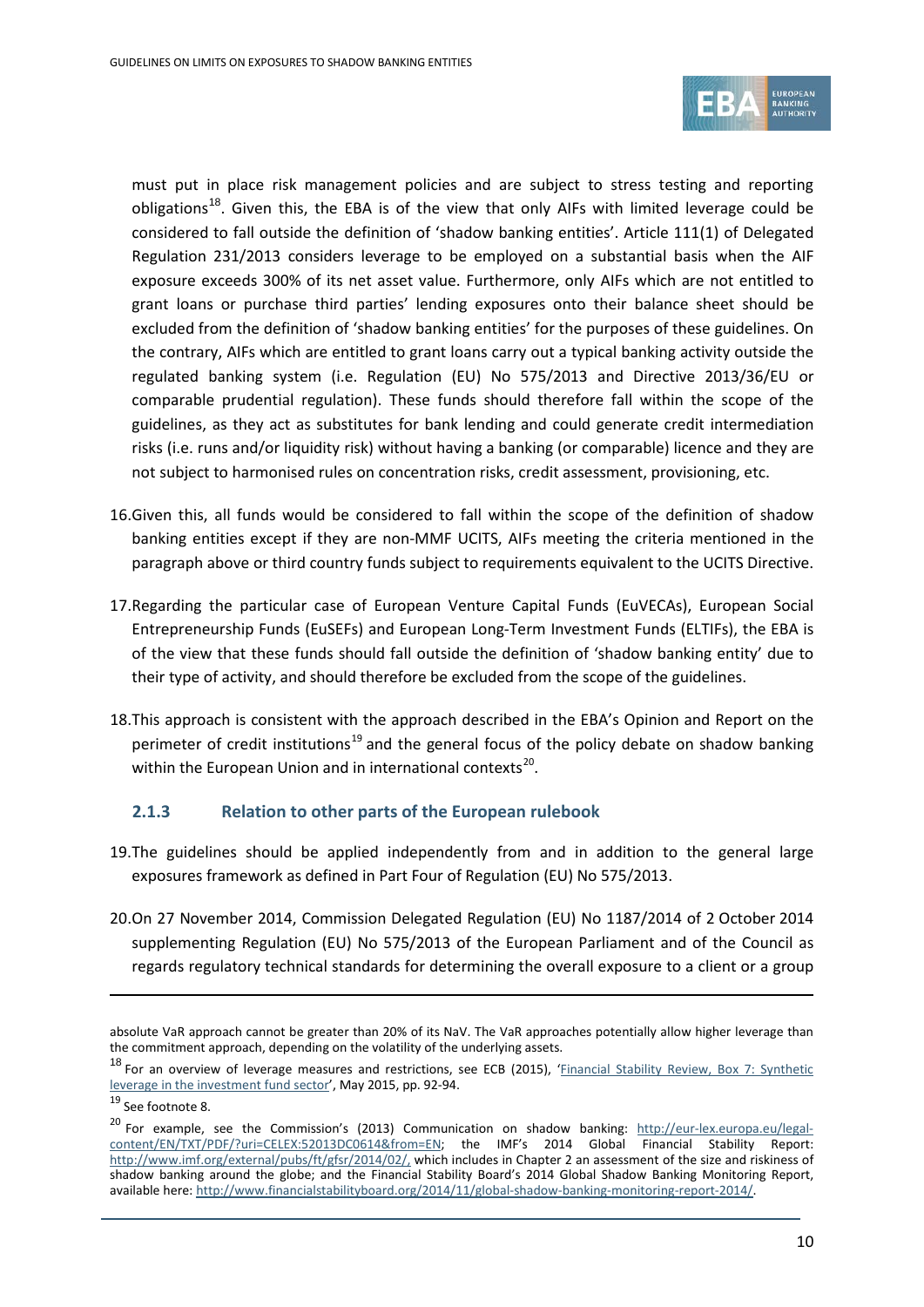

must put in place risk management policies and are subject to stress testing and reporting obligations<sup>[18](#page-9-0)</sup>. Given this, the EBA is of the view that only AIFs with limited leverage could be considered to fall outside the definition of 'shadow banking entities'. Article 111(1) of Delegated Regulation 231/2013 considers leverage to be employed on a substantial basis when the AIF exposure exceeds 300% of its net asset value. Furthermore, only AIFs which are not entitled to grant loans or purchase third parties' lending exposures onto their balance sheet should be excluded from the definition of 'shadow banking entities' for the purposes of these guidelines. On the contrary, AIFs which are entitled to grant loans carry out a typical banking activity outside the regulated banking system (i.e. Regulation (EU) No 575/2013 and Directive 2013/36/EU or comparable prudential regulation). These funds should therefore fall within the scope of the guidelines, as they act as substitutes for bank lending and could generate credit intermediation risks (i.e. runs and/or liquidity risk) without having a banking (or comparable) licence and they are not subject to harmonised rules on concentration risks, credit assessment, provisioning, etc.

- 16.Given this, all funds would be considered to fall within the scope of the definition of shadow banking entities except if they are non-MMF UCITS, AIFs meeting the criteria mentioned in the paragraph above or third country funds subject to requirements equivalent to the UCITS Directive.
- 17.Regarding the particular case of European Venture Capital Funds (EuVECAs), European Social Entrepreneurship Funds (EuSEFs) and European Long-Term Investment Funds (ELTIFs), the EBA is of the view that these funds should fall outside the definition of 'shadow banking entity' due to their type of activity, and should therefore be excluded from the scope of the guidelines.
- 18.This approach is consistent with the approach described in the EBA's Opinion and Report on the perimeter of credit institutions<sup>[19](#page-9-1)</sup> and the general focus of the policy debate on shadow banking within the European Union and in international contexts<sup>[20](#page-9-2)</sup>.

### **2.1.3 Relation to other parts of the European rulebook**

- 19.The guidelines should be applied independently from and in addition to the general large exposures framework as defined in Part Four of Regulation (EU) No 575/2013.
- 20.On 27 November 2014, Commission Delegated Regulation (EU) No 1187/2014 of 2 October 2014 supplementing Regulation (EU) No 575/2013 of the European Parliament and of the Council as regards regulatory technical standards for determining the overall exposure to a client or a group

absolute VaR approach cannot be greater than 20% of its NaV. The VaR approaches potentially allow higher leverage than the commitment approach, depending on the volatility of the underlying assets.

<span id="page-9-0"></span><sup>18</sup> For an overview of leverage measures and restrictions, see ECB (2015), '*Financial Stability Review*, Box 7: Synthetic [leverage in the investment fund sector'](http://www.ecb.europa.eu/pub/pdf/other/financialstabilityreview201505.en.pdf?3cd887eb74f562fc8db70554df5b01ca), May 2015, pp. 92-94.

<span id="page-9-1"></span><sup>19</sup> See footnote 8.

<span id="page-9-2"></span><sup>&</sup>lt;sup>20</sup> For example, see the Commission's (2013) Communication on shadow banking: [http://eur-lex.europa.eu/legal](http://eur-lex.europa.eu/legal-content/EN/TXT/PDF/?uri=CELEX:52013DC0614&from=EN)[content/EN/TXT/PDF/?uri=CELEX:52013DC0614&from=EN;](http://eur-lex.europa.eu/legal-content/EN/TXT/PDF/?uri=CELEX:52013DC0614&from=EN) the IMF's 2014 Global Financial Stability Report: [http://www.imf.org/external/pubs/ft/gfsr/2014/02/,](http://www.imf.org/external/pubs/ft/gfsr/2014/02/) which includes in Chapter 2 an assessment of the size and riskiness of shadow banking around the globe; and the Financial Stability Board's 2014 Global Shadow Banking Monitoring Report, available here[: http://www.financialstabilityboard.org/2014/11/global-shadow-banking-monitoring-report-2014/.](http://www.financialstabilityboard.org/2014/11/global-shadow-banking-monitoring-report-2014/)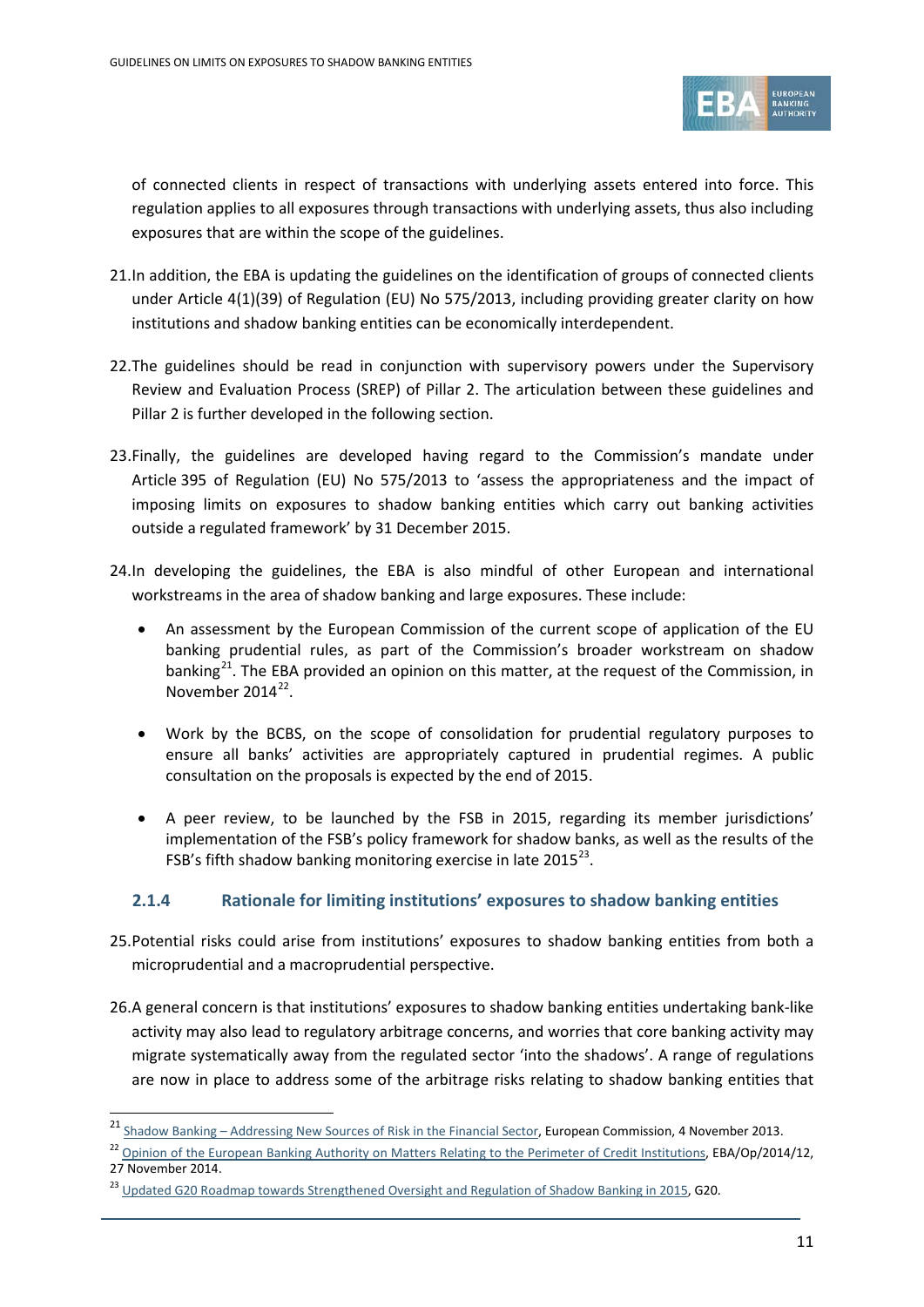

of connected clients in respect of transactions with underlying assets entered into force. This regulation applies to all exposures through transactions with underlying assets, thus also including exposures that are within the scope of the guidelines.

- 21.In addition, the EBA is updating the guidelines on the identification of groups of connected clients under Article 4(1)(39) of Regulation (EU) No 575/2013, including providing greater clarity on how institutions and shadow banking entities can be economically interdependent.
- 22.The guidelines should be read in conjunction with supervisory powers under the Supervisory Review and Evaluation Process (SREP) of Pillar 2. The articulation between these guidelines and Pillar 2 is further developed in the following section.
- 23.Finally, the guidelines are developed having regard to the Commission's mandate under Article 395 of Regulation (EU) No 575/2013 to 'assess the appropriateness and the impact of imposing limits on exposures to shadow banking entities which carry out banking activities outside a regulated framework' by 31 December 2015.
- 24.In developing the guidelines, the EBA is also mindful of other European and international workstreams in the area of shadow banking and large exposures. These include:
	- An assessment by the European Commission of the current scope of application of the EU banking prudential rules, as part of the Commission's broader workstream on shadow banking<sup>21</sup>. The EBA provided an opinion on this matter, at the request of the Commission, in November 2014<sup>[22](#page-10-1)</sup>
	- Work by the BCBS, on the scope of consolidation for prudential regulatory purposes to ensure all banks' activities are appropriately captured in prudential regimes. A public consultation on the proposals is expected by the end of 2015.
	- A peer review, to be launched by the FSB in 2015, regarding its member jurisdictions' implementation of the FSB's policy framework for shadow banks, as well as the results of the FSB's fifth shadow banking monitoring exercise in late  $2015^{23}$ .

### **2.1.4 Rationale for limiting institutions' exposures to shadow banking entities**

- 25.Potential risks could arise from institutions' exposures to shadow banking entities from both a microprudential and a macroprudential perspective.
- 26.A general concern is that institutions' exposures to shadow banking entities undertaking bank-like activity may also lead to regulatory arbitrage concerns, and worries that core banking activity may migrate systematically away from the regulated sector 'into the shadows'. A range of regulations are now in place to address some of the arbitrage risks relating to shadow banking entities that

<span id="page-10-0"></span><sup>21&</sup>lt;br>21 Shadow Banking – [Addressing New Sources of Risk in the Financial Sector,](http://eur-lex.europa.eu/LexUriServ/LexUriServ.do?uri=COM:2013:0614:FIN:EN:PDF) European Commission, 4 November 2013.

<span id="page-10-1"></span><sup>&</sup>lt;sup>22</sup> [Opinion of the European Banking Authority on Matters Relating to the Perimeter of Credit Institutions,](https://www.eba.europa.eu/documents/10180/657547/EBA-Op-2014-12+(Opinion+on+perimeter+of+credit+institution).pdf) EBA/Op/2014/12, 27 November 2014.

<span id="page-10-2"></span><sup>&</sup>lt;sup>23</sup> [Updated G20 Roadmap towards Strengthened Oversight and Regulation of Shadow Banking in 2015,](https://www.google.co.uk/url?sa=t&rct=j&q=&esrc=s&frm=1&source=web&cd=1&cad=rja&uact=8&ved=0CCMQFjAA&url=https%3A%2F%2Fwww.g20.org%2Fsites%2Fdefault%2Ffiles%2Fg20_resources%2Flibrary%2Fupdated_g20_roadmap_strengthened_oversight_regulation_2015.pdf&ei=i5-BVIiQN8vKOcekgMgF&usg=AFQjCNHKPRebU9r0AUu69v09LD6tlxxiqQ&bvm=bv.80642063,d.ZWU) G20.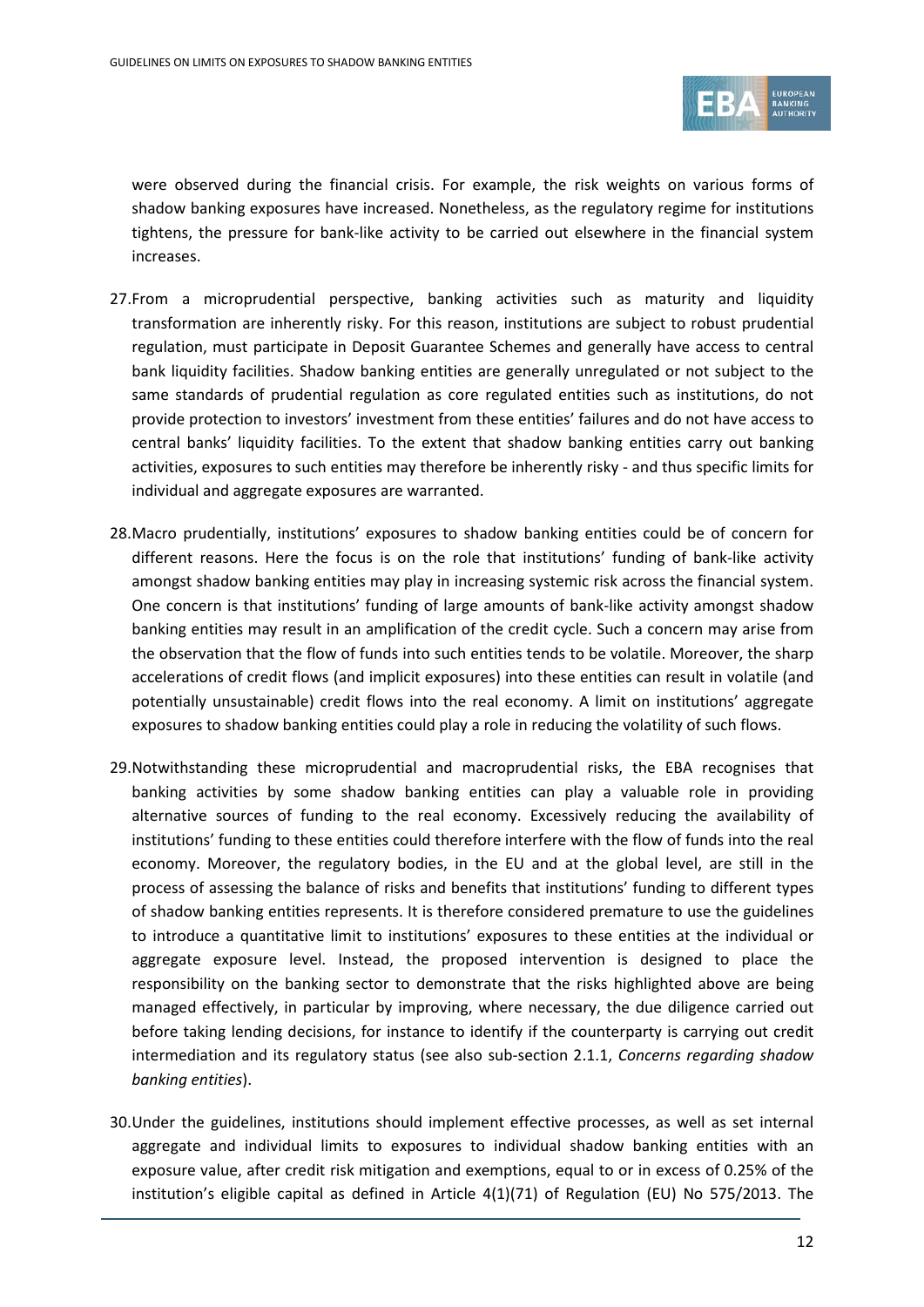

were observed during the financial crisis. For example, the risk weights on various forms of shadow banking exposures have increased. Nonetheless, as the regulatory regime for institutions tightens, the pressure for bank-like activity to be carried out elsewhere in the financial system increases.

- 27.From a microprudential perspective, banking activities such as maturity and liquidity transformation are inherently risky. For this reason, institutions are subject to robust prudential regulation, must participate in Deposit Guarantee Schemes and generally have access to central bank liquidity facilities. Shadow banking entities are generally unregulated or not subject to the same standards of prudential regulation as core regulated entities such as institutions, do not provide protection to investors' investment from these entities' failures and do not have access to central banks' liquidity facilities. To the extent that shadow banking entities carry out banking activities, exposures to such entities may therefore be inherently risky - and thus specific limits for individual and aggregate exposures are warranted.
- 28.Macro prudentially, institutions' exposures to shadow banking entities could be of concern for different reasons. Here the focus is on the role that institutions' funding of bank-like activity amongst shadow banking entities may play in increasing systemic risk across the financial system. One concern is that institutions' funding of large amounts of bank-like activity amongst shadow banking entities may result in an amplification of the credit cycle. Such a concern may arise from the observation that the flow of funds into such entities tends to be volatile. Moreover, the sharp accelerations of credit flows (and implicit exposures) into these entities can result in volatile (and potentially unsustainable) credit flows into the real economy. A limit on institutions' aggregate exposures to shadow banking entities could play a role in reducing the volatility of such flows.
- 29.Notwithstanding these microprudential and macroprudential risks, the EBA recognises that banking activities by some shadow banking entities can play a valuable role in providing alternative sources of funding to the real economy. Excessively reducing the availability of institutions' funding to these entities could therefore interfere with the flow of funds into the real economy. Moreover, the regulatory bodies, in the EU and at the global level, are still in the process of assessing the balance of risks and benefits that institutions' funding to different types of shadow banking entities represents. It is therefore considered premature to use the guidelines to introduce a quantitative limit to institutions' exposures to these entities at the individual or aggregate exposure level. Instead, the proposed intervention is designed to place the responsibility on the banking sector to demonstrate that the risks highlighted above are being managed effectively, in particular by improving, where necessary, the due diligence carried out before taking lending decisions, for instance to identify if the counterparty is carrying out credit intermediation and its regulatory status (see also sub-section 2.1.1, *Concerns regarding shadow banking entities*).
- 30.Under the guidelines, institutions should implement effective processes, as well as set internal aggregate and individual limits to exposures to individual shadow banking entities with an exposure value, after credit risk mitigation and exemptions, equal to or in excess of 0.25% of the institution's eligible capital as defined in Article 4(1)(71) of Regulation (EU) No 575/2013. The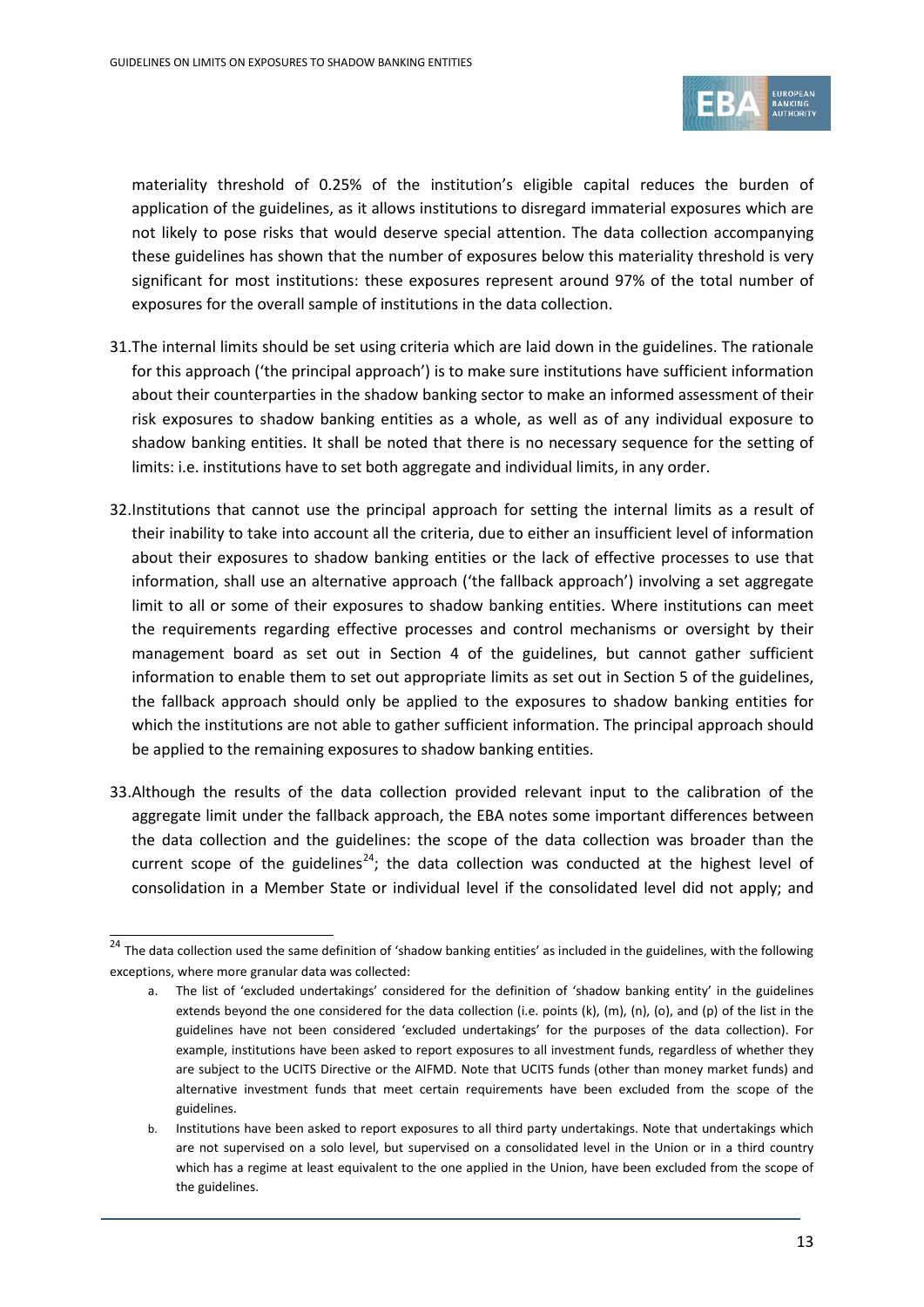

materiality threshold of 0.25% of the institution's eligible capital reduces the burden of application of the guidelines, as it allows institutions to disregard immaterial exposures which are not likely to pose risks that would deserve special attention. The data collection accompanying these guidelines has shown that the number of exposures below this materiality threshold is very significant for most institutions: these exposures represent around 97% of the total number of exposures for the overall sample of institutions in the data collection.

- 31.The internal limits should be set using criteria which are laid down in the guidelines. The rationale for this approach ('the principal approach') is to make sure institutions have sufficient information about their counterparties in the shadow banking sector to make an informed assessment of their risk exposures to shadow banking entities as a whole, as well as of any individual exposure to shadow banking entities. It shall be noted that there is no necessary sequence for the setting of limits: i.e. institutions have to set both aggregate and individual limits, in any order.
- 32.Institutions that cannot use the principal approach for setting the internal limits as a result of their inability to take into account all the criteria, due to either an insufficient level of information about their exposures to shadow banking entities or the lack of effective processes to use that information, shall use an alternative approach ('the fallback approach') involving a set aggregate limit to all or some of their exposures to shadow banking entities. Where institutions can meet the requirements regarding effective processes and control mechanisms or oversight by their management board as set out in Section 4 of the guidelines, but cannot gather sufficient information to enable them to set out appropriate limits as set out in Section 5 of the guidelines, the fallback approach should only be applied to the exposures to shadow banking entities for which the institutions are not able to gather sufficient information. The principal approach should be applied to the remaining exposures to shadow banking entities.
- 33.Although the results of the data collection provided relevant input to the calibration of the aggregate limit under the fallback approach, the EBA notes some important differences between the data collection and the guidelines: the scope of the data collection was broader than the current scope of the guidelines<sup>[24](#page-12-0)</sup>; the data collection was conducted at the highest level of consolidation in a Member State or individual level if the consolidated level did not apply; and

<span id="page-12-0"></span> $\frac{1}{24}$  The data collection used the same definition of 'shadow banking entities' as included in the guidelines, with the following exceptions, where more granular data was collected:

a. The list of 'excluded undertakings' considered for the definition of 'shadow banking entity' in the guidelines extends beyond the one considered for the data collection (i.e. points (k), (m), (n), (o), and (p) of the list in the guidelines have not been considered 'excluded undertakings' for the purposes of the data collection). For example, institutions have been asked to report exposures to all investment funds, regardless of whether they are subject to the UCITS Directive or the AIFMD. Note that UCITS funds (other than money market funds) and alternative investment funds that meet certain requirements have been excluded from the scope of the guidelines.

b. Institutions have been asked to report exposures to all third party undertakings. Note that undertakings which are not supervised on a solo level, but supervised on a consolidated level in the Union or in a third country which has a regime at least equivalent to the one applied in the Union, have been excluded from the scope of the guidelines.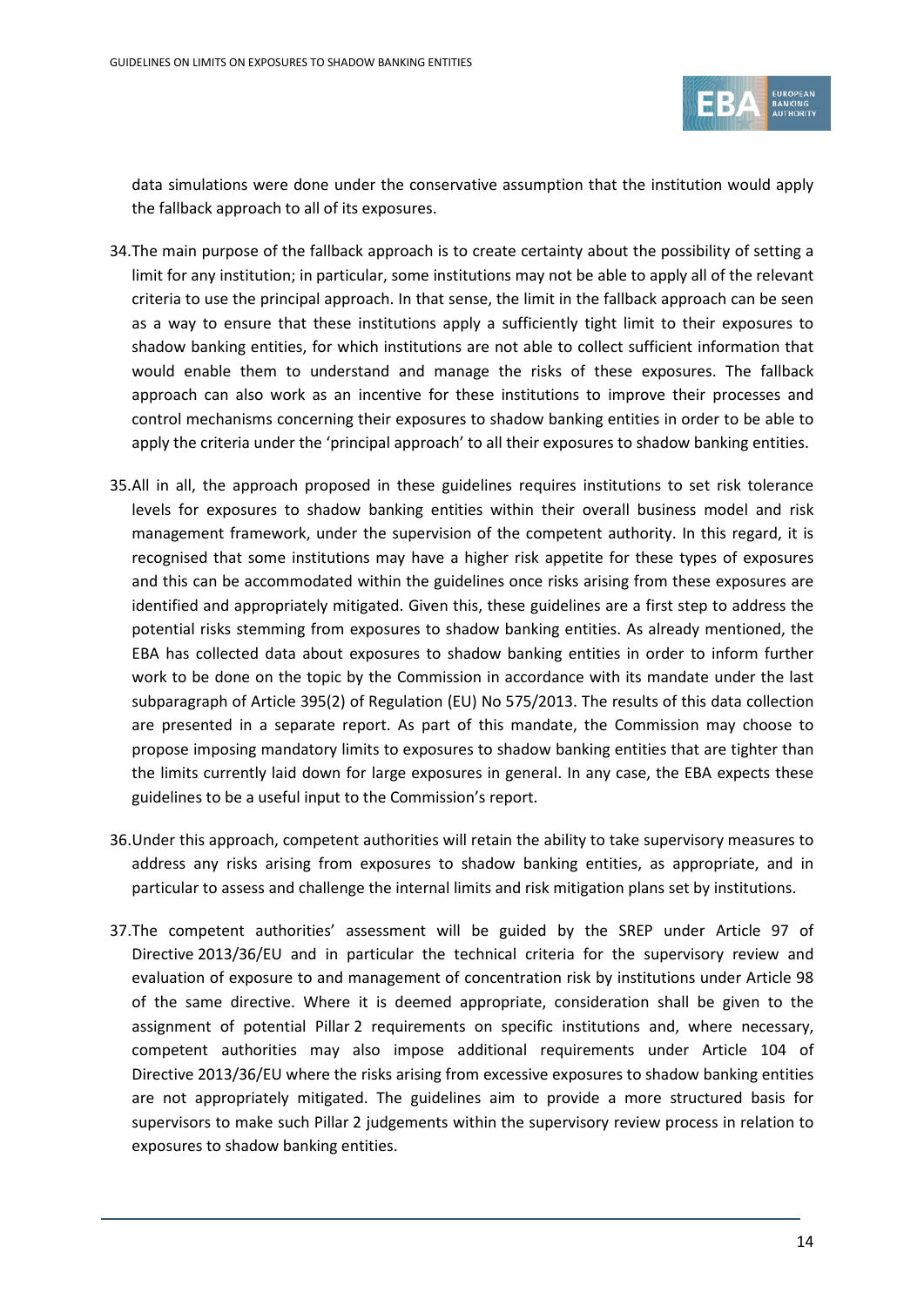

data simulations were done under the conservative assumption that the institution would apply the fallback approach to all of its exposures.

- 34.The main purpose of the fallback approach is to create certainty about the possibility of setting a limit for any institution; in particular, some institutions may not be able to apply all of the relevant criteria to use the principal approach. In that sense, the limit in the fallback approach can be seen as a way to ensure that these institutions apply a sufficiently tight limit to their exposures to shadow banking entities, for which institutions are not able to collect sufficient information that would enable them to understand and manage the risks of these exposures. The fallback approach can also work as an incentive for these institutions to improve their processes and control mechanisms concerning their exposures to shadow banking entities in order to be able to apply the criteria under the 'principal approach' to all their exposures to shadow banking entities.
- 35.All in all, the approach proposed in these guidelines requires institutions to set risk tolerance levels for exposures to shadow banking entities within their overall business model and risk management framework, under the supervision of the competent authority. In this regard, it is recognised that some institutions may have a higher risk appetite for these types of exposures and this can be accommodated within the guidelines once risks arising from these exposures are identified and appropriately mitigated. Given this, these guidelines are a first step to address the potential risks stemming from exposures to shadow banking entities. As already mentioned, the EBA has collected data about exposures to shadow banking entities in order to inform further work to be done on the topic by the Commission in accordance with its mandate under the last subparagraph of Article 395(2) of Regulation (EU) No 575/2013. The results of this data collection are presented in a separate report. As part of this mandate, the Commission may choose to propose imposing mandatory limits to exposures to shadow banking entities that are tighter than the limits currently laid down for large exposures in general. In any case, the EBA expects these guidelines to be a useful input to the Commission's report.
- 36.Under this approach, competent authorities will retain the ability to take supervisory measures to address any risks arising from exposures to shadow banking entities, as appropriate, and in particular to assess and challenge the internal limits and risk mitigation plans set by institutions.
- 37.The competent authorities' assessment will be guided by the SREP under Article 97 of Directive 2013/36/EU and in particular the technical criteria for the supervisory review and evaluation of exposure to and management of concentration risk by institutions under Article 98 of the same directive. Where it is deemed appropriate, consideration shall be given to the assignment of potential Pillar 2 requirements on specific institutions and, where necessary, competent authorities may also impose additional requirements under Article 104 of Directive 2013/36/EU where the risks arising from excessive exposures to shadow banking entities are not appropriately mitigated. The guidelines aim to provide a more structured basis for supervisors to make such Pillar 2 judgements within the supervisory review process in relation to exposures to shadow banking entities.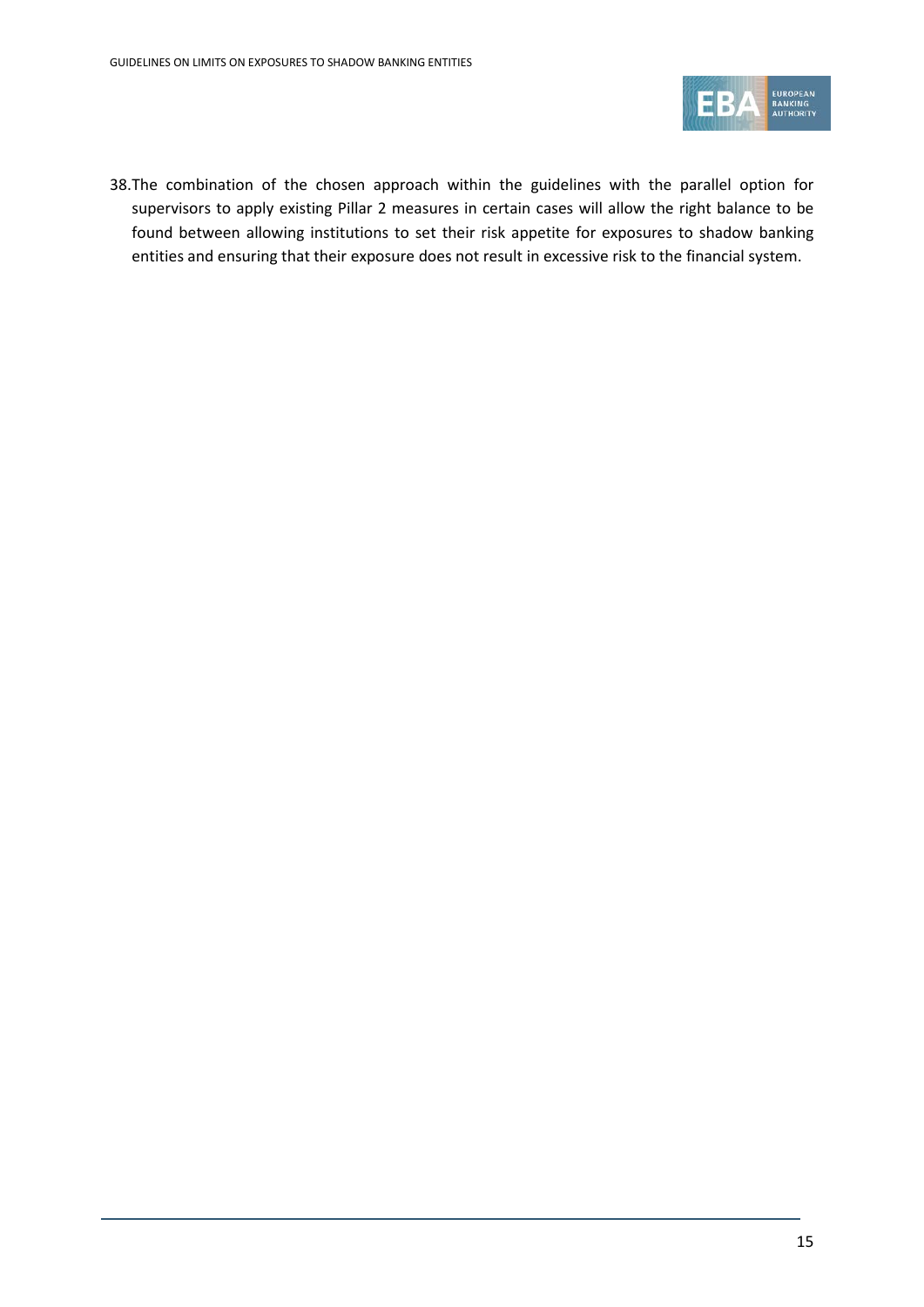

38.The combination of the chosen approach within the guidelines with the parallel option for supervisors to apply existing Pillar 2 measures in certain cases will allow the right balance to be found between allowing institutions to set their risk appetite for exposures to shadow banking entities and ensuring that their exposure does not result in excessive risk to the financial system.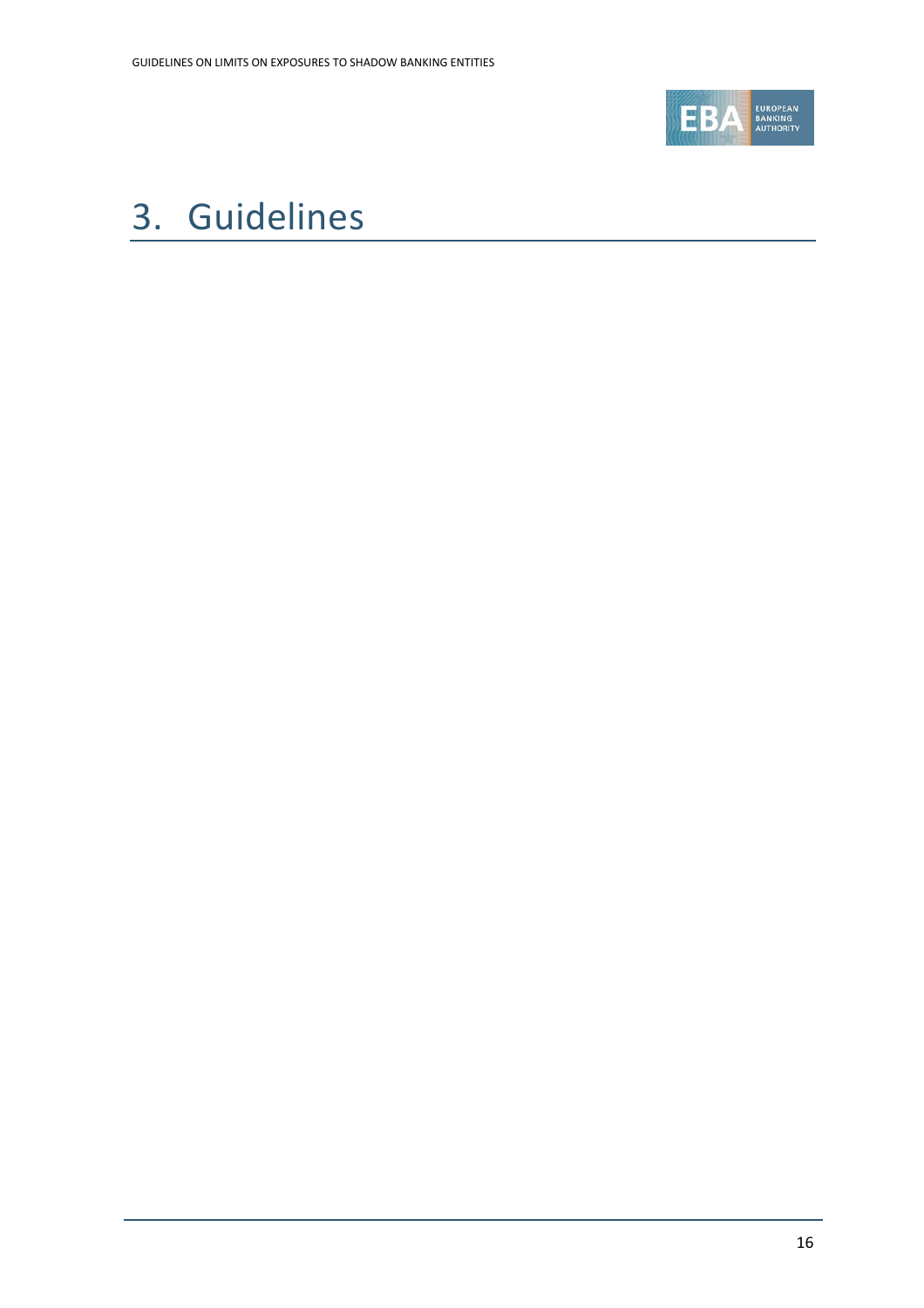

# <span id="page-15-0"></span>3. Guidelines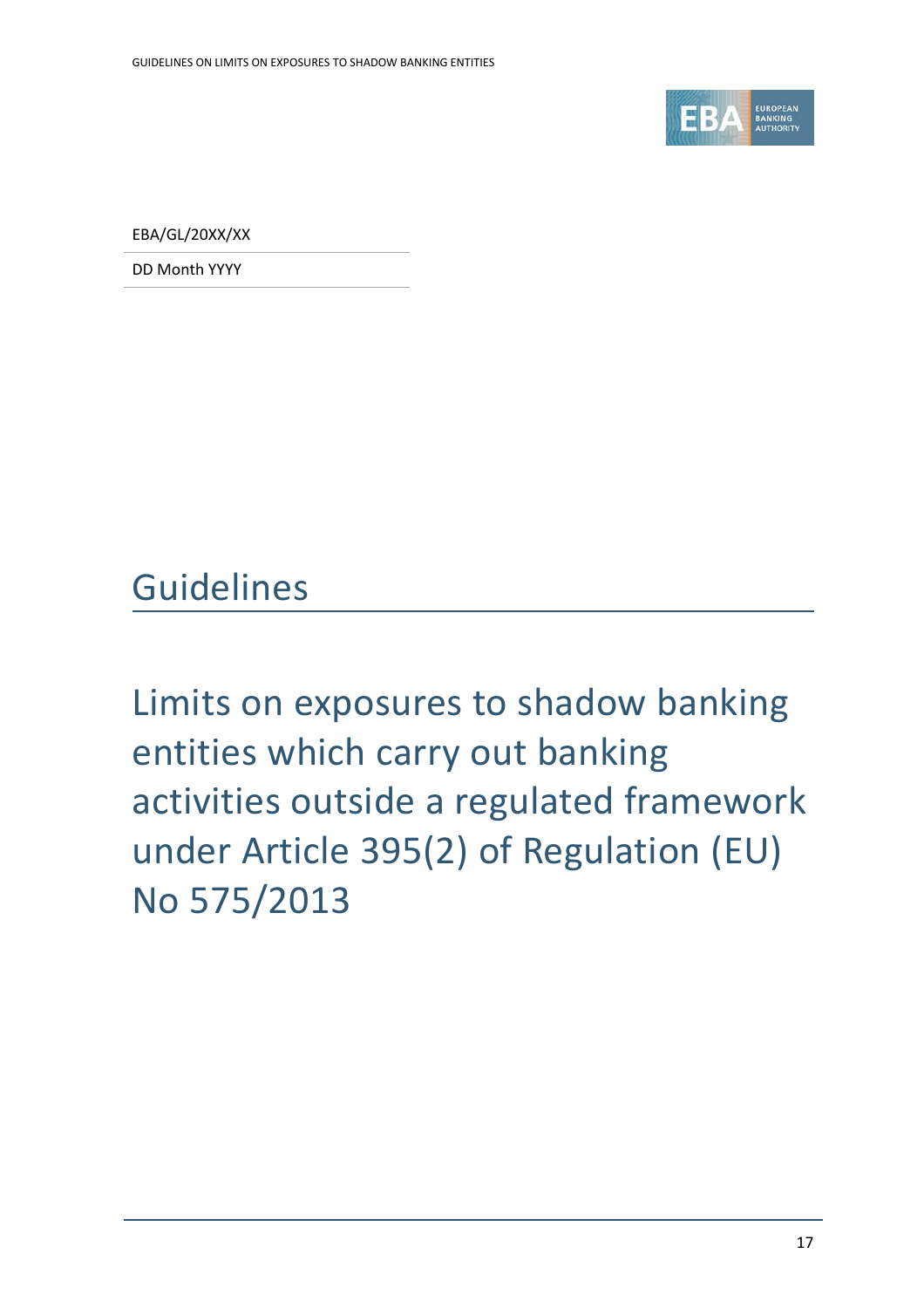

EBA/GL/20XX/XX

DD Month YYYY

Guidelines

Limits on exposures to shadow banking entities which carry out banking activities outside a regulated framework under Article 395(2) of Regulation (EU) No 575/2013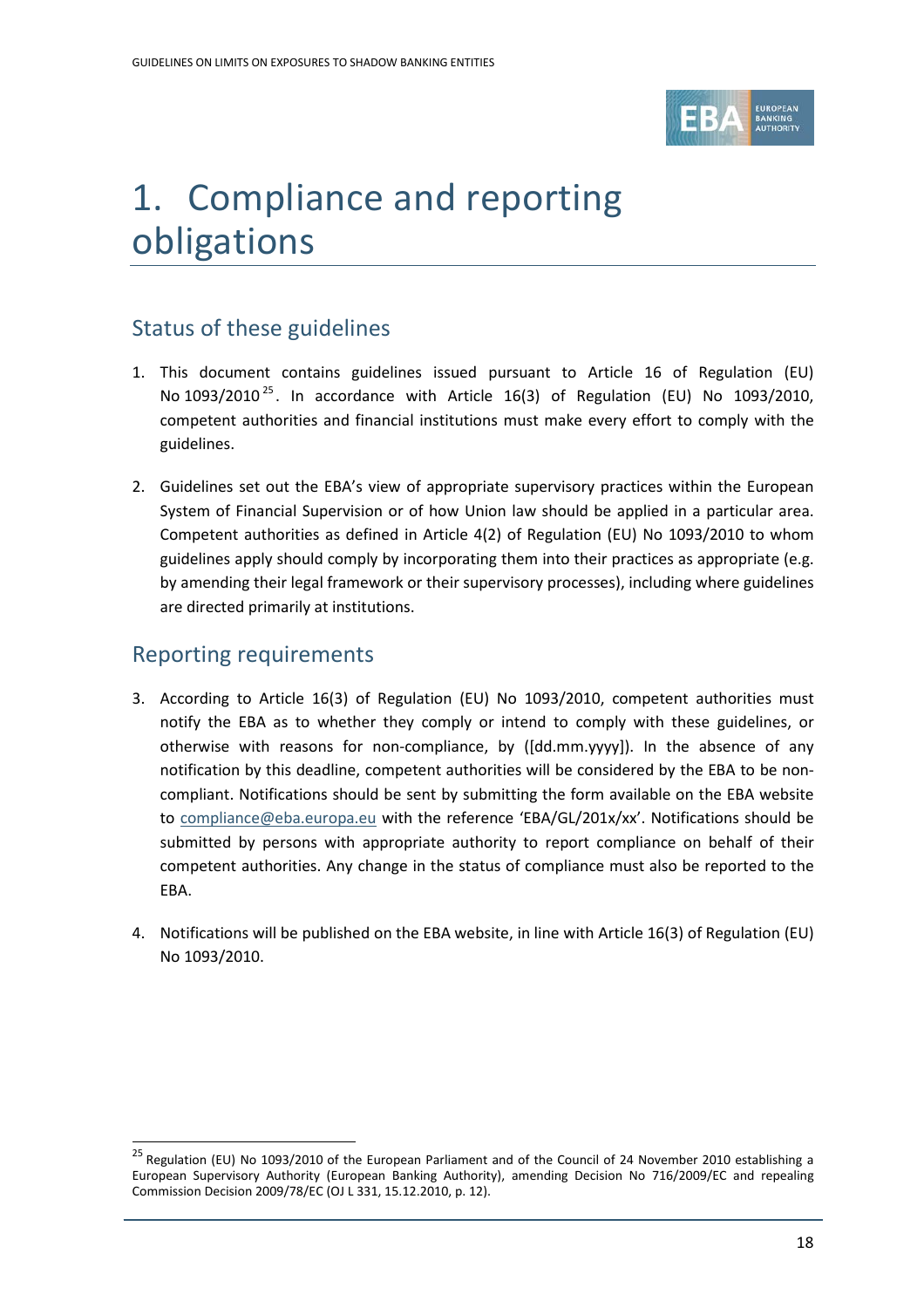

# 1. Compliance and reporting obligations

## Status of these guidelines

- 1. This document contains guidelines issued pursuant to Article 16 of Regulation (EU) No  $1093/2010^{25}$  $1093/2010^{25}$  $1093/2010^{25}$ . In accordance with Article 16(3) of Regulation (EU) No  $1093/2010$ , competent authorities and financial institutions must make every effort to comply with the guidelines.
- 2. Guidelines set out the EBA's view of appropriate supervisory practices within the European System of Financial Supervision or of how Union law should be applied in a particular area. Competent authorities as defined in Article 4(2) of Regulation (EU) No 1093/2010 to whom guidelines apply should comply by incorporating them into their practices as appropriate (e.g. by amending their legal framework or their supervisory processes), including where guidelines are directed primarily at institutions.

## Reporting requirements

- 3. According to Article 16(3) of Regulation (EU) No 1093/2010, competent authorities must notify the EBA as to whether they comply or intend to comply with these guidelines, or otherwise with reasons for non-compliance, by ([dd.mm.yyyy]). In the absence of any notification by this deadline, competent authorities will be considered by the EBA to be noncompliant. Notifications should be sent by submitting the form available on the EBA website to [compliance@eba.europa.eu](mailto:compliance@eba.europa.eu) with the reference 'EBA/GL/201x/xx'. Notifications should be submitted by persons with appropriate authority to report compliance on behalf of their competent authorities. Any change in the status of compliance must also be reported to the EBA.
- 4. Notifications will be published on the EBA website, in line with Article 16(3) of Regulation (EU) No 1093/2010.

<span id="page-17-0"></span><sup>&</sup>lt;sup>25</sup> Regulation (EU) No 1093/2010 of the European Parliament and of the Council of 24 November 2010 establishing a European Supervisory Authority (European Banking Authority), amending Decision No 716/2009/EC and repealing Commission Decision 2009/78/EC (OJ L 331, 15.12.2010, p. 12).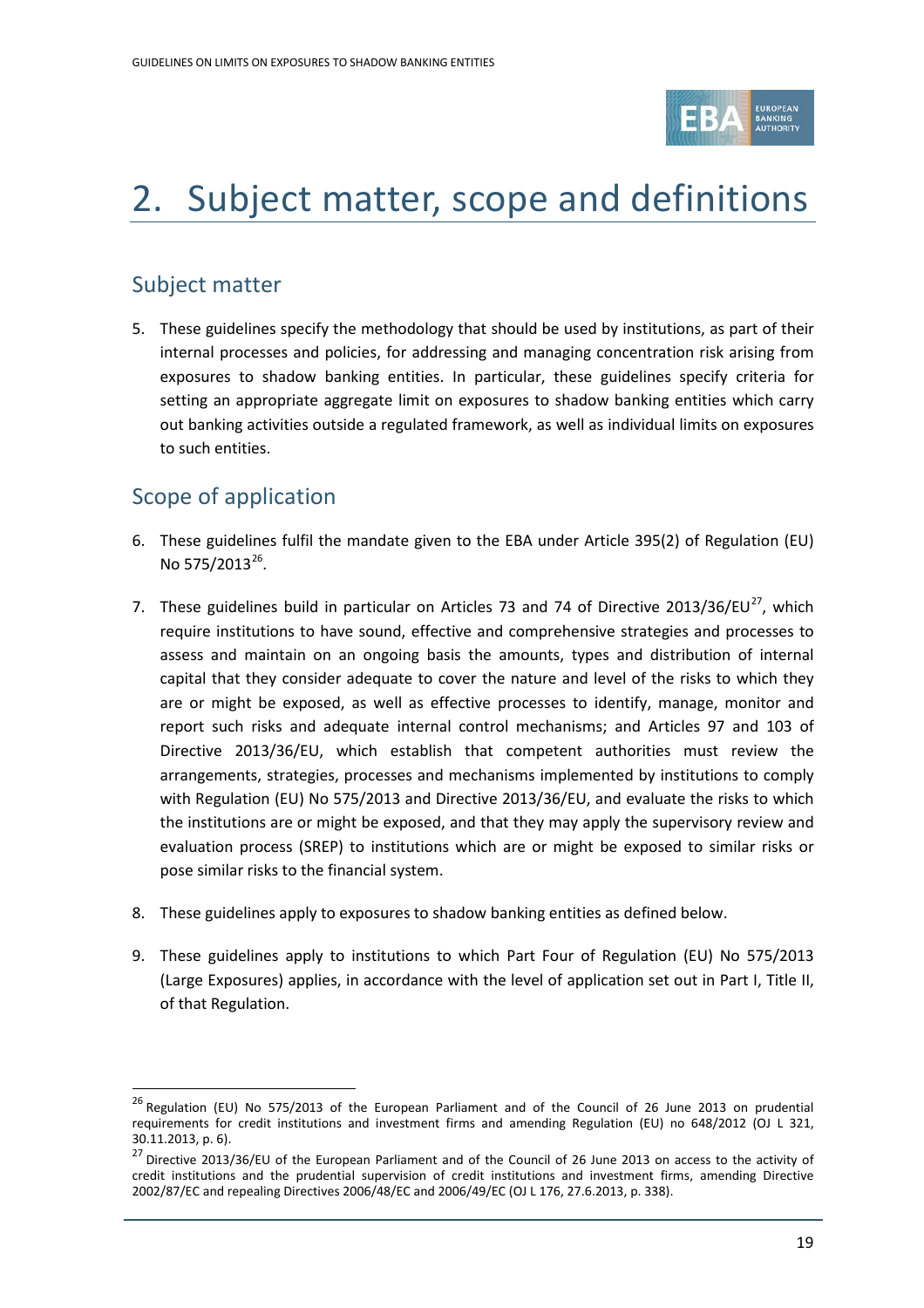

# 2. Subject matter, scope and definitions

## Subject matter

5. These guidelines specify the methodology that should be used by institutions, as part of their internal processes and policies, for addressing and managing concentration risk arising from exposures to shadow banking entities. In particular, these guidelines specify criteria for setting an appropriate aggregate limit on exposures to shadow banking entities which carry out banking activities outside a regulated framework, as well as individual limits on exposures to such entities.

## Scope of application

- 6. These guidelines fulfil the mandate given to the EBA under Article 395(2) of Regulation (EU) No 575/2013 $^{26}$  $^{26}$  $^{26}$ .
- 7. These guidelines build in particular on Articles 73 and 74 of Directive 2013/36/EU $^{27}$ , which require institutions to have sound, effective and comprehensive strategies and processes to assess and maintain on an ongoing basis the amounts, types and distribution of internal capital that they consider adequate to cover the nature and level of the risks to which they are or might be exposed, as well as effective processes to identify, manage, monitor and report such risks and adequate internal control mechanisms; and Articles 97 and 103 of Directive 2013/36/EU, which establish that competent authorities must review the arrangements, strategies, processes and mechanisms implemented by institutions to comply with Regulation (EU) No 575/2013 and Directive 2013/36/EU, and evaluate the risks to which the institutions are or might be exposed, and that they may apply the supervisory review and evaluation process (SREP) to institutions which are or might be exposed to similar risks or pose similar risks to the financial system.
- 8. These guidelines apply to exposures to shadow banking entities as defined below.
- 9. These guidelines apply to institutions to which Part Four of Regulation (EU) No 575/2013 (Large Exposures) applies, in accordance with the level of application set out in Part I, Title II, of that Regulation.

<span id="page-18-0"></span><sup>&</sup>lt;sup>26</sup> Regulation (EU) No 575/2013 of the European Parliament and of the Council of 26 June 2013 on prudential requirements for credit institutions and investment firms and amending Regulation (EU) no 648/2012 (OJ L 321, 30.11.2013, p. 6).

<span id="page-18-1"></span><sup>&</sup>lt;sup>27</sup> Directive 2013/36/EU of the European Parliament and of the Council of 26 June 2013 on access to the activity of credit institutions and the prudential supervision of credit institutions and investment firms, amending Directive 2002/87/EC and repealing Directives 2006/48/EC and 2006/49/EC (OJ L 176, 27.6.2013, p. 338).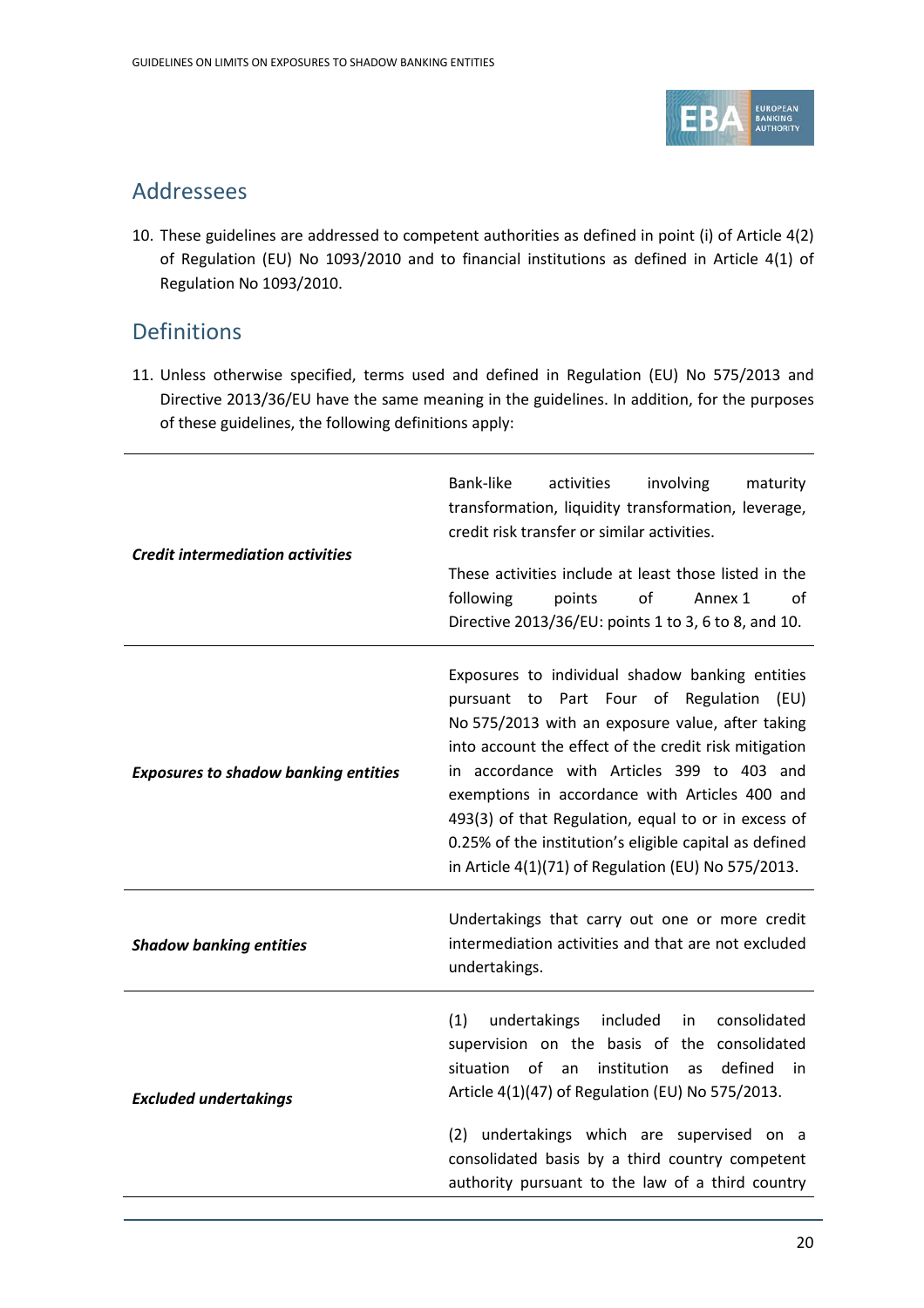

### Addressees

10. These guidelines are addressed to competent authorities as defined in point (i) of Article 4(2) of Regulation (EU) No 1093/2010 and to financial institutions as defined in Article 4(1) of Regulation No 1093/2010.

### Definitions

11. Unless otherwise specified, terms used and defined in Regulation (EU) No 575/2013 and Directive 2013/36/EU have the same meaning in the guidelines. In addition, for the purposes of these guidelines, the following definitions apply:

| <b>Credit intermediation activities</b>     | Bank-like<br>activities<br>involving<br>maturity<br>transformation, liquidity transformation, leverage,<br>credit risk transfer or similar activities.<br>These activities include at least those listed in the<br>following<br>of<br>points<br>Annex 1<br>οf<br>Directive 2013/36/EU: points 1 to 3, 6 to 8, and 10.                                                                                                                                                            |  |  |
|---------------------------------------------|----------------------------------------------------------------------------------------------------------------------------------------------------------------------------------------------------------------------------------------------------------------------------------------------------------------------------------------------------------------------------------------------------------------------------------------------------------------------------------|--|--|
| <b>Exposures to shadow banking entities</b> | Exposures to individual shadow banking entities<br>pursuant to Part Four of Regulation (EU)<br>No 575/2013 with an exposure value, after taking<br>into account the effect of the credit risk mitigation<br>in accordance with Articles 399 to 403 and<br>exemptions in accordance with Articles 400 and<br>493(3) of that Regulation, equal to or in excess of<br>0.25% of the institution's eligible capital as defined<br>in Article 4(1)(71) of Regulation (EU) No 575/2013. |  |  |
| <b>Shadow banking entities</b>              | Undertakings that carry out one or more credit<br>intermediation activities and that are not excluded<br>undertakings.                                                                                                                                                                                                                                                                                                                                                           |  |  |
| <b>Excluded undertakings</b>                | (1)<br>included<br>consolidated<br>undertakings<br>in<br>supervision on the basis of the consolidated<br>institution<br>defined<br>situation<br>of an<br>in<br><b>as</b><br>Article 4(1)(47) of Regulation (EU) No 575/2013.<br>(2) undertakings which are supervised on a<br>consolidated basis by a third country competent<br>authority pursuant to the law of a third country                                                                                                |  |  |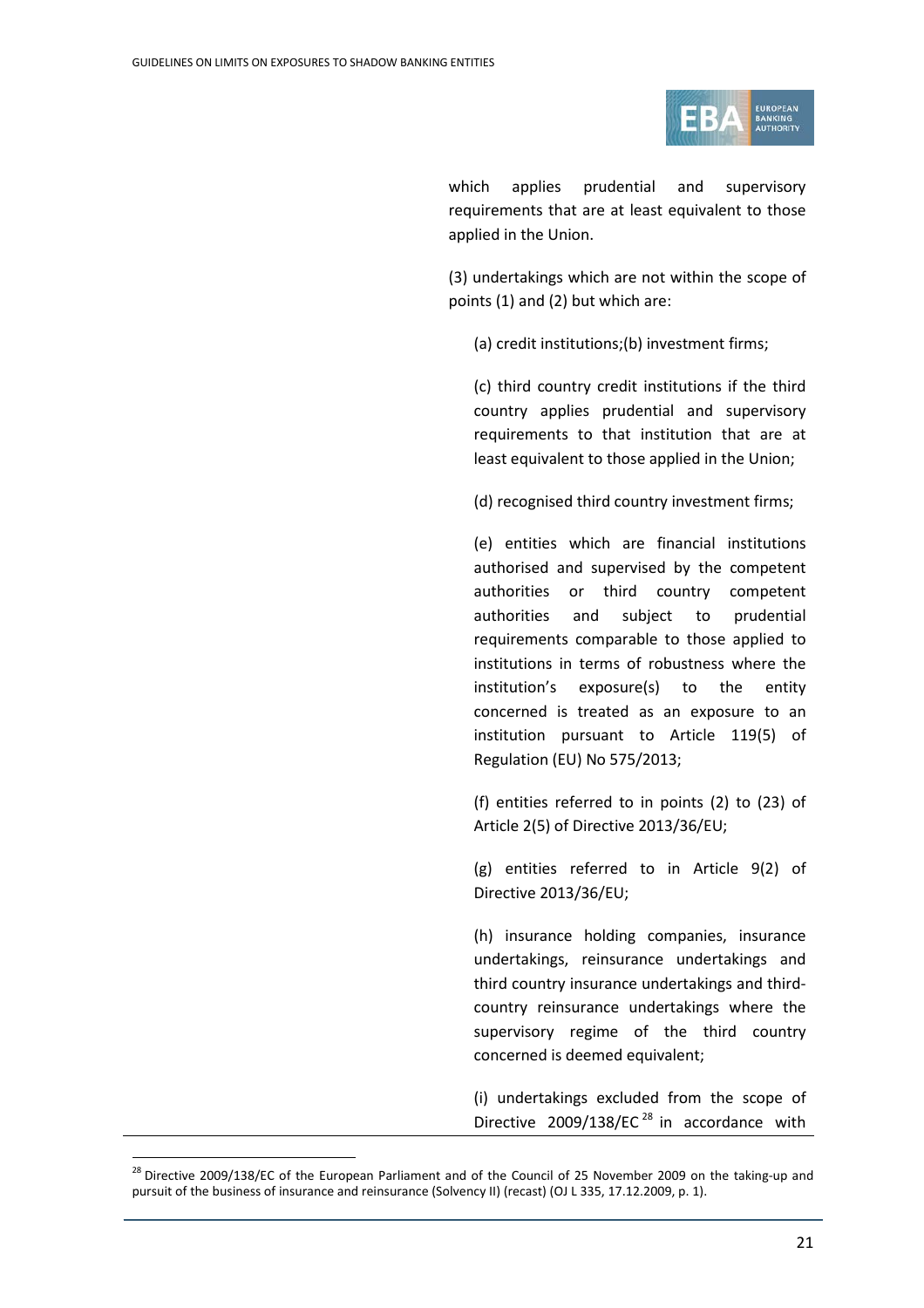

which applies prudential and supervisory requirements that are at least equivalent to those applied in the Union.

(3) undertakings which are not within the scope of points (1) and (2) but which are:

(a) credit institutions;(b) investment firms;

(c) third country credit institutions if the third country applies prudential and supervisory requirements to that institution that are at least equivalent to those applied in the Union;

(d) recognised third country investment firms;

(e) entities which are financial institutions authorised and supervised by the competent authorities or third country competent authorities and subject to prudential requirements comparable to those applied to institutions in terms of robustness where the institution's exposure(s) to the entity concerned is treated as an exposure to an institution pursuant to Article 119(5) of Regulation (EU) No 575/2013;

(f) entities referred to in points (2) to (23) of Article 2(5) of Directive 2013/36/EU;

(g) entities referred to in Article 9(2) of Directive 2013/36/EU;

(h) insurance holding companies, insurance undertakings, reinsurance undertakings and third country insurance undertakings and thirdcountry reinsurance undertakings where the supervisory regime of the third country concerned is deemed equivalent;

(i) undertakings excluded from the scope of Directive 2009/138/EC<sup>[28](#page-20-0)</sup> in accordance with

<span id="page-20-0"></span><sup>&</sup>lt;sup>28</sup> Directive 2009/138/EC of the European Parliament and of the Council of 25 November 2009 on the taking-up and pursuit of the business of insurance and reinsurance (Solvency II) (recast) (OJ L 335, 17.12.2009, p. 1).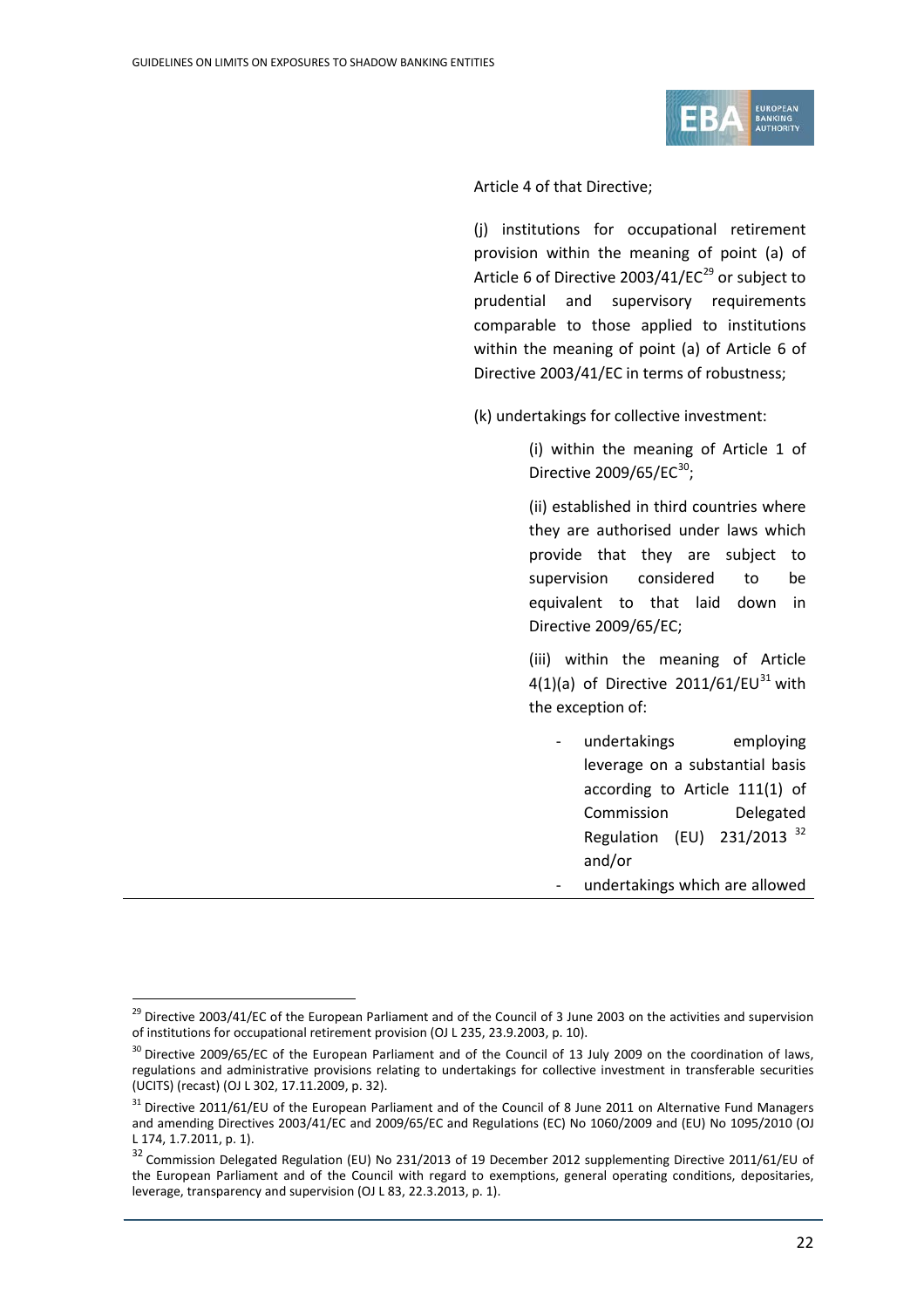

Article 4 of that Directive;

(j) institutions for occupational retirement provision within the meaning of point (a) of Article 6 of Directive 2003/41/EC $^{29}$  $^{29}$  $^{29}$  or subject to prudential and supervisory requirements comparable to those applied to institutions within the meaning of point (a) of Article 6 of Directive 2003/41/EC in terms of robustness;

(k) undertakings for collective investment:

(i) within the meaning of Article 1 of Directive  $2009/65/EC^{30}$  $2009/65/EC^{30}$  $2009/65/EC^{30}$ ;

(ii) established in third countries where they are authorised under laws which provide that they are subject to supervision considered to be equivalent to that laid down in Directive 2009/65/EC;

(iii) within the meaning of Article 4(1)(a) of Directive 2011/61/EU<sup>[31](#page-21-2)</sup> with the exception of:

undertakings employing leverage on a substantial basis according to Article 111(1) of Commission Delegated Regulation (EU) 231/2013 [32](#page-21-3) and/or - undertakings which are allowed

<span id="page-21-0"></span><sup>&</sup>lt;sup>29</sup> Directive 2003/41/EC of the European Parliament and of the Council of 3 June 2003 on the activities and supervision of institutions for occupational retirement provision (OJ L 235, 23.9.2003, p. 10).

<span id="page-21-1"></span><sup>&</sup>lt;sup>30</sup> Directive 2009/65/EC of the European Parliament and of the Council of 13 July 2009 on the coordination of laws, regulations and administrative provisions relating to undertakings for collective investment in transferable securities (UCITS) (recast) (OJ L 302, 17.11.2009, p. 32).

<span id="page-21-2"></span> $31$  Directive 2011/61/EU of the European Parliament and of the Council of 8 June 2011 on Alternative Fund Managers and amending Directives 2003/41/EC and 2009/65/EC and Regulations (EC) No 1060/2009 and (EU) No 1095/2010 (OJ L 174, 1.7.2011, p. 1).

<span id="page-21-3"></span><sup>&</sup>lt;sup>32</sup> Commission Delegated Regulation (EU) No 231/2013 of 19 December 2012 supplementing Directive 2011/61/EU of the European Parliament and of the Council with regard to exemptions, general operating conditions, depositaries, leverage, transparency and supervision (OJ L 83, 22.3.2013, p. 1).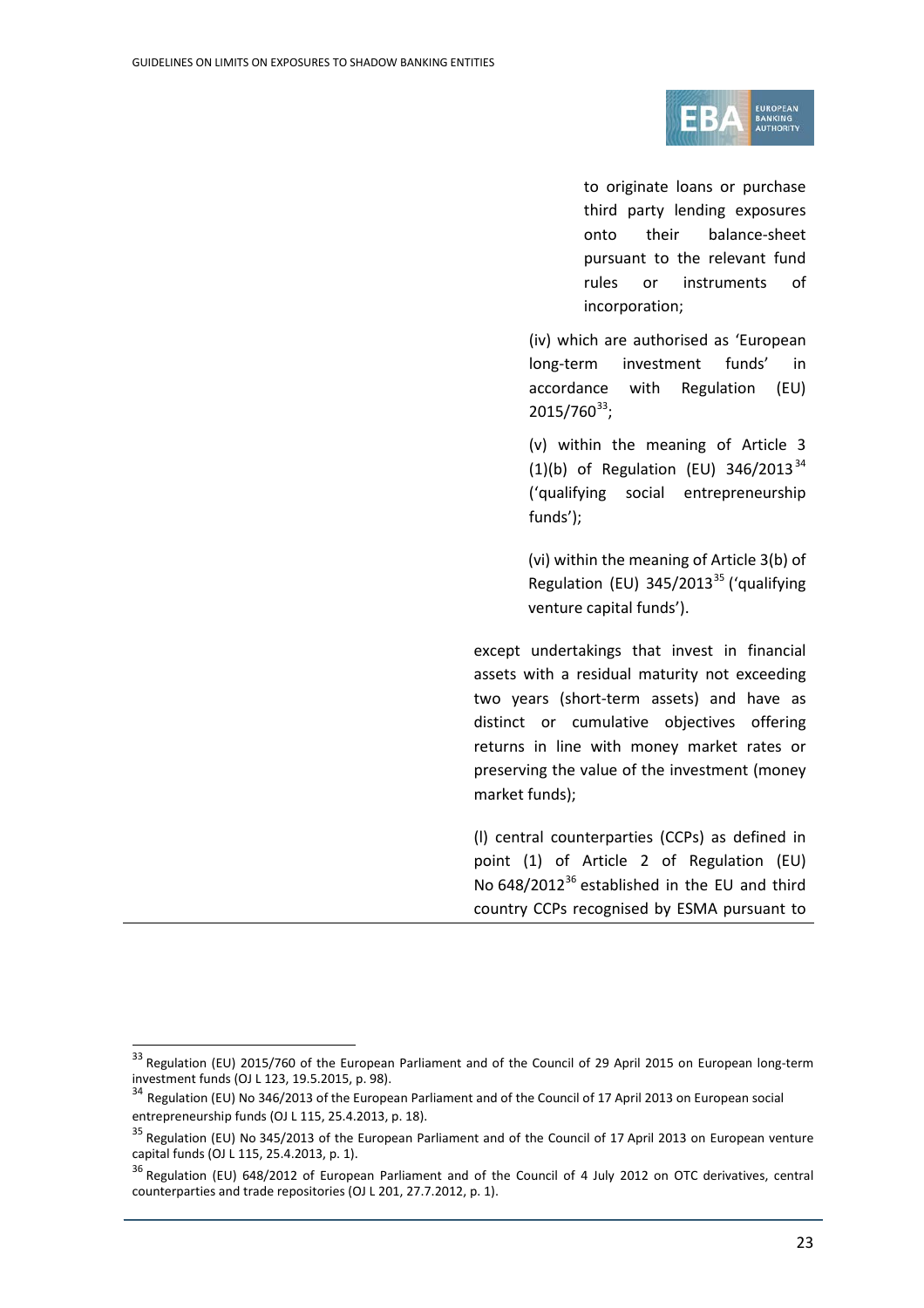

to originate loans or purchase third party lending exposures onto their balance-sheet pursuant to the relevant fund rules or instruments of incorporation;

(iv) which are authorised as 'European long-term investment funds' in accordance with Regulation (EU)  $2015/760^{33}$  $2015/760^{33}$  $2015/760^{33}$ ;

(v) within the meaning of Article 3 (1)(b) of Regulation (EU)  $346/2013^{34}$  $346/2013^{34}$ ('qualifying social entrepreneurship funds');

(vi) within the meaning of Article 3(b) of Regulation (EU)  $345/2013^{35}$  $345/2013^{35}$  $345/2013^{35}$  ('qualifying venture capital funds').

except undertakings that invest in financial assets with a residual maturity not exceeding two years (short-term assets) and have as distinct or cumulative objectives offering returns in line with money market rates or preserving the value of the investment (money market funds);

(l) central counterparties (CCPs) as defined in point (1) of Article 2 of Regulation (EU) No 648/2012<sup>[36](#page-22-3)</sup> established in the EU and third country CCPs recognised by ESMA pursuant to

<span id="page-22-0"></span><sup>&</sup>lt;sup>33</sup> Regulation (EU) 2015/760 of the European Parliament and of the Council of 29 April 2015 on European long-term investment funds (OJ L 123, 19.5.2015, p. 98).

<span id="page-22-1"></span><sup>&</sup>lt;sup>34</sup> Regulation (EU) No 346/2013 of the European Parliament and of the Council of 17 April 2013 on European social entrepreneurship funds (OJ L 115, 25.4.2013, p. 18).

<span id="page-22-2"></span><sup>&</sup>lt;sup>35</sup> Regulation (EU) No 345/2013 of the European Parliament and of the Council of 17 April 2013 on European venture capital funds (OJ L 115, 25.4.2013, p. 1).

<span id="page-22-3"></span><sup>&</sup>lt;sup>36</sup> Regulation (EU) 648/2012 of European Parliament and of the Council of 4 July 2012 on OTC derivatives, central counterparties and trade repositories (OJ L 201, 27.7.2012, p. 1).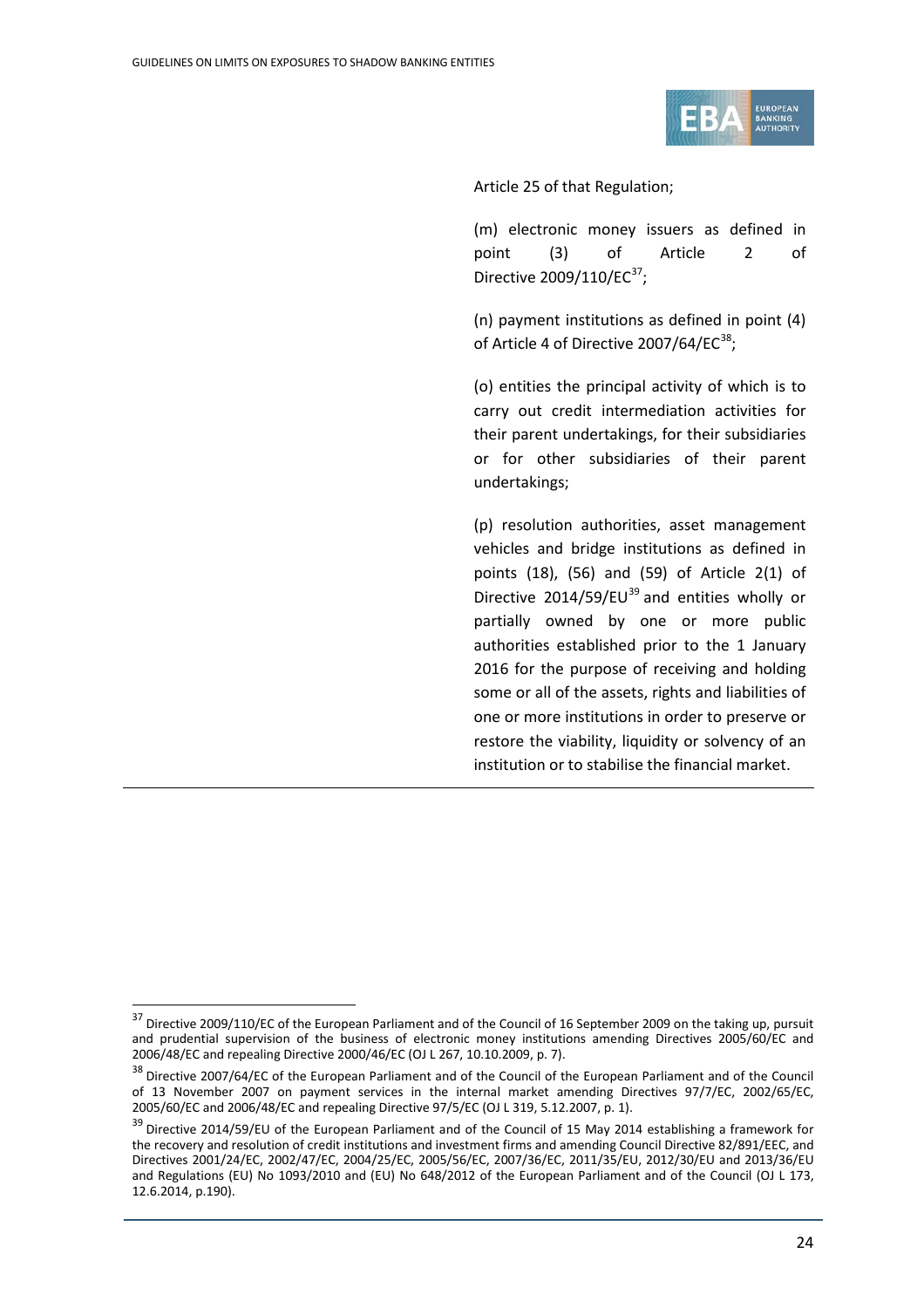

Article 25 of that Regulation;

(m) electronic money issuers as defined in point (3) of Article 2 of Directive 2009/110/EC $^{37}$  $^{37}$  $^{37}$ ;

(n) payment institutions as defined in point (4) of Article 4 of Directive 2007/64/EC $^{38}$  $^{38}$  $^{38}$ ;

(o) entities the principal activity of which is to carry out credit intermediation activities for their parent undertakings, for their subsidiaries or for other subsidiaries of their parent undertakings;

(p) resolution authorities, asset management vehicles and bridge institutions as defined in points (18), (56) and (59) of Article 2(1) of Directive 2014/59/EU $^{39}$  $^{39}$  $^{39}$  and entities wholly or partially owned by one or more public authorities established prior to the 1 January 2016 for the purpose of receiving and holding some or all of the assets, rights and liabilities of one or more institutions in order to preserve or restore the viability, liquidity or solvency of an institution or to stabilise the financial market.

<span id="page-23-0"></span><sup>&</sup>lt;sup>37</sup> Directive 2009/110/EC of the European Parliament and of the Council of 16 September 2009 on the taking up, pursuit and prudential supervision of the business of electronic money institutions amending Directives 2005/60/EC and 2006/48/EC and repealing Directive 2000/46/EC (OJ L 267, 10.10.2009, p. 7).

<span id="page-23-1"></span><sup>&</sup>lt;sup>38</sup> Directive 2007/64/EC of the European Parliament and of the Council of the European Parliament and of the Council of 13 November 2007 on payment services in the internal market amending Directives 97/7/EC, 2002/65/EC, 2005/60/EC and 2006/48/EC and repealing Directive 97/5/EC (OJ L 319, 5.12.2007, p. 1).

<span id="page-23-2"></span><sup>&</sup>lt;sup>39</sup> Directive 2014/59/EU of the European Parliament and of the Council of 15 May 2014 establishing a framework for the recovery and resolution of credit institutions and investment firms and amending Council Directive 82/891/EEC, and Directives 2001/24/EC, 2002/47/EC, 2004/25/EC, 2005/56/EC, 2007/36/EC, 2011/35/EU, 2012/30/EU and 2013/36/EU and Regulations (EU) No 1093/2010 and (EU) No 648/2012 of the European Parliament and of the Council (OJ L 173, 12.6.2014, p.190).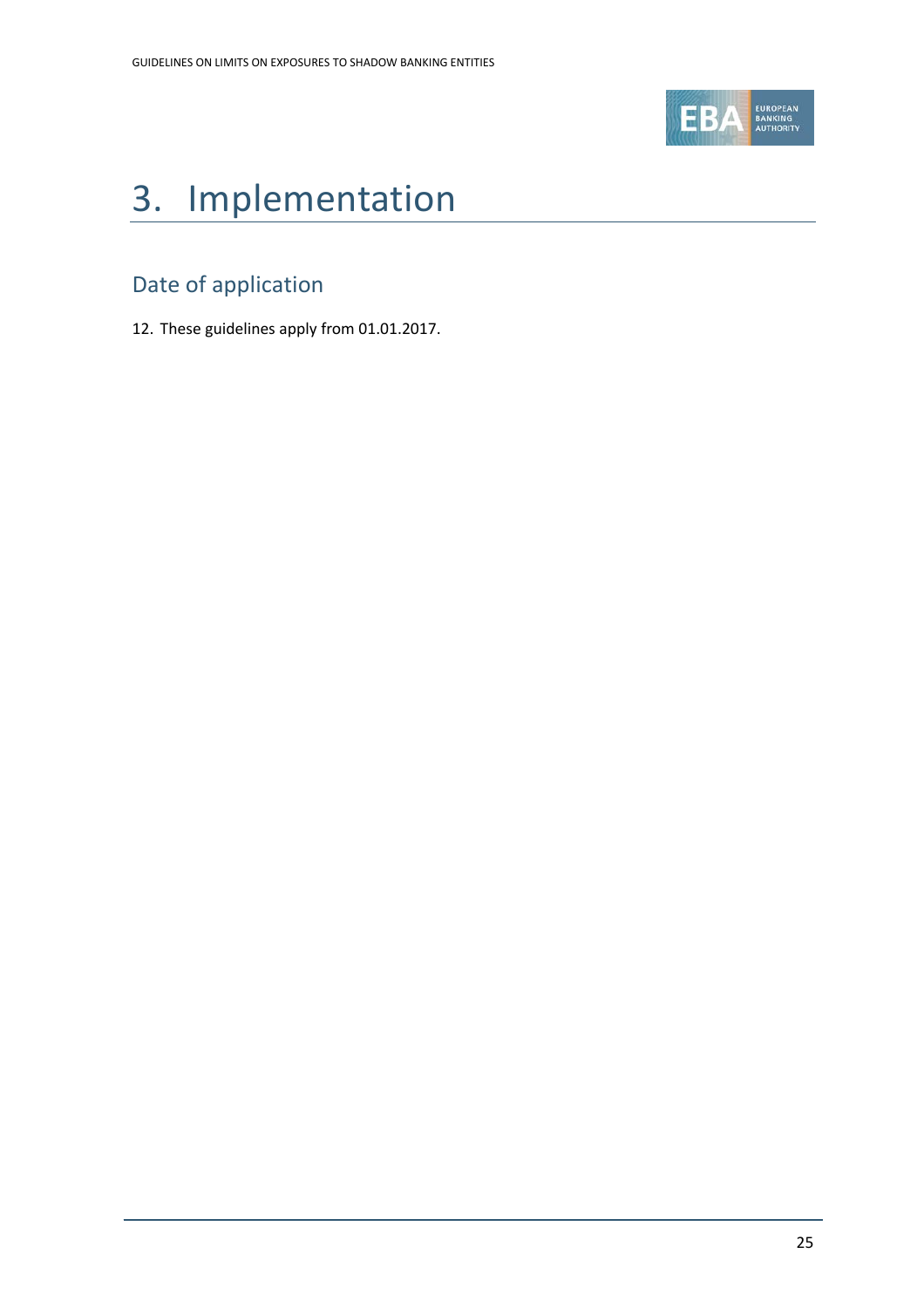

# 3. Implementation

## Date of application

12. These guidelines apply from 01.01.2017.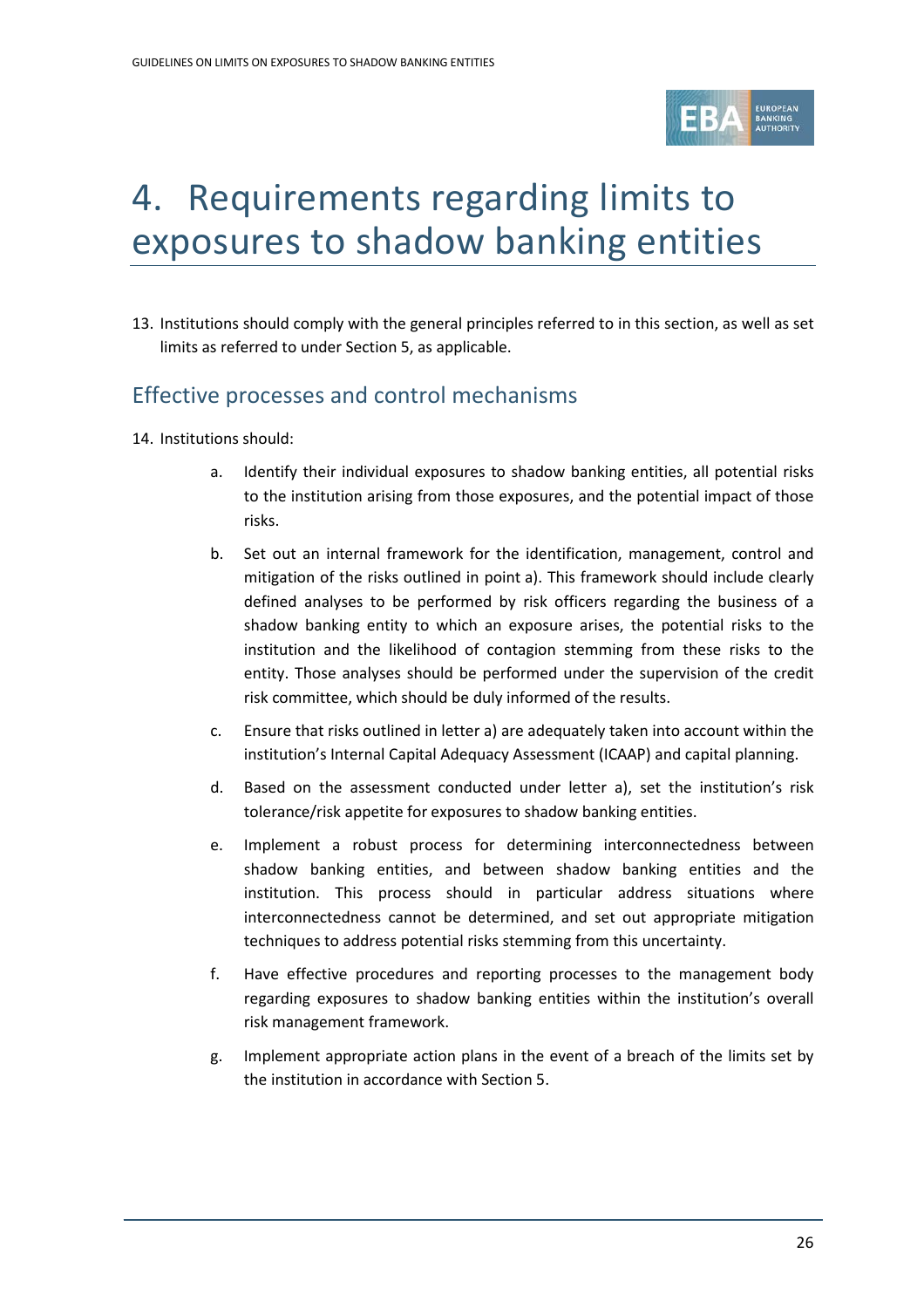

# 4. Requirements regarding limits to exposures to shadow banking entities

13. Institutions should comply with the general principles referred to in this section, as well as set limits as referred to under Section 5, as applicable.

## Effective processes and control mechanisms

- 14. Institutions should:
	- a. Identify their individual exposures to shadow banking entities, all potential risks to the institution arising from those exposures, and the potential impact of those risks.
	- b. Set out an internal framework for the identification, management, control and mitigation of the risks outlined in point a). This framework should include clearly defined analyses to be performed by risk officers regarding the business of a shadow banking entity to which an exposure arises, the potential risks to the institution and the likelihood of contagion stemming from these risks to the entity. Those analyses should be performed under the supervision of the credit risk committee, which should be duly informed of the results.
	- c. Ensure that risks outlined in letter a) are adequately taken into account within the institution's Internal Capital Adequacy Assessment (ICAAP) and capital planning.
	- d. Based on the assessment conducted under letter a), set the institution's risk tolerance/risk appetite for exposures to shadow banking entities.
	- e. Implement a robust process for determining interconnectedness between shadow banking entities, and between shadow banking entities and the institution. This process should in particular address situations where interconnectedness cannot be determined, and set out appropriate mitigation techniques to address potential risks stemming from this uncertainty.
	- f. Have effective procedures and reporting processes to the management body regarding exposures to shadow banking entities within the institution's overall risk management framework.
	- g. Implement appropriate action plans in the event of a breach of the limits set by the institution in accordance with Section 5.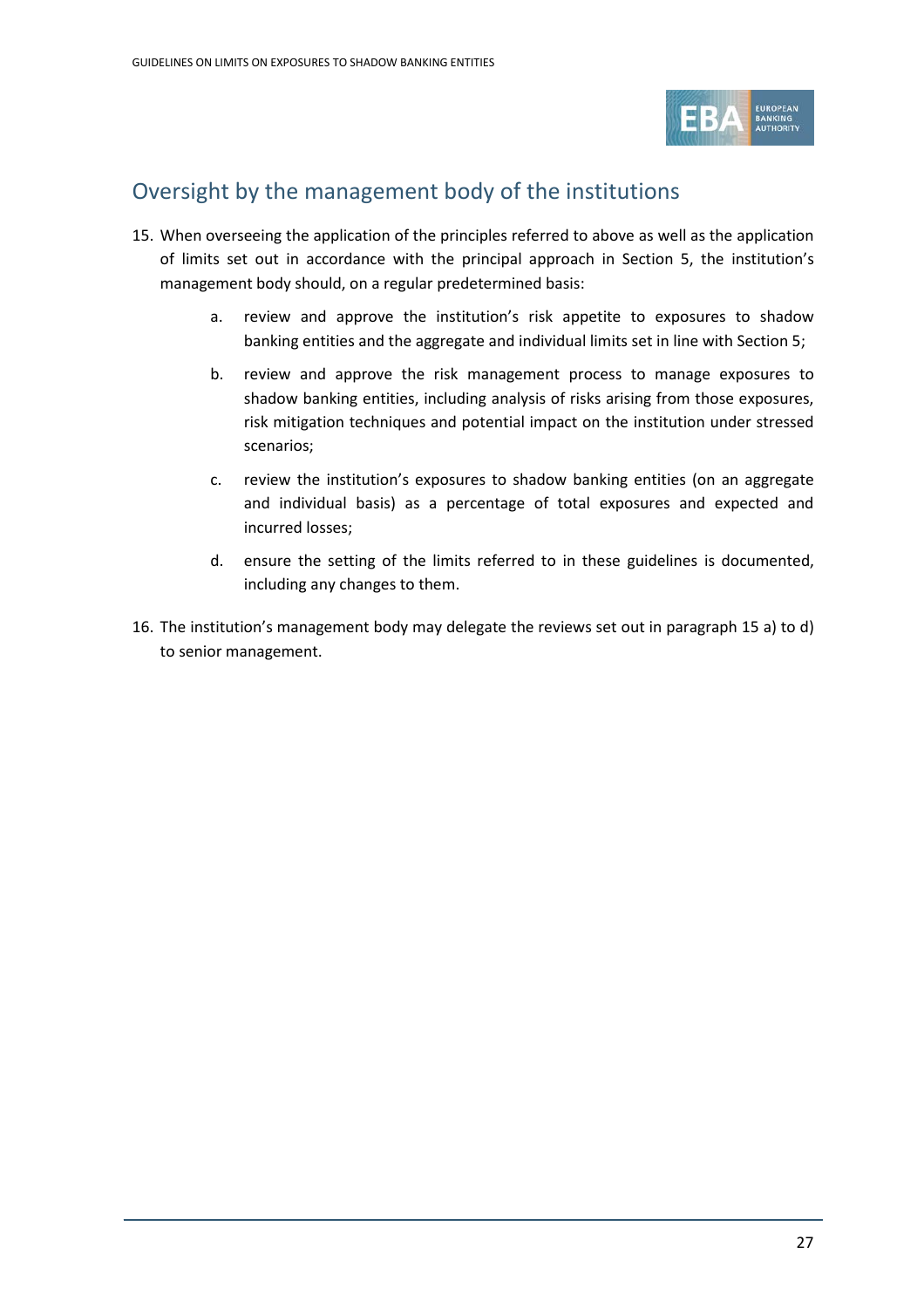

## Oversight by the management body of the institutions

- 15. When overseeing the application of the principles referred to above as well as the application of limits set out in accordance with the principal approach in Section 5, the institution's management body should, on a regular predetermined basis:
	- a. review and approve the institution's risk appetite to exposures to shadow banking entities and the aggregate and individual limits set in line with Section 5;
	- b. review and approve the risk management process to manage exposures to shadow banking entities, including analysis of risks arising from those exposures, risk mitigation techniques and potential impact on the institution under stressed scenarios;
	- c. review the institution's exposures to shadow banking entities (on an aggregate and individual basis) as a percentage of total exposures and expected and incurred losses;
	- d. ensure the setting of the limits referred to in these guidelines is documented, including any changes to them.
- 16. The institution's management body may delegate the reviews set out in paragraph 15 a) to d) to senior management.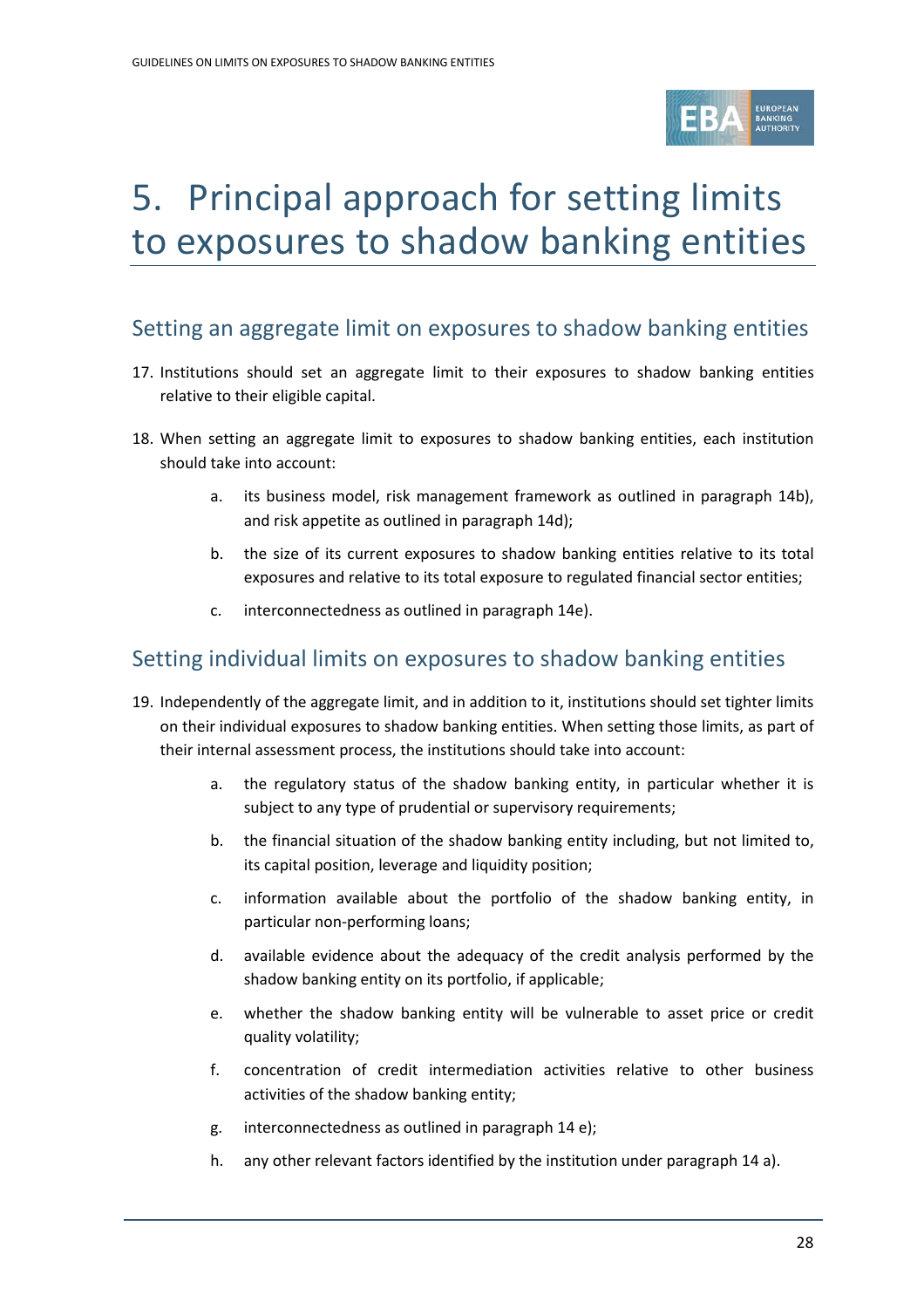

# 5. Principal approach for setting limits to exposures to shadow banking entities

### Setting an aggregate limit on exposures to shadow banking entities

- 17. Institutions should set an aggregate limit to their exposures to shadow banking entities relative to their eligible capital.
- 18. When setting an aggregate limit to exposures to shadow banking entities, each institution should take into account:
	- a. its business model, risk management framework as outlined in paragraph 14b), and risk appetite as outlined in paragraph 14d);
	- b. the size of its current exposures to shadow banking entities relative to its total exposures and relative to its total exposure to regulated financial sector entities;
	- c. interconnectedness as outlined in paragraph 14e).

### Setting individual limits on exposures to shadow banking entities

- 19. Independently of the aggregate limit, and in addition to it, institutions should set tighter limits on their individual exposures to shadow banking entities. When setting those limits, as part of their internal assessment process, the institutions should take into account:
	- a. the regulatory status of the shadow banking entity, in particular whether it is subject to any type of prudential or supervisory requirements;
	- b. the financial situation of the shadow banking entity including, but not limited to, its capital position, leverage and liquidity position;
	- c. information available about the portfolio of the shadow banking entity, in particular non-performing loans;
	- d. available evidence about the adequacy of the credit analysis performed by the shadow banking entity on its portfolio, if applicable;
	- e. whether the shadow banking entity will be vulnerable to asset price or credit quality volatility;
	- f. concentration of credit intermediation activities relative to other business activities of the shadow banking entity;
	- g. interconnectedness as outlined in paragraph 14 e);
	- h. any other relevant factors identified by the institution under paragraph 14 a).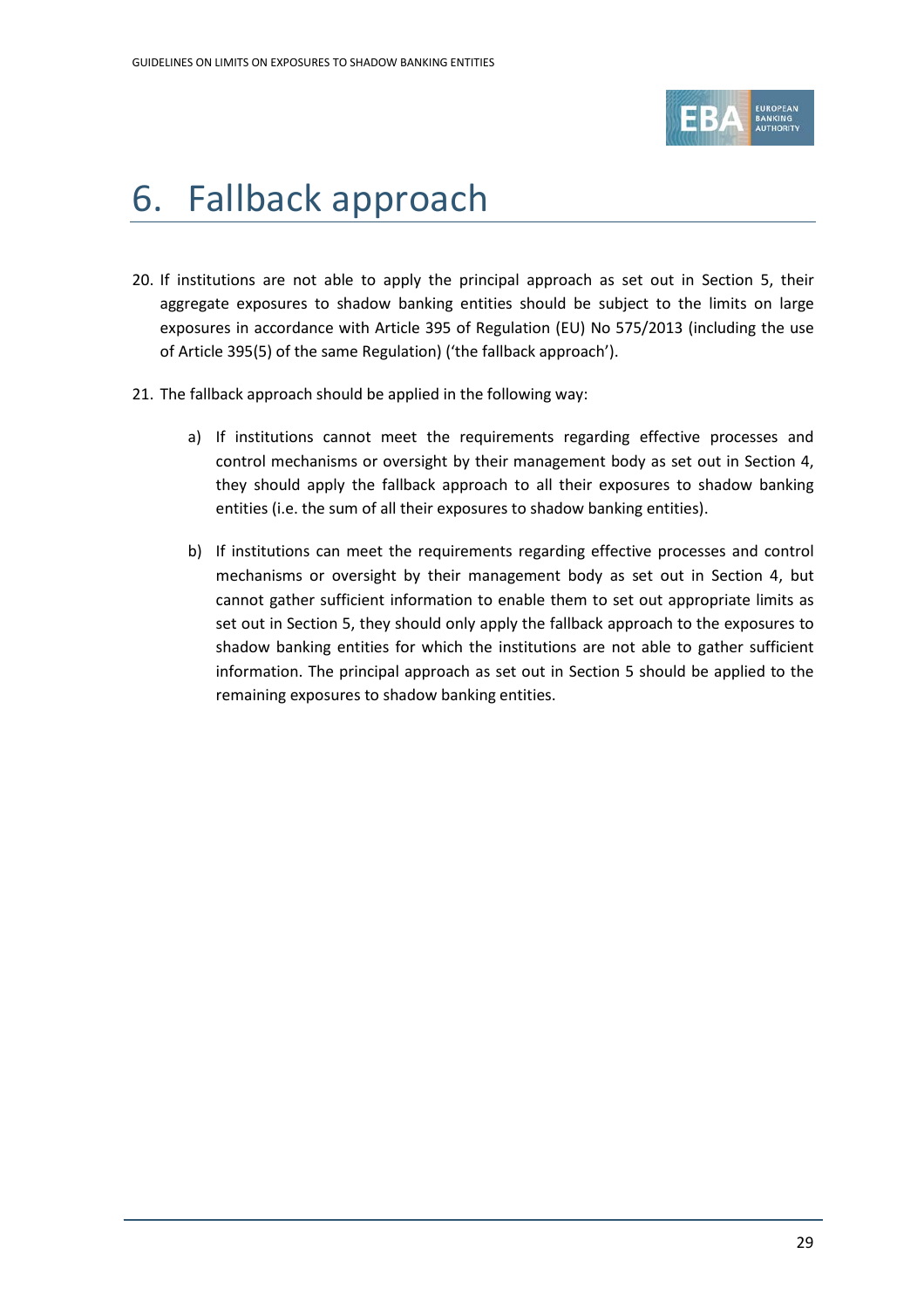

# 6. Fallback approach

- 20. If institutions are not able to apply the principal approach as set out in Section 5, their aggregate exposures to shadow banking entities should be subject to the limits on large exposures in accordance with Article 395 of Regulation (EU) No 575/2013 (including the use of Article 395(5) of the same Regulation) ('the fallback approach').
- 21. The fallback approach should be applied in the following way:
	- a) If institutions cannot meet the requirements regarding effective processes and control mechanisms or oversight by their management body as set out in Section 4, they should apply the fallback approach to all their exposures to shadow banking entities (i.e. the sum of all their exposures to shadow banking entities).
	- b) If institutions can meet the requirements regarding effective processes and control mechanisms or oversight by their management body as set out in Section 4, but cannot gather sufficient information to enable them to set out appropriate limits as set out in Section 5, they should only apply the fallback approach to the exposures to shadow banking entities for which the institutions are not able to gather sufficient information. The principal approach as set out in Section 5 should be applied to the remaining exposures to shadow banking entities.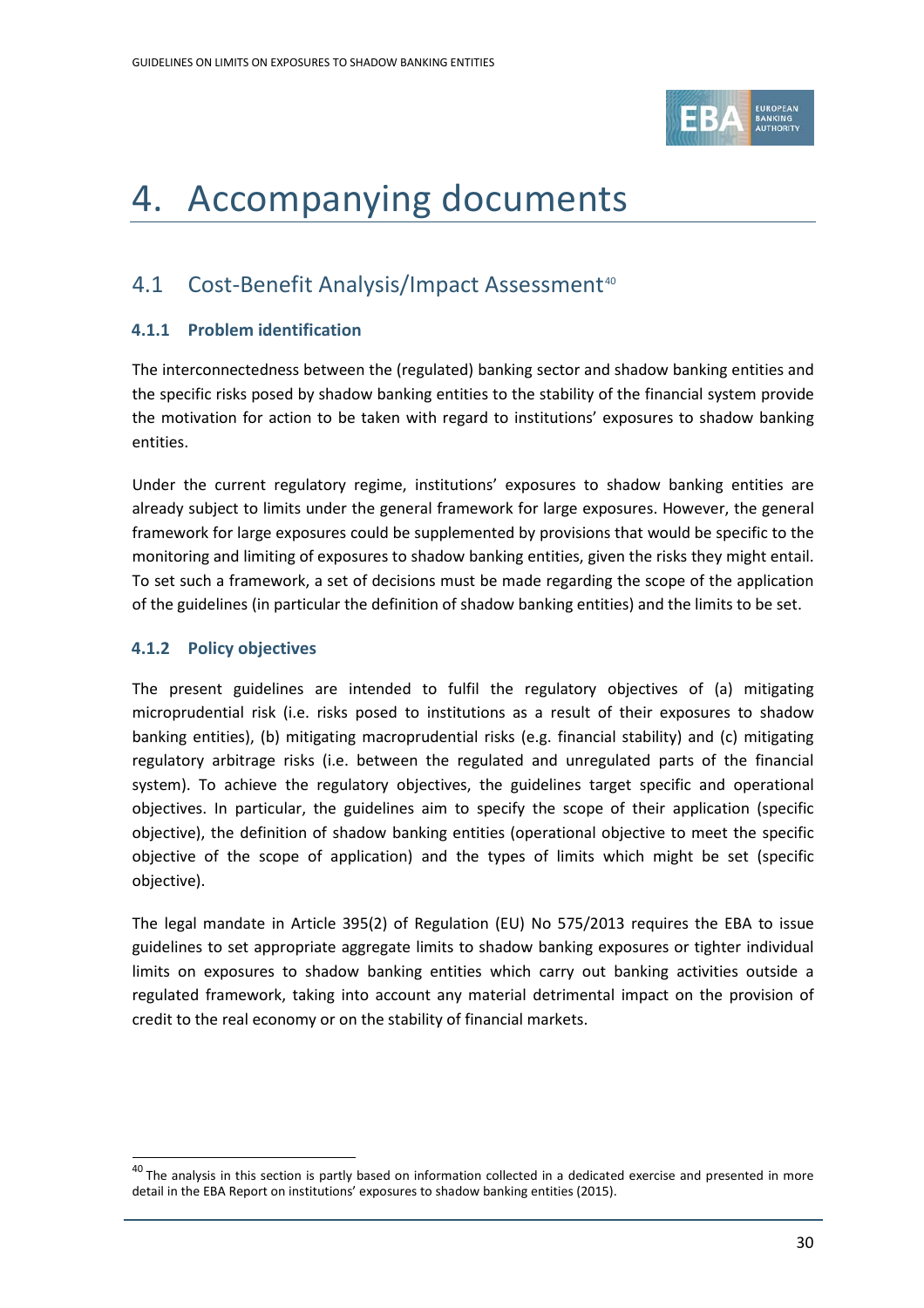

# <span id="page-29-0"></span>4. Accompanying documents

## <span id="page-29-1"></span>4.1 Cost-Benefit Analysis/Impact Assessment<sup>[40](#page-29-2)</sup>

### **4.1.1 Problem identification**

The interconnectedness between the (regulated) banking sector and shadow banking entities and the specific risks posed by shadow banking entities to the stability of the financial system provide the motivation for action to be taken with regard to institutions' exposures to shadow banking entities.

Under the current regulatory regime, institutions' exposures to shadow banking entities are already subject to limits under the general framework for large exposures. However, the general framework for large exposures could be supplemented by provisions that would be specific to the monitoring and limiting of exposures to shadow banking entities, given the risks they might entail. To set such a framework, a set of decisions must be made regarding the scope of the application of the guidelines (in particular the definition of shadow banking entities) and the limits to be set.

### **4.1.2 Policy objectives**

 $\overline{a}$ 

The present guidelines are intended to fulfil the regulatory objectives of (a) mitigating microprudential risk (i.e. risks posed to institutions as a result of their exposures to shadow banking entities), (b) mitigating macroprudential risks (e.g. financial stability) and (c) mitigating regulatory arbitrage risks (i.e. between the regulated and unregulated parts of the financial system). To achieve the regulatory objectives, the guidelines target specific and operational objectives. In particular, the guidelines aim to specify the scope of their application (specific objective), the definition of shadow banking entities (operational objective to meet the specific objective of the scope of application) and the types of limits which might be set (specific objective).

The legal mandate in Article 395(2) of Regulation (EU) No 575/2013 requires the EBA to issue guidelines to set appropriate aggregate limits to shadow banking exposures or tighter individual limits on exposures to shadow banking entities which carry out banking activities outside a regulated framework, taking into account any material detrimental impact on the provision of credit to the real economy or on the stability of financial markets.

<span id="page-29-2"></span> $40$  The analysis in this section is partly based on information collected in a dedicated exercise and presented in more detail in the EBA Report on institutions' exposures to shadow banking entities (2015).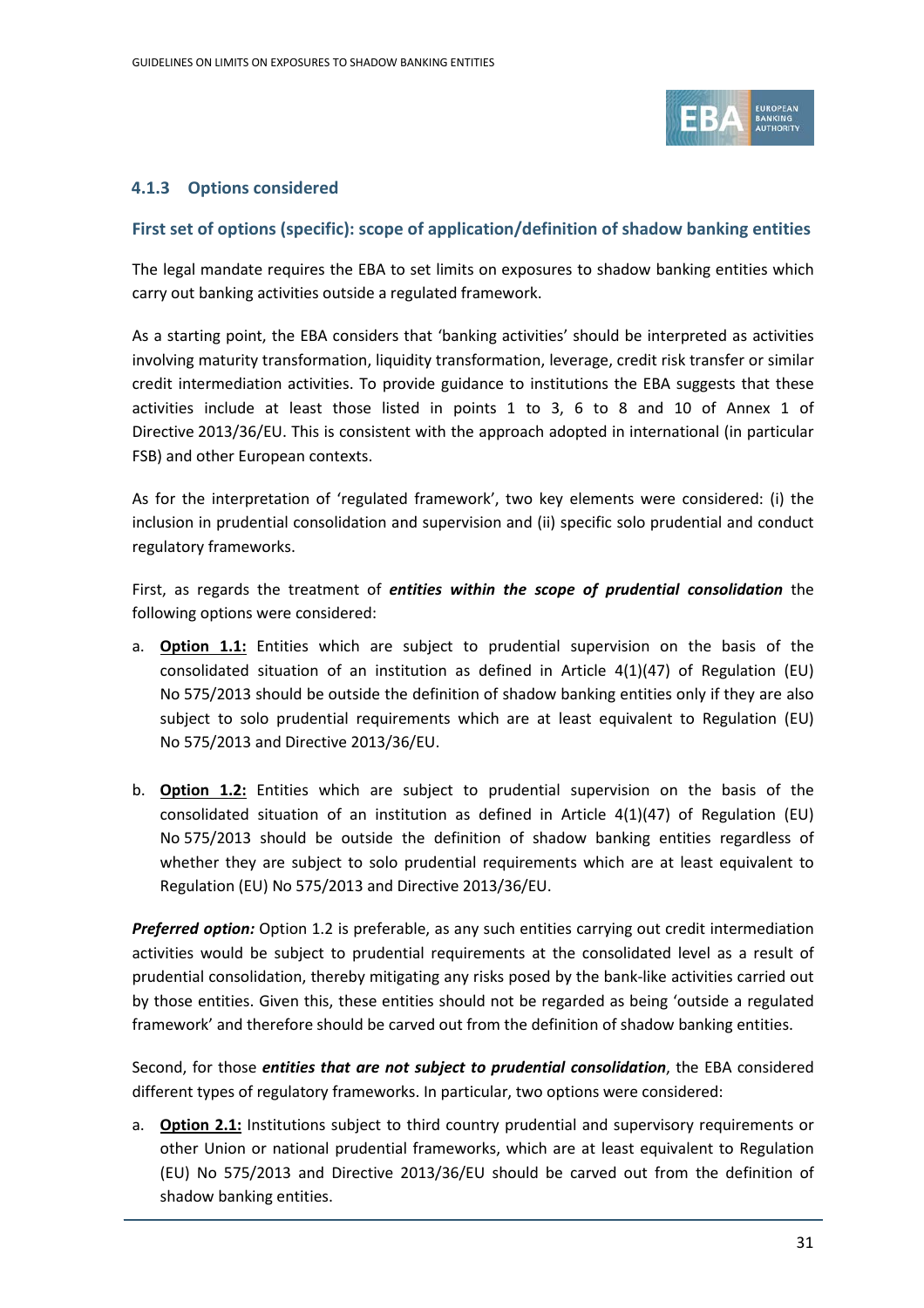

### **4.1.3 Options considered**

### **First set of options (specific): scope of application/definition of shadow banking entities**

The legal mandate requires the EBA to set limits on exposures to shadow banking entities which carry out banking activities outside a regulated framework.

As a starting point, the EBA considers that 'banking activities' should be interpreted as activities involving maturity transformation, liquidity transformation, leverage, credit risk transfer or similar credit intermediation activities. To provide guidance to institutions the EBA suggests that these activities include at least those listed in points 1 to 3, 6 to 8 and 10 of Annex 1 of Directive 2013/36/EU. This is consistent with the approach adopted in international (in particular FSB) and other European contexts.

As for the interpretation of 'regulated framework', two key elements were considered: (i) the inclusion in prudential consolidation and supervision and (ii) specific solo prudential and conduct regulatory frameworks.

First, as regards the treatment of *entities within the scope of prudential consolidation* the following options were considered:

- a. **Option 1.1:** Entities which are subject to prudential supervision on the basis of the consolidated situation of an institution as defined in Article  $4(1)(47)$  of Regulation (EU) No 575/2013 should be outside the definition of shadow banking entities only if they are also subject to solo prudential requirements which are at least equivalent to Regulation (EU) No 575/2013 and Directive 2013/36/EU.
- b. **Option 1.2:** Entities which are subject to prudential supervision on the basis of the consolidated situation of an institution as defined in Article  $4(1)(47)$  of Regulation (EU) No 575/2013 should be outside the definition of shadow banking entities regardless of whether they are subject to solo prudential requirements which are at least equivalent to Regulation (EU) No 575/2013 and Directive 2013/36/EU.

*Preferred option:* Option 1.2 is preferable, as any such entities carrying out credit intermediation activities would be subject to prudential requirements at the consolidated level as a result of prudential consolidation, thereby mitigating any risks posed by the bank-like activities carried out by those entities. Given this, these entities should not be regarded as being 'outside a regulated framework' and therefore should be carved out from the definition of shadow banking entities.

Second, for those *entities that are not subject to prudential consolidation*, the EBA considered different types of regulatory frameworks. In particular, two options were considered:

a. **Option 2.1:** Institutions subject to third country prudential and supervisory requirements or other Union or national prudential frameworks, which are at least equivalent to Regulation (EU) No 575/2013 and Directive 2013/36/EU should be carved out from the definition of shadow banking entities.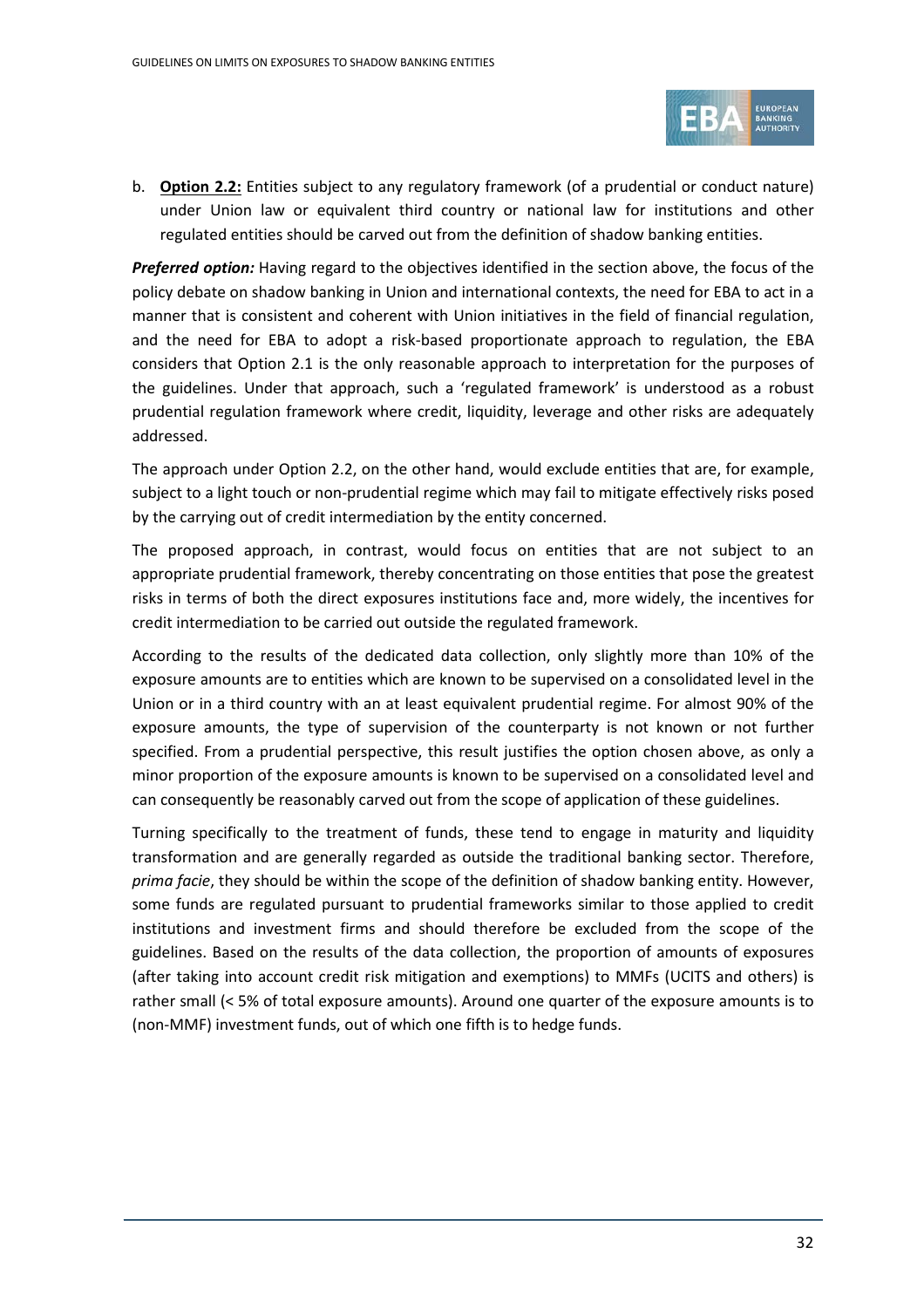

b. **Option 2.2:** Entities subject to any regulatory framework (of a prudential or conduct nature) under Union law or equivalent third country or national law for institutions and other regulated entities should be carved out from the definition of shadow banking entities.

*Preferred option:* Having regard to the objectives identified in the section above, the focus of the policy debate on shadow banking in Union and international contexts, the need for EBA to act in a manner that is consistent and coherent with Union initiatives in the field of financial regulation, and the need for EBA to adopt a risk-based proportionate approach to regulation, the EBA considers that Option 2.1 is the only reasonable approach to interpretation for the purposes of the guidelines. Under that approach, such a 'regulated framework' is understood as a robust prudential regulation framework where credit, liquidity, leverage and other risks are adequately addressed.

The approach under Option 2.2, on the other hand, would exclude entities that are, for example, subject to a light touch or non-prudential regime which may fail to mitigate effectively risks posed by the carrying out of credit intermediation by the entity concerned.

The proposed approach, in contrast, would focus on entities that are not subject to an appropriate prudential framework, thereby concentrating on those entities that pose the greatest risks in terms of both the direct exposures institutions face and, more widely, the incentives for credit intermediation to be carried out outside the regulated framework.

According to the results of the dedicated data collection, only slightly more than 10% of the exposure amounts are to entities which are known to be supervised on a consolidated level in the Union or in a third country with an at least equivalent prudential regime. For almost 90% of the exposure amounts, the type of supervision of the counterparty is not known or not further specified. From a prudential perspective, this result justifies the option chosen above, as only a minor proportion of the exposure amounts is known to be supervised on a consolidated level and can consequently be reasonably carved out from the scope of application of these guidelines.

Turning specifically to the treatment of funds, these tend to engage in maturity and liquidity transformation and are generally regarded as outside the traditional banking sector. Therefore, *prima facie*, they should be within the scope of the definition of shadow banking entity. However, some funds are regulated pursuant to prudential frameworks similar to those applied to credit institutions and investment firms and should therefore be excluded from the scope of the guidelines. Based on the results of the data collection, the proportion of amounts of exposures (after taking into account credit risk mitigation and exemptions) to MMFs (UCITS and others) is rather small (< 5% of total exposure amounts). Around one quarter of the exposure amounts is to (non-MMF) investment funds, out of which one fifth is to hedge funds.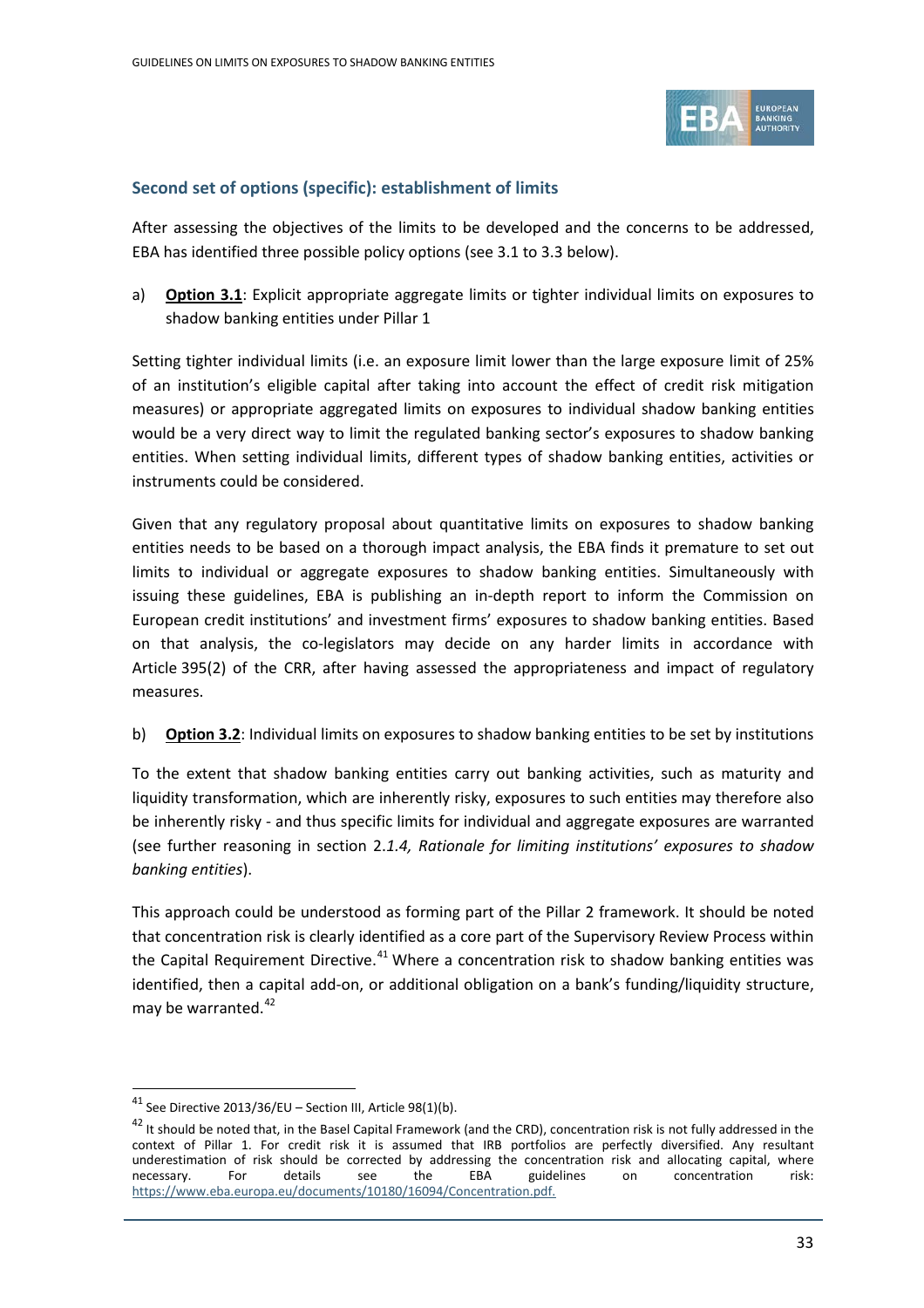

### **Second set of options (specific): establishment of limits**

After assessing the objectives of the limits to be developed and the concerns to be addressed, EBA has identified three possible policy options (see 3.1 to 3.3 below).

a) **Option 3.1**: Explicit appropriate aggregate limits or tighter individual limits on exposures to shadow banking entities under Pillar 1

Setting tighter individual limits (i.e. an exposure limit lower than the large exposure limit of 25% of an institution's eligible capital after taking into account the effect of credit risk mitigation measures) or appropriate aggregated limits on exposures to individual shadow banking entities would be a very direct way to limit the regulated banking sector's exposures to shadow banking entities. When setting individual limits, different types of shadow banking entities, activities or instruments could be considered.

Given that any regulatory proposal about quantitative limits on exposures to shadow banking entities needs to be based on a thorough impact analysis, the EBA finds it premature to set out limits to individual or aggregate exposures to shadow banking entities. Simultaneously with issuing these guidelines, EBA is publishing an in-depth report to inform the Commission on European credit institutions' and investment firms' exposures to shadow banking entities. Based on that analysis, the co-legislators may decide on any harder limits in accordance with Article 395(2) of the CRR, after having assessed the appropriateness and impact of regulatory measures.

b) **Option 3.2**: Individual limits on exposures to shadow banking entities to be set by institutions

To the extent that shadow banking entities carry out banking activities, such as maturity and liquidity transformation, which are inherently risky, exposures to such entities may therefore also be inherently risky - and thus specific limits for individual and aggregate exposures are warranted (see further reasoning in section 2.*1.4, Rationale for limiting institutions' exposures to shadow banking entities*).

This approach could be understood as forming part of the Pillar 2 framework. It should be noted that concentration risk is clearly identified as a core part of the Supervisory Review Process within the Capital Requirement Directive.<sup>[41](#page-32-0)</sup> Where a concentration risk to shadow banking entities was identified, then a capital add-on, or additional obligation on a bank's funding/liquidity structure, may be warranted. $42$ 

<span id="page-32-0"></span> $41$  See Directive 2013/36/EU – Section III, Article 98(1)(b).

<span id="page-32-1"></span><sup>&</sup>lt;sup>42</sup> It should be noted that, in the Basel Capital Framework (and the CRD), concentration risk is not fully addressed in the context of Pillar 1. For credit risk it is assumed that IRB portfolios are perfectly diversified. Any resultant underestimation of risk should be corrected by addressing the concentration risk and allocating capital, where necessary. For details see the EBA guidelines on concentration risk: [https://www.eba.europa.eu/documents/10180/16094/Concentration.pdf.](https://www.eba.europa.eu/documents/10180/16094/Concentration.pdf)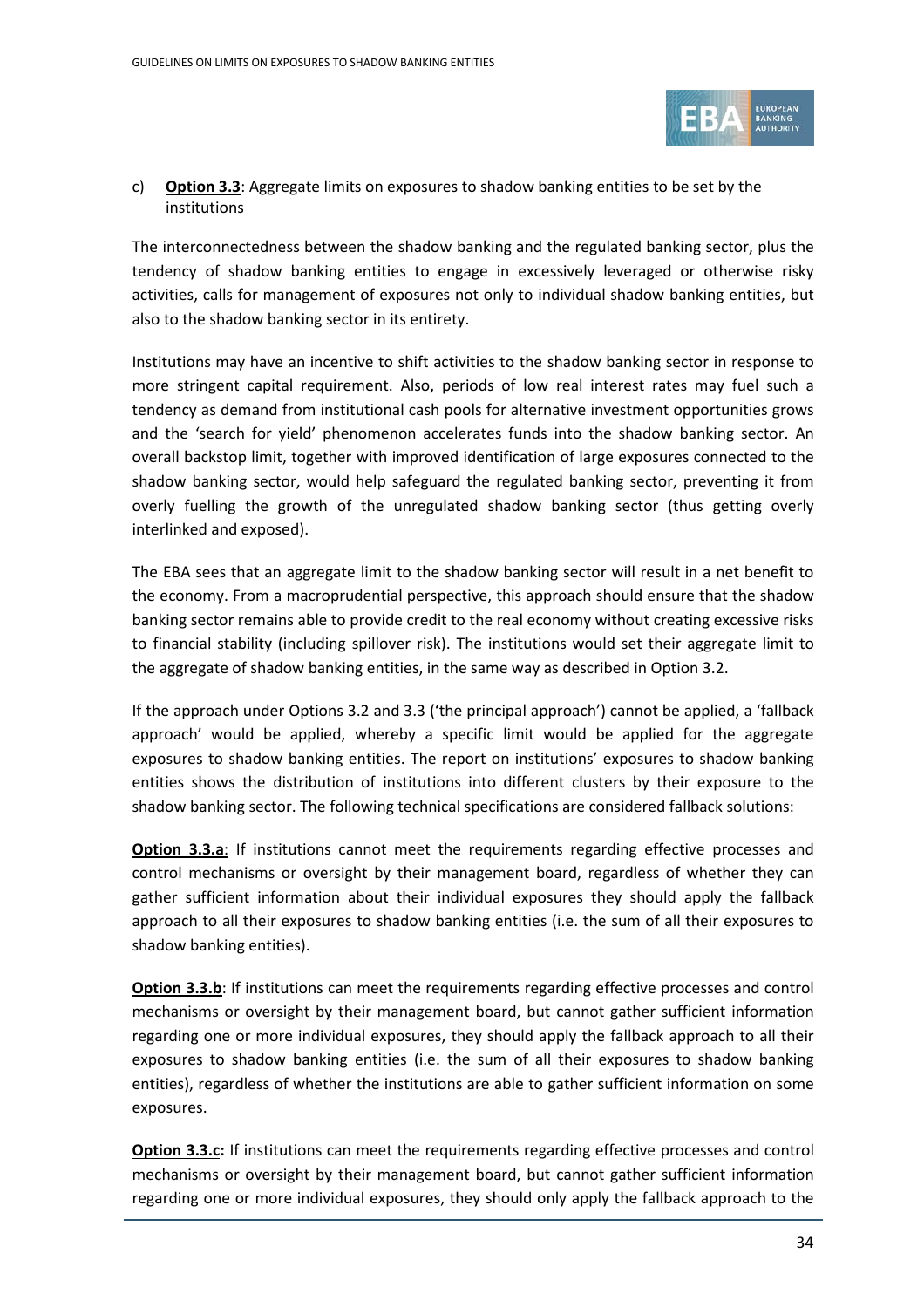

### c) **Option 3.3**: Aggregate limits on exposures to shadow banking entities to be set by the institutions

The interconnectedness between the shadow banking and the regulated banking sector, plus the tendency of shadow banking entities to engage in excessively leveraged or otherwise risky activities, calls for management of exposures not only to individual shadow banking entities, but also to the shadow banking sector in its entirety.

Institutions may have an incentive to shift activities to the shadow banking sector in response to more stringent capital requirement. Also, periods of low real interest rates may fuel such a tendency as demand from institutional cash pools for alternative investment opportunities grows and the 'search for yield' phenomenon accelerates funds into the shadow banking sector. An overall backstop limit, together with improved identification of large exposures connected to the shadow banking sector, would help safeguard the regulated banking sector, preventing it from overly fuelling the growth of the unregulated shadow banking sector (thus getting overly interlinked and exposed).

The EBA sees that an aggregate limit to the shadow banking sector will result in a net benefit to the economy. From a macroprudential perspective, this approach should ensure that the shadow banking sector remains able to provide credit to the real economy without creating excessive risks to financial stability (including spillover risk). The institutions would set their aggregate limit to the aggregate of shadow banking entities, in the same way as described in Option 3.2.

If the approach under Options 3.2 and 3.3 ('the principal approach') cannot be applied, a 'fallback approach' would be applied, whereby a specific limit would be applied for the aggregate exposures to shadow banking entities. The report on institutions' exposures to shadow banking entities shows the distribution of institutions into different clusters by their exposure to the shadow banking sector. The following technical specifications are considered fallback solutions:

**Option 3.3.a**: If institutions cannot meet the requirements regarding effective processes and control mechanisms or oversight by their management board, regardless of whether they can gather sufficient information about their individual exposures they should apply the fallback approach to all their exposures to shadow banking entities (i.e. the sum of all their exposures to shadow banking entities).

**Option 3.3.b:** If institutions can meet the requirements regarding effective processes and control mechanisms or oversight by their management board, but cannot gather sufficient information regarding one or more individual exposures, they should apply the fallback approach to all their exposures to shadow banking entities (i.e. the sum of all their exposures to shadow banking entities), regardless of whether the institutions are able to gather sufficient information on some exposures.

**Option 3.3.c:** If institutions can meet the requirements regarding effective processes and control mechanisms or oversight by their management board, but cannot gather sufficient information regarding one or more individual exposures, they should only apply the fallback approach to the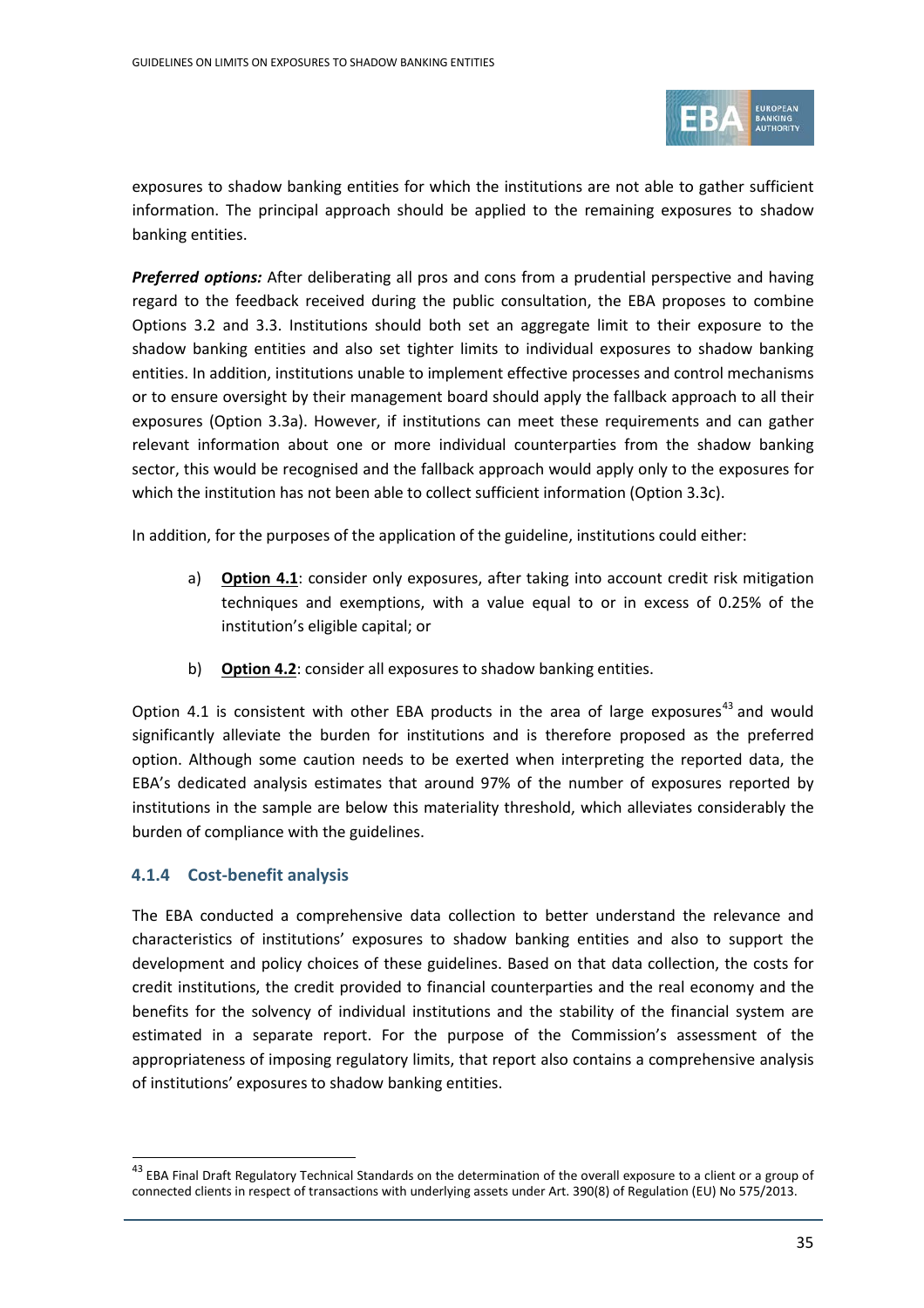

exposures to shadow banking entities for which the institutions are not able to gather sufficient information. The principal approach should be applied to the remaining exposures to shadow banking entities.

*Preferred options:* After deliberating all pros and cons from a prudential perspective and having regard to the feedback received during the public consultation, the EBA proposes to combine Options 3.2 and 3.3. Institutions should both set an aggregate limit to their exposure to the shadow banking entities and also set tighter limits to individual exposures to shadow banking entities. In addition, institutions unable to implement effective processes and control mechanisms or to ensure oversight by their management board should apply the fallback approach to all their exposures (Option 3.3a). However, if institutions can meet these requirements and can gather relevant information about one or more individual counterparties from the shadow banking sector, this would be recognised and the fallback approach would apply only to the exposures for which the institution has not been able to collect sufficient information (Option 3.3c).

In addition, for the purposes of the application of the guideline, institutions could either:

- a) **Option 4.1**: consider only exposures, after taking into account credit risk mitigation techniques and exemptions, with a value equal to or in excess of 0.25% of the institution's eligible capital; or
- b) **Option 4.2**: consider all exposures to shadow banking entities.

Option 4.1 is consistent with other EBA products in the area of large exposures<sup>[43](#page-34-0)</sup> and would significantly alleviate the burden for institutions and is therefore proposed as the preferred option. Although some caution needs to be exerted when interpreting the reported data, the EBA's dedicated analysis estimates that around 97% of the number of exposures reported by institutions in the sample are below this materiality threshold, which alleviates considerably the burden of compliance with the guidelines.

### **4.1.4 Cost-benefit analysis**

 $\overline{a}$ 

The EBA conducted a comprehensive data collection to better understand the relevance and characteristics of institutions' exposures to shadow banking entities and also to support the development and policy choices of these guidelines. Based on that data collection, the costs for credit institutions, the credit provided to financial counterparties and the real economy and the benefits for the solvency of individual institutions and the stability of the financial system are estimated in a separate report. For the purpose of the Commission's assessment of the appropriateness of imposing regulatory limits, that report also contains a comprehensive analysis of institutions' exposures to shadow banking entities.

<span id="page-34-0"></span><sup>&</sup>lt;sup>43</sup> EBA Final Draft Regulatory Technical Standards on the determination of the overall exposure to a client or a group of connected clients in respect of transactions with underlying assets under Art. 390(8) of Regulation (EU) No 575/2013.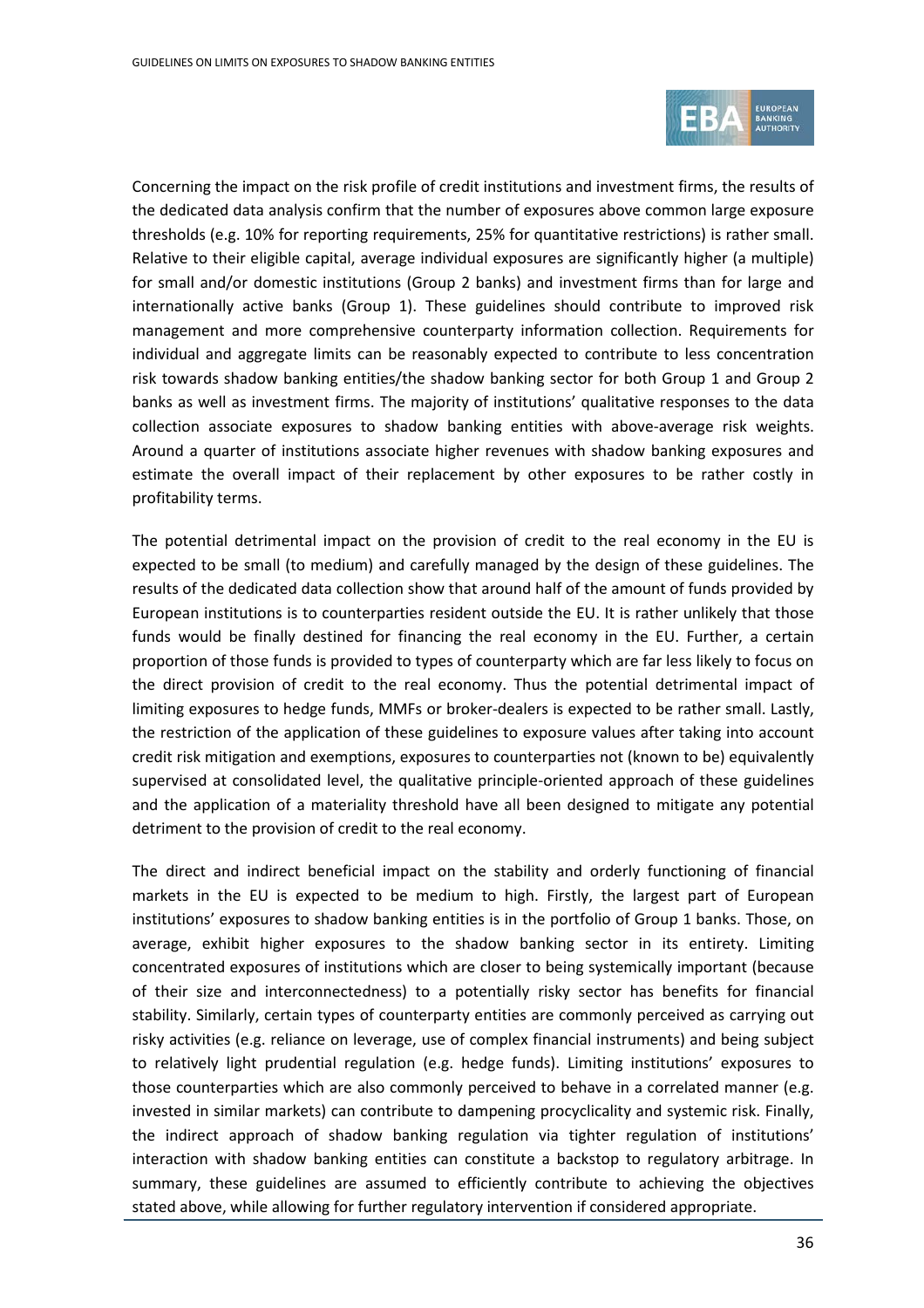

Concerning the impact on the risk profile of credit institutions and investment firms, the results of the dedicated data analysis confirm that the number of exposures above common large exposure thresholds (e.g. 10% for reporting requirements, 25% for quantitative restrictions) is rather small. Relative to their eligible capital, average individual exposures are significantly higher (a multiple) for small and/or domestic institutions (Group 2 banks) and investment firms than for large and internationally active banks (Group 1). These guidelines should contribute to improved risk management and more comprehensive counterparty information collection. Requirements for individual and aggregate limits can be reasonably expected to contribute to less concentration risk towards shadow banking entities/the shadow banking sector for both Group 1 and Group 2 banks as well as investment firms. The majority of institutions' qualitative responses to the data collection associate exposures to shadow banking entities with above-average risk weights. Around a quarter of institutions associate higher revenues with shadow banking exposures and estimate the overall impact of their replacement by other exposures to be rather costly in profitability terms.

The potential detrimental impact on the provision of credit to the real economy in the EU is expected to be small (to medium) and carefully managed by the design of these guidelines. The results of the dedicated data collection show that around half of the amount of funds provided by European institutions is to counterparties resident outside the EU. It is rather unlikely that those funds would be finally destined for financing the real economy in the EU. Further, a certain proportion of those funds is provided to types of counterparty which are far less likely to focus on the direct provision of credit to the real economy. Thus the potential detrimental impact of limiting exposures to hedge funds, MMFs or broker-dealers is expected to be rather small. Lastly, the restriction of the application of these guidelines to exposure values after taking into account credit risk mitigation and exemptions, exposures to counterparties not (known to be) equivalently supervised at consolidated level, the qualitative principle-oriented approach of these guidelines and the application of a materiality threshold have all been designed to mitigate any potential detriment to the provision of credit to the real economy.

The direct and indirect beneficial impact on the stability and orderly functioning of financial markets in the EU is expected to be medium to high. Firstly, the largest part of European institutions' exposures to shadow banking entities is in the portfolio of Group 1 banks. Those, on average, exhibit higher exposures to the shadow banking sector in its entirety. Limiting concentrated exposures of institutions which are closer to being systemically important (because of their size and interconnectedness) to a potentially risky sector has benefits for financial stability. Similarly, certain types of counterparty entities are commonly perceived as carrying out risky activities (e.g. reliance on leverage, use of complex financial instruments) and being subject to relatively light prudential regulation (e.g. hedge funds). Limiting institutions' exposures to those counterparties which are also commonly perceived to behave in a correlated manner (e.g. invested in similar markets) can contribute to dampening procyclicality and systemic risk. Finally, the indirect approach of shadow banking regulation via tighter regulation of institutions' interaction with shadow banking entities can constitute a backstop to regulatory arbitrage. In summary, these guidelines are assumed to efficiently contribute to achieving the objectives stated above, while allowing for further regulatory intervention if considered appropriate.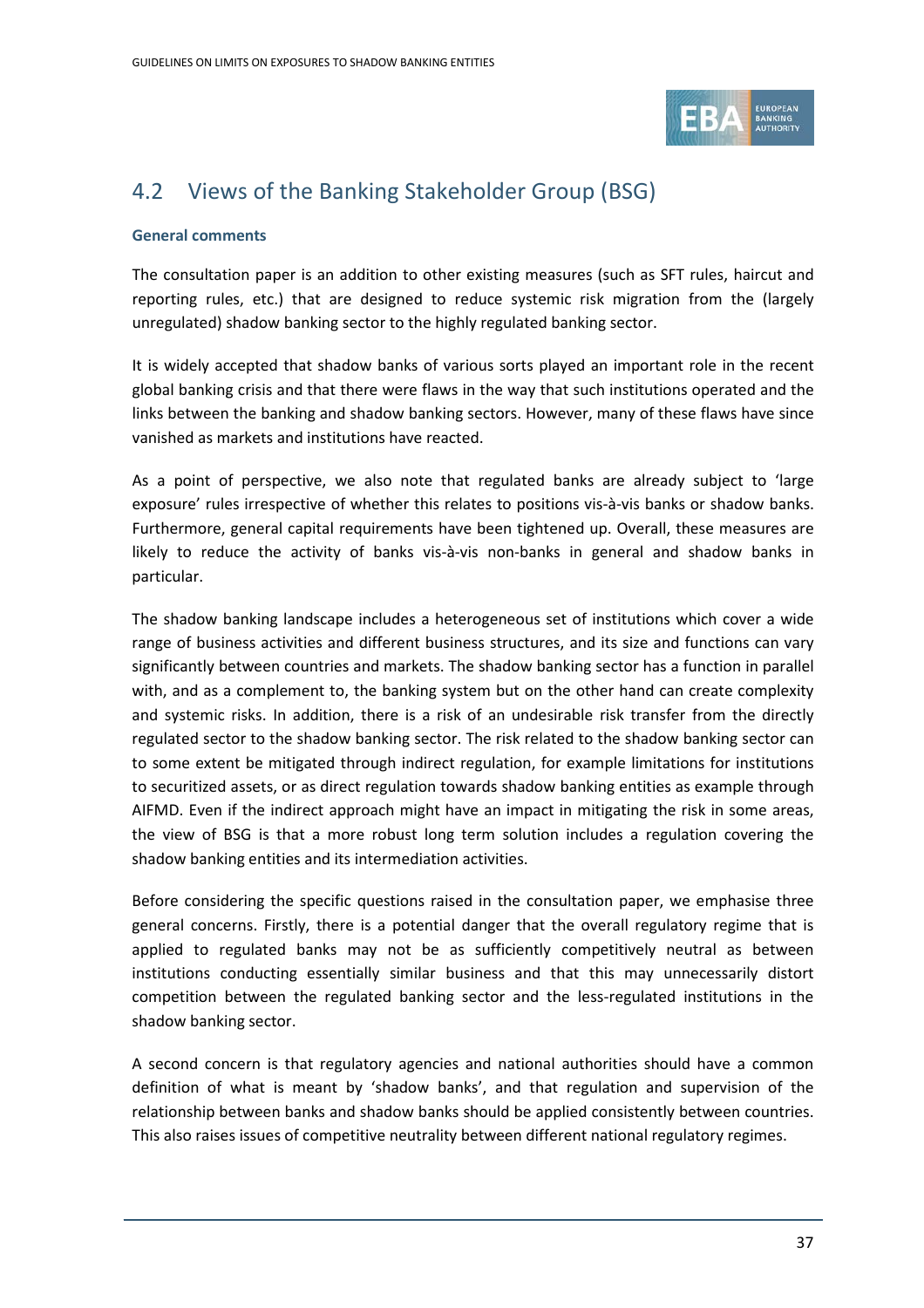

## <span id="page-36-0"></span>4.2 Views of the Banking Stakeholder Group (BSG)

### **General comments**

The consultation paper is an addition to other existing measures (such as SFT rules, haircut and reporting rules, etc.) that are designed to reduce systemic risk migration from the (largely unregulated) shadow banking sector to the highly regulated banking sector.

It is widely accepted that shadow banks of various sorts played an important role in the recent global banking crisis and that there were flaws in the way that such institutions operated and the links between the banking and shadow banking sectors. However, many of these flaws have since vanished as markets and institutions have reacted.

As a point of perspective, we also note that regulated banks are already subject to 'large exposure' rules irrespective of whether this relates to positions vis-à-vis banks or shadow banks. Furthermore, general capital requirements have been tightened up. Overall, these measures are likely to reduce the activity of banks vis-à-vis non-banks in general and shadow banks in particular.

The shadow banking landscape includes a heterogeneous set of institutions which cover a wide range of business activities and different business structures, and its size and functions can vary significantly between countries and markets. The shadow banking sector has a function in parallel with, and as a complement to, the banking system but on the other hand can create complexity and systemic risks. In addition, there is a risk of an undesirable risk transfer from the directly regulated sector to the shadow banking sector. The risk related to the shadow banking sector can to some extent be mitigated through indirect regulation, for example limitations for institutions to securitized assets, or as direct regulation towards shadow banking entities as example through AIFMD. Even if the indirect approach might have an impact in mitigating the risk in some areas, the view of BSG is that a more robust long term solution includes a regulation covering the shadow banking entities and its intermediation activities.

Before considering the specific questions raised in the consultation paper, we emphasise three general concerns. Firstly, there is a potential danger that the overall regulatory regime that is applied to regulated banks may not be as sufficiently competitively neutral as between institutions conducting essentially similar business and that this may unnecessarily distort competition between the regulated banking sector and the less-regulated institutions in the shadow banking sector.

A second concern is that regulatory agencies and national authorities should have a common definition of what is meant by 'shadow banks', and that regulation and supervision of the relationship between banks and shadow banks should be applied consistently between countries. This also raises issues of competitive neutrality between different national regulatory regimes.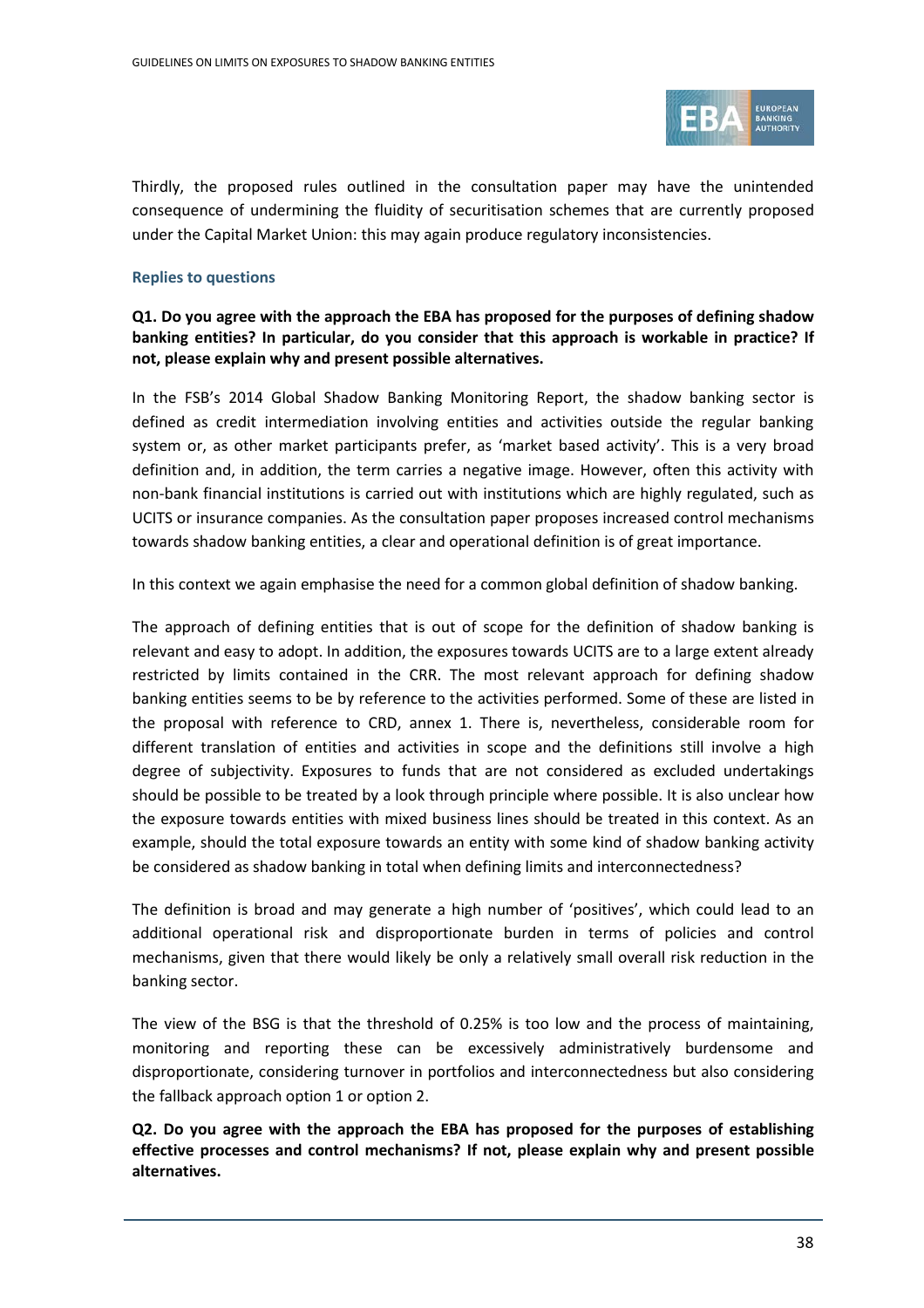

Thirdly, the proposed rules outlined in the consultation paper may have the unintended consequence of undermining the fluidity of securitisation schemes that are currently proposed under the Capital Market Union: this may again produce regulatory inconsistencies.

### **Replies to questions**

**Q1. Do you agree with the approach the EBA has proposed for the purposes of defining shadow banking entities? In particular, do you consider that this approach is workable in practice? If not, please explain why and present possible alternatives.**

In the FSB's 2014 Global Shadow Banking Monitoring Report, the shadow banking sector is defined as credit intermediation involving entities and activities outside the regular banking system or, as other market participants prefer, as 'market based activity'. This is a very broad definition and, in addition, the term carries a negative image. However, often this activity with non-bank financial institutions is carried out with institutions which are highly regulated, such as UCITS or insurance companies. As the consultation paper proposes increased control mechanisms towards shadow banking entities, a clear and operational definition is of great importance.

In this context we again emphasise the need for a common global definition of shadow banking.

The approach of defining entities that is out of scope for the definition of shadow banking is relevant and easy to adopt. In addition, the exposures towards UCITS are to a large extent already restricted by limits contained in the CRR. The most relevant approach for defining shadow banking entities seems to be by reference to the activities performed. Some of these are listed in the proposal with reference to CRD, annex 1. There is, nevertheless, considerable room for different translation of entities and activities in scope and the definitions still involve a high degree of subjectivity. Exposures to funds that are not considered as excluded undertakings should be possible to be treated by a look through principle where possible. It is also unclear how the exposure towards entities with mixed business lines should be treated in this context. As an example, should the total exposure towards an entity with some kind of shadow banking activity be considered as shadow banking in total when defining limits and interconnectedness?

The definition is broad and may generate a high number of 'positives', which could lead to an additional operational risk and disproportionate burden in terms of policies and control mechanisms, given that there would likely be only a relatively small overall risk reduction in the banking sector.

The view of the BSG is that the threshold of 0.25% is too low and the process of maintaining, monitoring and reporting these can be excessively administratively burdensome and disproportionate, considering turnover in portfolios and interconnectedness but also considering the fallback approach option 1 or option 2.

**Q2. Do you agree with the approach the EBA has proposed for the purposes of establishing effective processes and control mechanisms? If not, please explain why and present possible alternatives.**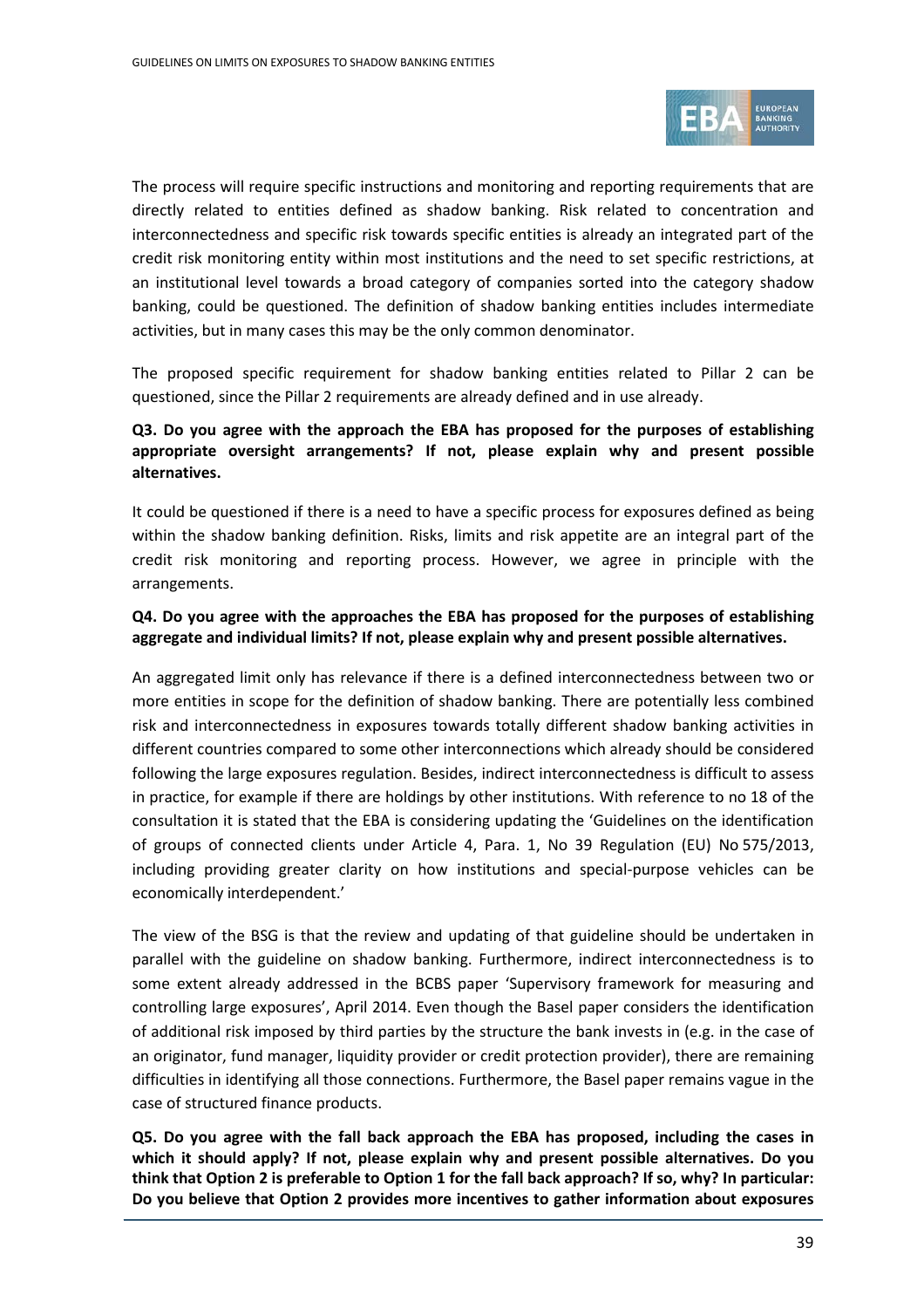

The process will require specific instructions and monitoring and reporting requirements that are directly related to entities defined as shadow banking. Risk related to concentration and interconnectedness and specific risk towards specific entities is already an integrated part of the credit risk monitoring entity within most institutions and the need to set specific restrictions, at an institutional level towards a broad category of companies sorted into the category shadow banking, could be questioned. The definition of shadow banking entities includes intermediate activities, but in many cases this may be the only common denominator.

The proposed specific requirement for shadow banking entities related to Pillar 2 can be questioned, since the Pillar 2 requirements are already defined and in use already.

### **Q3. Do you agree with the approach the EBA has proposed for the purposes of establishing appropriate oversight arrangements? If not, please explain why and present possible alternatives.**

It could be questioned if there is a need to have a specific process for exposures defined as being within the shadow banking definition. Risks, limits and risk appetite are an integral part of the credit risk monitoring and reporting process. However, we agree in principle with the arrangements.

### **Q4. Do you agree with the approaches the EBA has proposed for the purposes of establishing aggregate and individual limits? If not, please explain why and present possible alternatives.**

An aggregated limit only has relevance if there is a defined interconnectedness between two or more entities in scope for the definition of shadow banking. There are potentially less combined risk and interconnectedness in exposures towards totally different shadow banking activities in different countries compared to some other interconnections which already should be considered following the large exposures regulation. Besides, indirect interconnectedness is difficult to assess in practice, for example if there are holdings by other institutions. With reference to no 18 of the consultation it is stated that the EBA is considering updating the 'Guidelines on the identification of groups of connected clients under Article 4, Para. 1, No 39 Regulation (EU) No 575/2013, including providing greater clarity on how institutions and special-purpose vehicles can be economically interdependent.'

The view of the BSG is that the review and updating of that guideline should be undertaken in parallel with the guideline on shadow banking. Furthermore, indirect interconnectedness is to some extent already addressed in the BCBS paper 'Supervisory framework for measuring and controlling large exposures', April 2014. Even though the Basel paper considers the identification of additional risk imposed by third parties by the structure the bank invests in (e.g. in the case of an originator, fund manager, liquidity provider or credit protection provider), there are remaining difficulties in identifying all those connections. Furthermore, the Basel paper remains vague in the case of structured finance products.

**Q5. Do you agree with the fall back approach the EBA has proposed, including the cases in which it should apply? If not, please explain why and present possible alternatives. Do you think that Option 2 is preferable to Option 1 for the fall back approach? If so, why? In particular: Do you believe that Option 2 provides more incentives to gather information about exposures**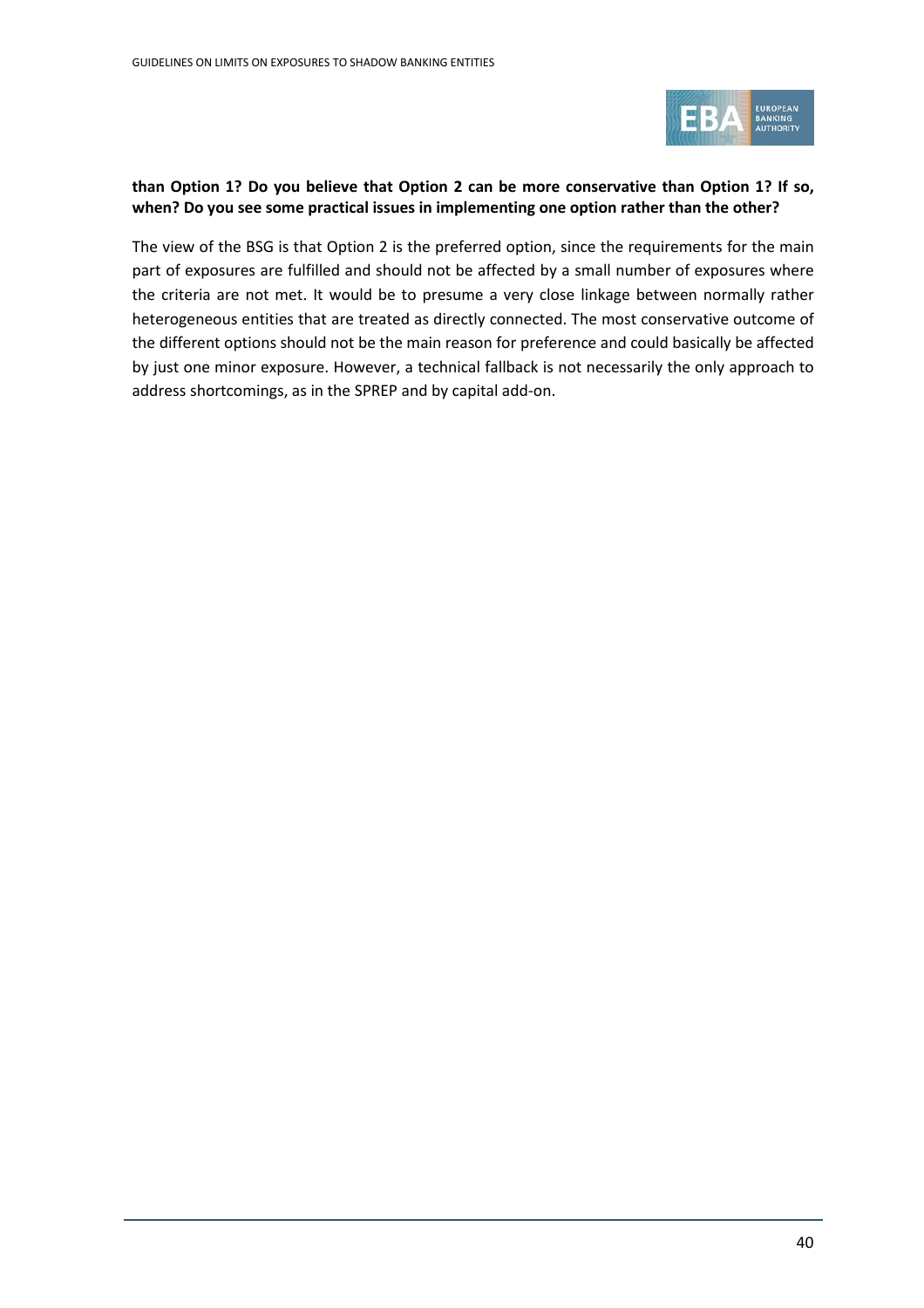

### **than Option 1? Do you believe that Option 2 can be more conservative than Option 1? If so, when? Do you see some practical issues in implementing one option rather than the other?**

The view of the BSG is that Option 2 is the preferred option, since the requirements for the main part of exposures are fulfilled and should not be affected by a small number of exposures where the criteria are not met. It would be to presume a very close linkage between normally rather heterogeneous entities that are treated as directly connected. The most conservative outcome of the different options should not be the main reason for preference and could basically be affected by just one minor exposure. However, a technical fallback is not necessarily the only approach to address shortcomings, as in the SPREP and by capital add-on.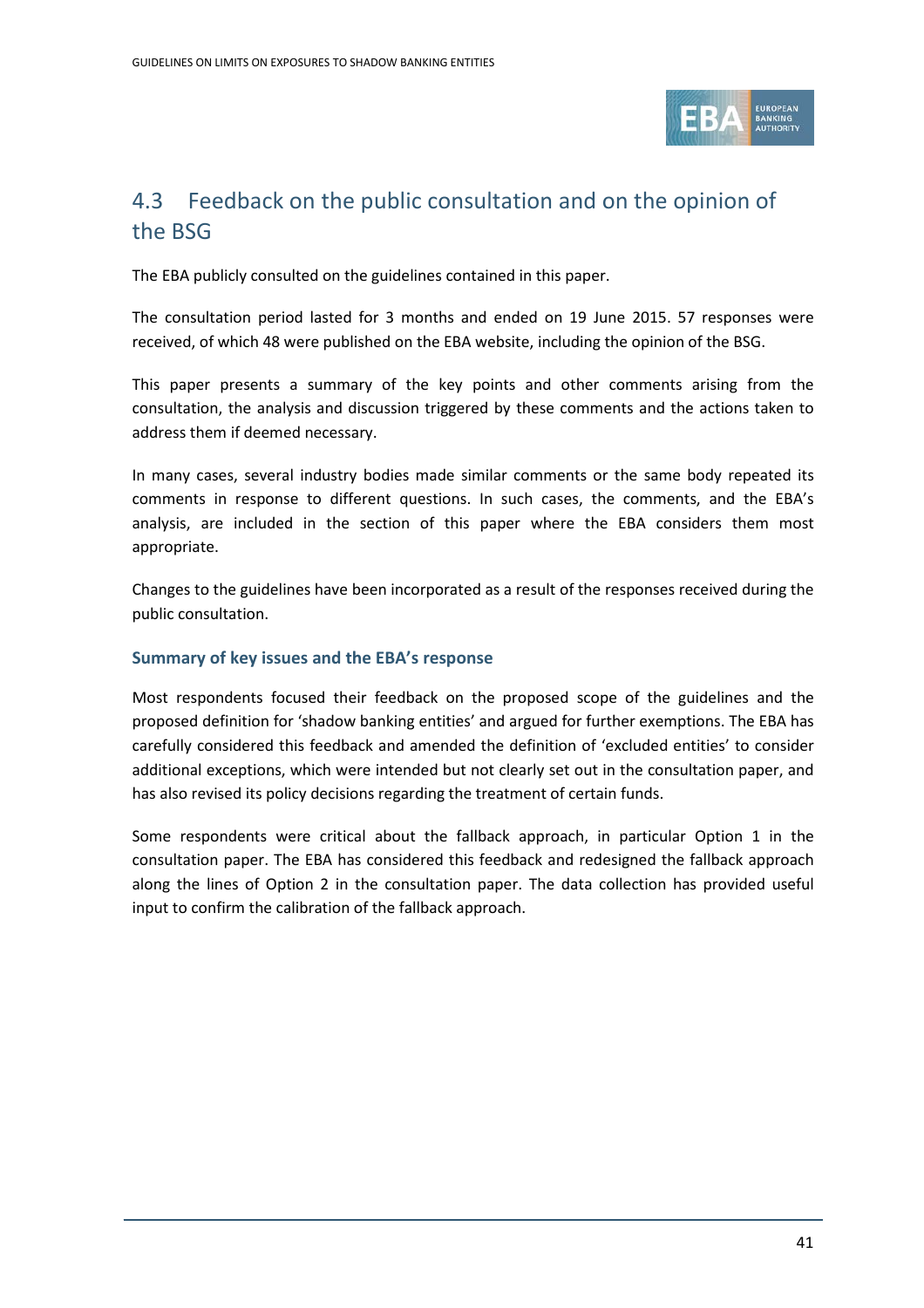

## <span id="page-40-0"></span>4.3 Feedback on the public consultation and on the opinion of the BSG

The EBA publicly consulted on the guidelines contained in this paper.

The consultation period lasted for 3 months and ended on 19 June 2015. 57 responses were received, of which 48 were published on the EBA website, including the opinion of the BSG.

This paper presents a summary of the key points and other comments arising from the consultation, the analysis and discussion triggered by these comments and the actions taken to address them if deemed necessary.

In many cases, several industry bodies made similar comments or the same body repeated its comments in response to different questions. In such cases, the comments, and the EBA's analysis, are included in the section of this paper where the EBA considers them most appropriate.

Changes to the guidelines have been incorporated as a result of the responses received during the public consultation.

### **Summary of key issues and the EBA's response**

Most respondents focused their feedback on the proposed scope of the guidelines and the proposed definition for 'shadow banking entities' and argued for further exemptions. The EBA has carefully considered this feedback and amended the definition of 'excluded entities' to consider additional exceptions, which were intended but not clearly set out in the consultation paper, and has also revised its policy decisions regarding the treatment of certain funds.

Some respondents were critical about the fallback approach, in particular Option 1 in the consultation paper. The EBA has considered this feedback and redesigned the fallback approach along the lines of Option 2 in the consultation paper. The data collection has provided useful input to confirm the calibration of the fallback approach.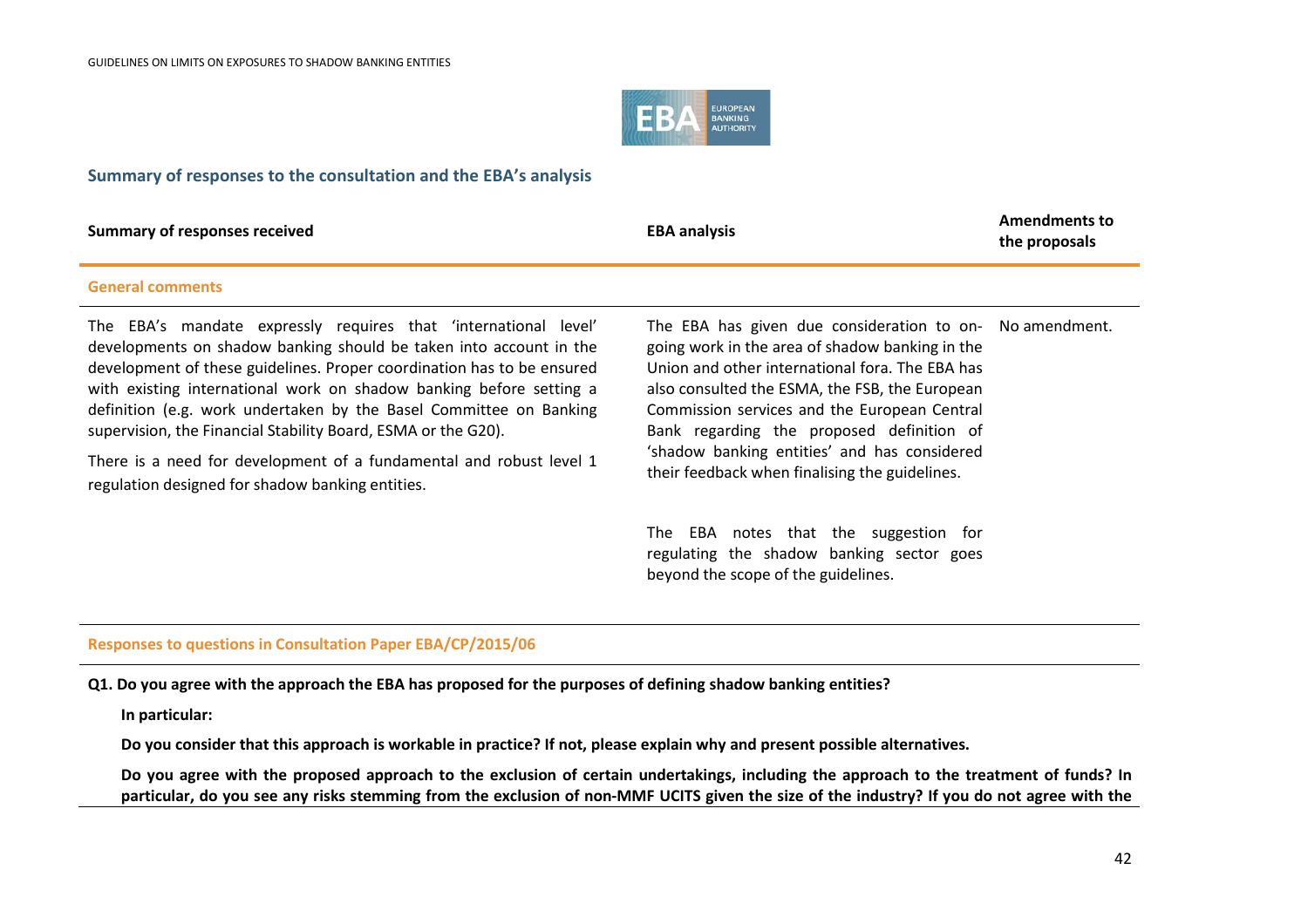

### **Summary of responses to the consultation and the EBA's analysis**

| <b>Summary of responses received</b>                                                                                                                                                                                                                                                                                                                                                                                                                                                                                                                     | <b>EBA analysis</b>                                                                                                                                                                                                                                                                                                                                                                                             | <b>Amendments to</b><br>the proposals |
|----------------------------------------------------------------------------------------------------------------------------------------------------------------------------------------------------------------------------------------------------------------------------------------------------------------------------------------------------------------------------------------------------------------------------------------------------------------------------------------------------------------------------------------------------------|-----------------------------------------------------------------------------------------------------------------------------------------------------------------------------------------------------------------------------------------------------------------------------------------------------------------------------------------------------------------------------------------------------------------|---------------------------------------|
| <b>General comments</b>                                                                                                                                                                                                                                                                                                                                                                                                                                                                                                                                  |                                                                                                                                                                                                                                                                                                                                                                                                                 |                                       |
| The EBA's mandate expressly requires that 'international level'<br>developments on shadow banking should be taken into account in the<br>development of these guidelines. Proper coordination has to be ensured<br>with existing international work on shadow banking before setting a<br>definition (e.g. work undertaken by the Basel Committee on Banking<br>supervision, the Financial Stability Board, ESMA or the G20).<br>There is a need for development of a fundamental and robust level 1<br>regulation designed for shadow banking entities. | The EBA has given due consideration to on- No amendment.<br>going work in the area of shadow banking in the<br>Union and other international fora. The EBA has<br>also consulted the ESMA, the FSB, the European<br>Commission services and the European Central<br>Bank regarding the proposed definition of<br>'shadow banking entities' and has considered<br>their feedback when finalising the guidelines. |                                       |

The EBA notes that the suggestion for regulating the shadow banking sector goes beyond the scope of the guidelines.

### **Responses to questions in Consultation Paper EBA/CP/2015/06**

**Q1. Do you agree with the approach the EBA has proposed for the purposes of defining shadow banking entities?**

**In particular:**

**Do you consider that this approach is workable in practice? If not, please explain why and present possible alternatives.**

**Do you agree with the proposed approach to the exclusion of certain undertakings, including the approach to the treatment of funds? In particular, do you see any risks stemming from the exclusion of non-MMF UCITS given the size of the industry? If you do not agree with the**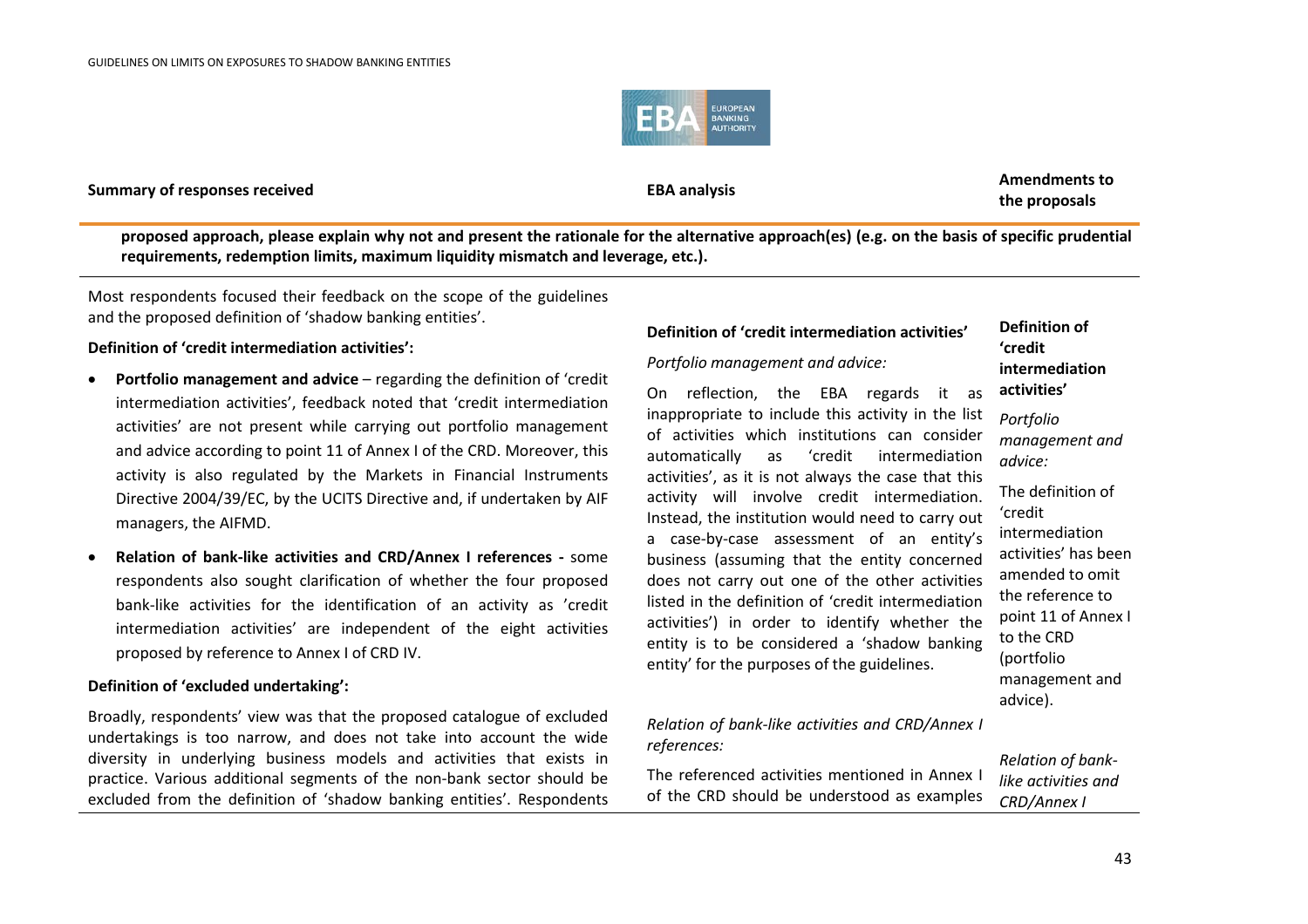

**Summary of responses received EBA analysis EBA analysis EBA** analysis

**the proposals**

**proposed approach, please explain why not and present the rationale for the alternative approach(es) (e.g. on the basis of specific prudential requirements, redemption limits, maximum liquidity mismatch and leverage, etc.).**

Most respondents focused their feedback on the scope of the guidelines and the proposed definition of 'shadow banking entities'.

### **Definition of 'credit intermediation activities':**

- **Portfolio management and advice** regarding the definition of 'credit intermediation activities', feedback noted that 'credit intermediation activities' are not present while carrying out portfolio management and advice according to point 11 of Annex I of the CRD. Moreover, this activity is also regulated by the Markets in Financial Instruments Directive 2004/39/EC, by the UCITS Directive and, if undertaken by AIF managers, the AIFMD.
- **Relation of bank-like activities and CRD/Annex I references -** some respondents also sought clarification of whether the four proposed bank-like activities for the identification of an activity as 'credit intermediation activities' are independent of the eight activities proposed by reference to Annex I of CRD IV.

### **Definition of 'excluded undertaking':**

Broadly, respondents' view was that the proposed catalogue of excluded undertakings is too narrow, and does not take into account the wide diversity in underlying business models and activities that exists in practice. Various additional segments of the non-bank sector should be excluded from the definition of 'shadow banking entities'. Respondents

### **Definition of 'credit intermediation activities'**

*Portfolio management and advice:*

On reflection, the EBA regards it as inappropriate to include this activity in the list of activities which institutions can consider automatically as 'credit intermediation activities', as it is not always the case that this activity will involve credit intermediation. Instead, the institution would need to carry out a case-by-case assessment of an entity's business (assuming that the entity concerned does not carry out one of the other activities listed in the definition of 'credit intermediation activities') in order to identify whether the entity is to be considered a 'shadow banking entity' for the purposes of the guidelines.

*Relation of bank-like activities and CRD/Annex I references:*

The referenced activities mentioned in Annex I of the CRD should be understood as examples

**Definition of 'credit intermediation activities'**

*Portfolio management and advice:*

The definition of 'credit intermediation activities' has been amended to omit the reference to point 11 of Annex I to the CRD (portfolio management and advice).

*Relation of banklike activities and CRD/Annex I*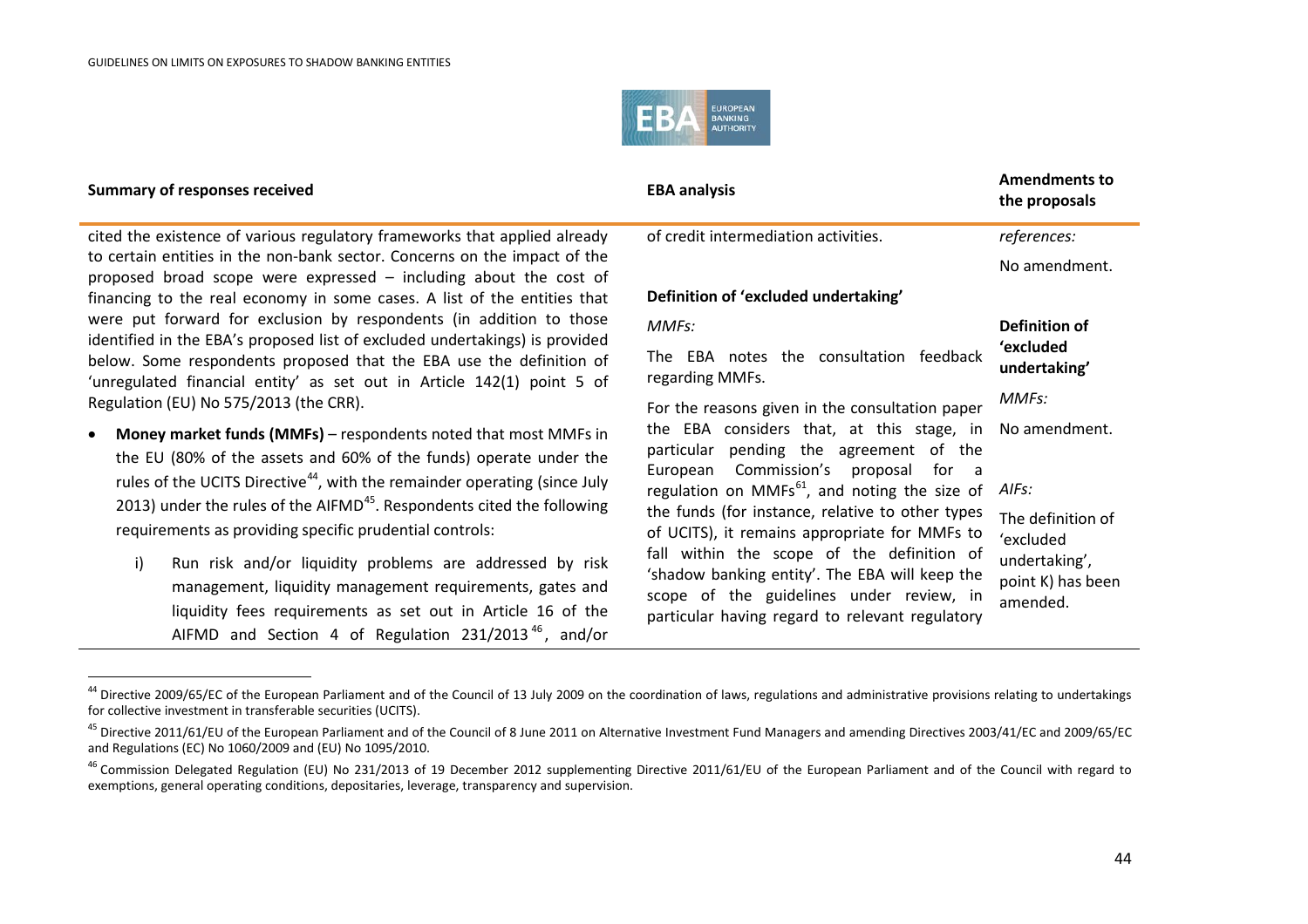.

<span id="page-43-2"></span><span id="page-43-1"></span><span id="page-43-0"></span>

<span id="page-43-3"></span>

| <b>Summary of responses received</b>                                                                                                                                                                                                                                                                                                                                           | <b>EBA analysis</b>                                                                         | <b>Amendments to</b><br>the proposals |
|--------------------------------------------------------------------------------------------------------------------------------------------------------------------------------------------------------------------------------------------------------------------------------------------------------------------------------------------------------------------------------|---------------------------------------------------------------------------------------------|---------------------------------------|
| cited the existence of various regulatory frameworks that applied already                                                                                                                                                                                                                                                                                                      | of credit intermediation activities.                                                        | references:                           |
| to certain entities in the non-bank sector. Concerns on the impact of the<br>proposed broad scope were expressed - including about the cost of                                                                                                                                                                                                                                 |                                                                                             | No amendment.                         |
| financing to the real economy in some cases. A list of the entities that                                                                                                                                                                                                                                                                                                       | Definition of 'excluded undertaking'                                                        |                                       |
| were put forward for exclusion by respondents (in addition to those<br>identified in the EBA's proposed list of excluded undertakings) is provided                                                                                                                                                                                                                             | MMFs:                                                                                       | Definition of                         |
| below. Some respondents proposed that the EBA use the definition of<br>'unregulated financial entity' as set out in Article 142(1) point 5 of                                                                                                                                                                                                                                  | The EBA notes the consultation feedback<br>regarding MMFs.                                  | 'excluded<br>undertaking'             |
| Regulation (EU) No 575/2013 (the CRR).                                                                                                                                                                                                                                                                                                                                         | For the reasons given in the consultation paper                                             | MMFs:                                 |
| Money market funds (MMFs) - respondents noted that most MMFs in<br>the EU (80% of the assets and 60% of the funds) operate under the<br>rules of the UCITS Directive <sup>44</sup> , with the remainder operating (since July<br>2013) under the rules of the AIFMD <sup>45</sup> . Respondents cited the following<br>requirements as providing specific prudential controls: | the EBA considers that, at this stage, in                                                   | No amendment.                         |
|                                                                                                                                                                                                                                                                                                                                                                                | particular pending the agreement of the<br>Commission's<br>European<br>proposal for a       |                                       |
|                                                                                                                                                                                                                                                                                                                                                                                | regulation on MMFs $^{61}$ , and noting the size of                                         | AIFs:                                 |
|                                                                                                                                                                                                                                                                                                                                                                                | the funds (for instance, relative to other types                                            | The definition of                     |
|                                                                                                                                                                                                                                                                                                                                                                                | of UCITS), it remains appropriate for MMFs to<br>fall within the scope of the definition of | 'excluded                             |
| i)<br>Run risk and/or liquidity problems are addressed by risk                                                                                                                                                                                                                                                                                                                 | 'shadow banking entity'. The EBA will keep the                                              | undertaking',                         |
| management, liquidity management requirements, gates and                                                                                                                                                                                                                                                                                                                       | scope of the guidelines under review, in                                                    | point K) has been<br>amended.         |
| liquidity fees requirements as set out in Article 16 of the                                                                                                                                                                                                                                                                                                                    | particular having regard to relevant regulatory                                             |                                       |

AIFMD and Section 4 of Regulation 231/2013<sup>[46](#page-43-2)</sup>, and/or

<sup>&</sup>lt;sup>44</sup> Directive 2009/65/EC of the European Parliament and of the Council of 13 July 2009 on the coordination of laws, regulations and administrative provisions relating to undertakings for collective investment in transferable securities (UCITS).

<sup>&</sup>lt;sup>45</sup> Directive 2011/61/EU of the European Parliament and of the Council of 8 June 2011 on Alternative Investment Fund Managers and amending Directives 2003/41/EC and 2009/65/EC and Regulations (EC) No 1060/2009 and (EU) No 1095/2010.

<sup>&</sup>lt;sup>46</sup> Commission Delegated Regulation (EU) No 231/2013 of 19 December 2012 supplementing Directive 2011/61/EU of the European Parliament and of the Council with regard to exemptions, general operating conditions, depositaries, leverage, transparency and supervision.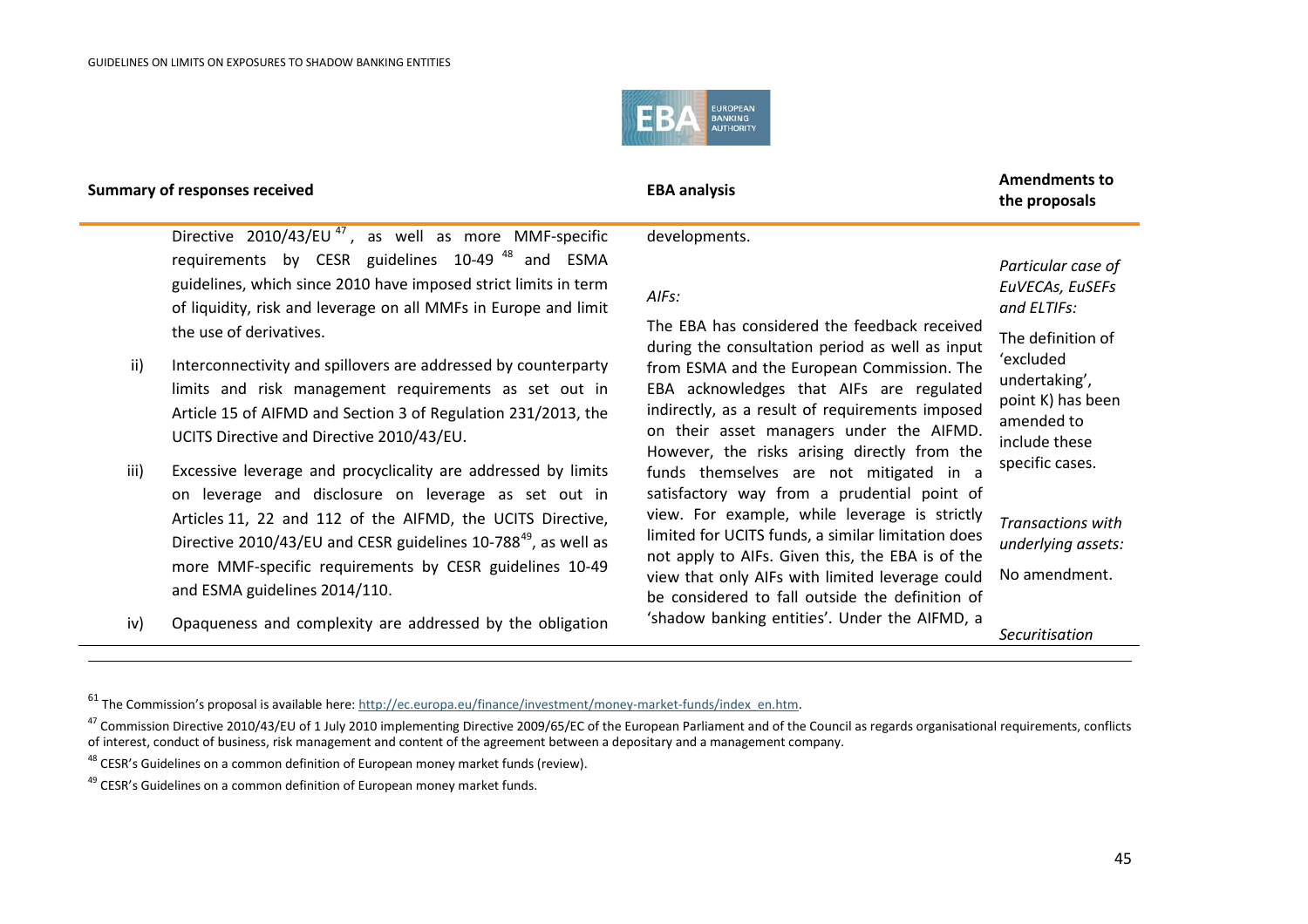<span id="page-44-2"></span><span id="page-44-1"></span><span id="page-44-0"></span>

 $\overline{a}$ 

## **the proposals**

Directive  $2010/43/EU^{47}$  $2010/43/EU^{47}$  $2010/43/EU^{47}$ , as well as more MMF-specific requirements by CESR guidelines 10-49 [48](#page-44-1) and ESMA guidelines, which since 2010 have imposed strict limits in term of liquidity, risk and leverage on all MMFs in Europe and limit the use of derivatives.

- ii) Interconnectivity and spillovers are addressed by counterparty limits and risk management requirements as set out in Article 15 of AIFMD and Section 3 of Regulation 231/2013, the UCITS Directive and Directive 2010/43/EU.
- iii) Excessive leverage and procyclicality are addressed by limits on leverage and disclosure on leverage as set out in Articles 11, 22 and 112 of the AIFMD, the UCITS Directive, Directive 2010/43/EU and CESR guidelines 10-788<sup>[49](#page-44-2)</sup>, as well as more MMF-specific requirements by CESR guidelines 10-49 and ESMA guidelines 2014/110.
- iv) Opaqueness and complexity are addressed by the obligation

developments.

### *AIFs:*

The EBA has considered the feedback received during the consultation period as well as inp from ESMA and the European Commission. The EBA acknowledges that AIFs are regulated indirectly, as a result of requirements impose on their asset managers under the AIFM However, the risks arising directly from t funds themselves are not mitigated in satisfactory way from a prudential point view. For example, while leverage is strictly limited for UCITS funds, a similar limitation do not apply to AIFs. Given this, the EBA is of the view that only AIFs with limited leverage could No amendment. be considered to fall outside the definition of 'shadow banking entities'. Under the AIFMD, a

*Particular case of EuVECAs, EuSEFs and ELTIFs:*

| วนt<br>`he              | The definition of<br>ʻexcluded                                                       |
|-------------------------|--------------------------------------------------------------------------------------|
| ed:<br>ed<br>1D.<br>:he | undertaking',<br>point K) has been<br>amended to<br>include these<br>specific cases. |
| a<br>οf                 |                                                                                      |
| :tly<br>es<br>:he       | <b>Transactions with</b><br>underlying assets:                                       |
| اسلنا                   | No amandmant                                                                         |

*Securitisation* 

<sup>&</sup>lt;sup>61</sup> The Commission's proposal is available here: [http://ec.europa.eu/finance/investment/money-market-funds/index\\_en.htm.](http://ec.europa.eu/finance/investment/money-market-funds/index_en.htm)

<sup>&</sup>lt;sup>47</sup> Commission Directive 2010/43/EU of 1 July 2010 implementing Directive 2009/65/EC of the European Parliament and of the Council as regards organisational requirements, conflicts of interest, conduct of business, risk management and content of the agreement between a depositary and a management company.

<sup>&</sup>lt;sup>48</sup> CESR's Guidelines on a common definition of European money market funds (review).

<sup>&</sup>lt;sup>49</sup> CESR's Guidelines on a common definition of European money market funds.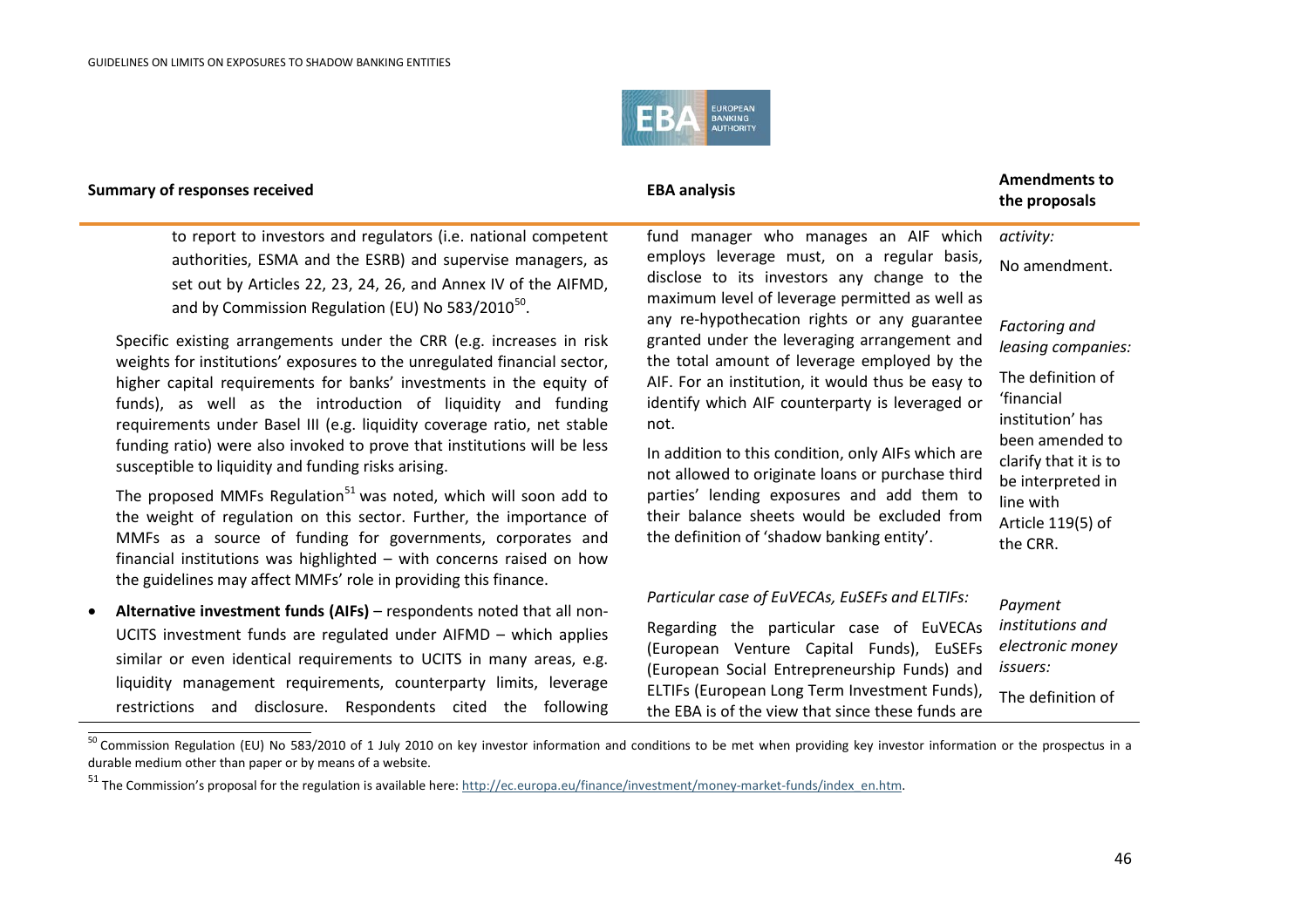<span id="page-45-1"></span><span id="page-45-0"></span>

**the proposals**

to report to investors and regulators (i.e. national competent authorities, ESMA and the ESRB) and supervise managers, as set out by Articles 22, 23, 24, 26, and Annex IV of the AIFMD, and by Commission Regulation (EU) No  $583/2010^{50}$  $583/2010^{50}$  $583/2010^{50}$ .

Specific existing arrangements under the CRR (e.g. increases in risk weights for institutions' exposures to the unregulated financial sector, higher capital requirements for banks' investments in the equity of funds), as well as the introduction of liquidity and funding requirements under Basel III (e.g. liquidity coverage ratio, net stable funding ratio) were also invoked to prove that institutions will be less susceptible to liquidity and funding risks arising.

The proposed MMFs Regulation<sup>[51](#page-45-1)</sup> was noted, which will soon add to the weight of regulation on this sector. Further, the importance of MMFs as a source of funding for governments, corporates and financial institutions was highlighted – with concerns raised on how the guidelines may affect MMFs' role in providing this finance.

• **Alternative investment funds (AIFs)** – respondents noted that all non-UCITS investment funds are regulated under AIFMD – which applies similar or even identical requirements to UCITS in many areas, e.g. liquidity management requirements, counterparty limits, leverage restrictions and disclosure. Respondents cited the following fund manager who manages an AIF which employs leverage must, on a regular basis, disclose to its investors any change to the maximum level of leverage permitted as well as any re-hypothecation rights or any guarantee granted under the leveraging arrangement and the total amount of leverage employed by the AIF. For an institution, it would thus be easy to identify which AIF counterparty is leveraged or not.

In addition to this condition, only AIFs which are not allowed to originate loans or purchase third parties' lending exposures and add them to their balance sheets would be excluded from the definition of 'shadow banking entity'.

## No amendment.

*activity:*

*Factoring and leasing companies:*

The definition of 'financial institution' has been amended to clarify that it is to be interpreted in line with Article 119(5) of the CRR.

#### *Particular case of EuVECAs, EuSEFs and ELTIFs:* Regarding the particular case of EuVECAs (European Venture Capital Funds), EuSEFs (European Social Entrepreneurship Funds) and ELTIFs (European Long Term Investment Funds), the EBA is of the view that since these funds are *Payment institutions and electronic money issuers:* The definition of

<sup>&</sup>lt;sup>50</sup> Commission Regulation (EU) No 583/2010 of 1 July 2010 on key investor information and conditions to be met when providing key investor information or the prospectus in a durable medium other than paper or by means of a website.

<sup>51</sup> The Commission's proposal for the regulation is available here[: http://ec.europa.eu/finance/investment/money-market-funds/index\\_en.htm.](http://ec.europa.eu/finance/investment/money-market-funds/index_en.htm)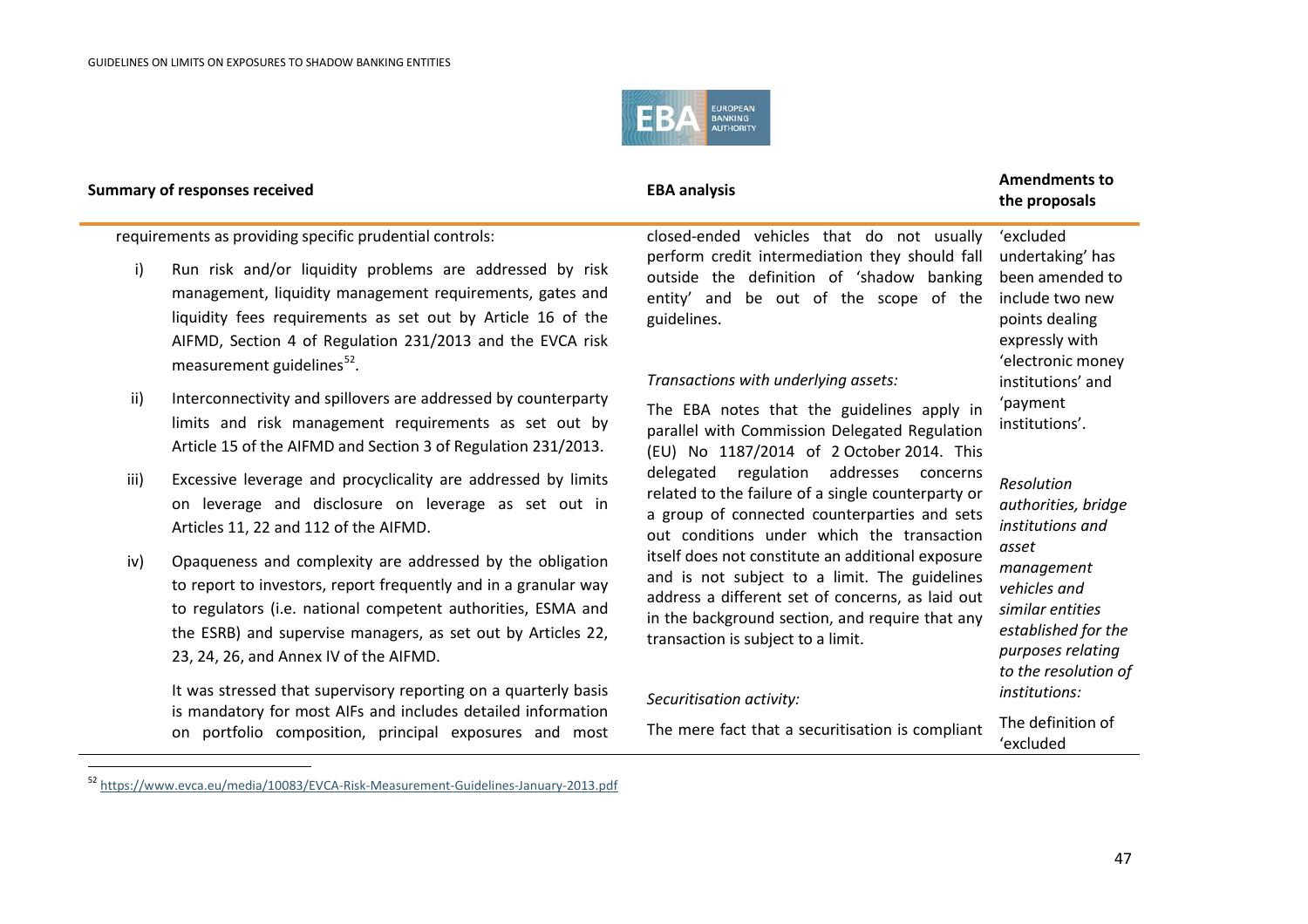<span id="page-46-0"></span>

.

## **the proposals**

requirements as providing specific prudential controls:

- i) Run risk and/or liquidity problems are addressed by risk management, liquidity management requirements, gates and liquidity fees requirements as set out by Article 16 of the AIFMD, Section 4 of Regulation 231/2013 and the EVCA risk measurement guidelines $52$ .
- ii) Interconnectivity and spillovers are addressed by counterparty limits and risk management requirements as set out by Article 15 of the AIFMD and Section 3 of Regulation 231/2013.
- iii) Excessive leverage and procyclicality are addressed by limits on leverage and disclosure on leverage as set out in Articles 11, 22 and 112 of the AIFMD.
- iv) Opaqueness and complexity are addressed by the obligation to report to investors, report frequently and in a granular way to regulators (i.e. national competent authorities, ESMA and the ESRB) and supervise managers, as set out by Articles 22, 23, 24, 26, and Annex IV of the AIFMD.

It was stressed that supervisory reporting on a quarterly basis is mandatory for most AIFs and includes detailed information on portfolio composition, principal exposures and most

closed-ended vehicles that do not usually perform credit intermediation they should fall undertaking' has outside the definition of 'shadow banking entity' and be out of the scope of the include two new guidelines.

### *Transactions with underlying assets:*

The EBA notes that the guidelines apply in parallel with Commission Delegated Regulation (EU) No 1187/2014 of 2 October 2014. This delegated regulation addresses concerns related to the failure of a single counterparty or a group of connected counterparties and sets out conditions under which the transaction itself does not constitute an additional exposure and is not subject to a limit. The guidelines address a different set of concerns, as laid out in the background section, and require that any transaction is subject to a limit.

#### *Securitisation activity:*

The mere fact that a securitisation is compliant

'excluded been amended to points dealing expressly with 'electronic money institutions' and 'payment institutions'.

### *Resolution authorities, bridge institutions and asset management vehicles and similar entities established for the purposes relating to the resolution of institutions:*

The definition of 'excluded

<sup>52</sup> <https://www.evca.eu/media/10083/EVCA-Risk-Measurement-Guidelines-January-2013.pdf>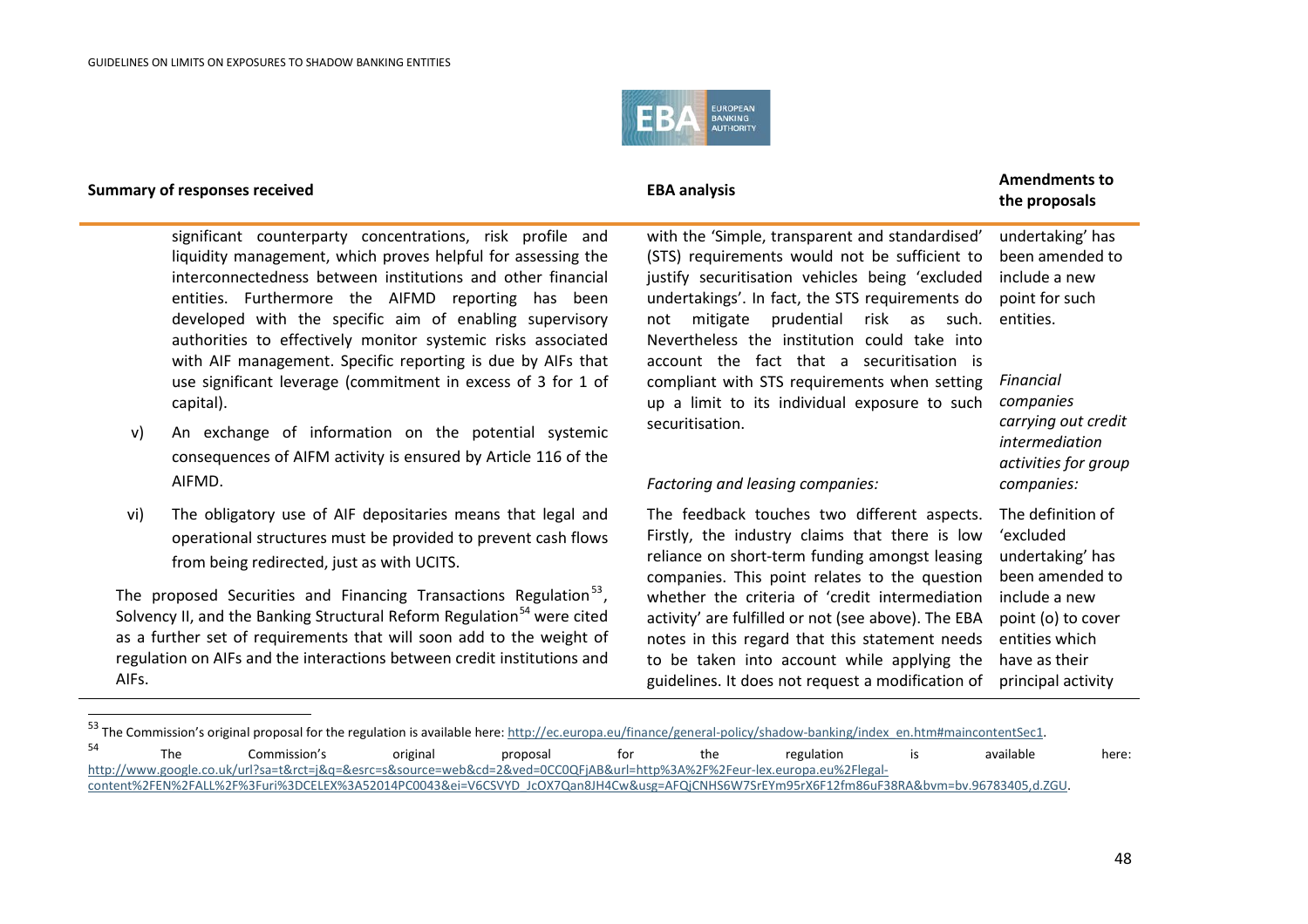<span id="page-47-1"></span><span id="page-47-0"></span>

.

## **the proposals**

significant counterparty concentrations, risk profile and liquidity management, which proves helpful for assessing the interconnectedness between institutions and other financial entities. Furthermore the AIFMD reporting has been developed with the specific aim of enabling supervisory authorities to effectively monitor systemic risks associated with AIF management. Specific reporting is due by AIFs that use significant leverage (commitment in excess of 3 for 1 of capital).

- v) An exchange of information on the potential systemic consequences of AIFM activity is ensured by Article 116 of the AIFMD.
- vi) The obligatory use of AIF depositaries means that legal and operational structures must be provided to prevent cash flows from being redirected, just as with UCITS.

The proposed Securities and Financing Transactions Regulation<sup>[53](#page-47-0)</sup>, Solvency II, and the Banking Structural Reform Regulation<sup>[54](#page-47-1)</sup> were cited as a further set of requirements that will soon add to the weight of regulation on AIFs and the interactions between credit institutions and AIFs.

with the 'Simple, transparent and standardised' (STS) requirements would not be sufficient to justify securitisation vehicles being 'excluded undertakings'. In fact, the STS requirements do not mitigate prudential risk as such. entities. Nevertheless the institution could take into account the fact that a securitisation is compliant with STS requirements when setting up a limit to its individual exposure to such securitisation.

### *Factoring and leasing companies:*

The feedback touches two different aspects. Firstly, the industry claims that there is low reliance on short-term funding amongst leasing companies. This point relates to the question whether the criteria of 'credit intermediation include a new activity' are fulfilled or not (see above). The EBA notes in this regard that this statement needs to be taken into account while applying the guidelines. It does not request a modification of principal activity

undertaking' has been amended to include a new point for such

*Financial companies carrying out credit intermediation activities for group companies:*

The definition of 'excluded undertaking' has been amended to point (o) to cover entities which have as their

<sup>53</sup> The Commission's original proposal for the regulation is available here: [http://ec.europa.eu/finance/general-policy/shadow-banking/index\\_en.htm#maincontentSec1.](http://ec.europa.eu/finance/general-policy/shadow-banking/index_en.htm#maincontentSec1)  $54$  The Commission's original proposal for the regulation is available here: [http://www.google.co.uk/url?sa=t&rct=j&q=&esrc=s&source=web&cd=2&ved=0CC0QFjAB&url=http%3A%2F%2Feur-lex.europa.eu%2Flegal](http://www.google.co.uk/url?sa=t&rct=j&q=&esrc=s&source=web&cd=2&ved=0CC0QFjAB&url=http%3A%2F%2Feur-lex.europa.eu%2Flegal-content%2FEN%2FALL%2F%3Furi%3DCELEX%3A52014PC0043&ei=V6CSVYD_JcOX7Qan8JH4Cw&usg=AFQjCNHS6W7SrEYm95rX6F12fm86uF38RA&bvm=bv.96783405,d.ZGU)[content%2FEN%2FALL%2F%3Furi%3DCELEX%3A52014PC0043&ei=V6CSVYD\\_JcOX7Qan8JH4Cw&usg=AFQjCNHS6W7SrEYm95rX6F12fm86uF38RA&bvm=bv.96783405,d.ZGU.](http://www.google.co.uk/url?sa=t&rct=j&q=&esrc=s&source=web&cd=2&ved=0CC0QFjAB&url=http%3A%2F%2Feur-lex.europa.eu%2Flegal-content%2FEN%2FALL%2F%3Furi%3DCELEX%3A52014PC0043&ei=V6CSVYD_JcOX7Qan8JH4Cw&usg=AFQjCNHS6W7SrEYm95rX6F12fm86uF38RA&bvm=bv.96783405,d.ZGU)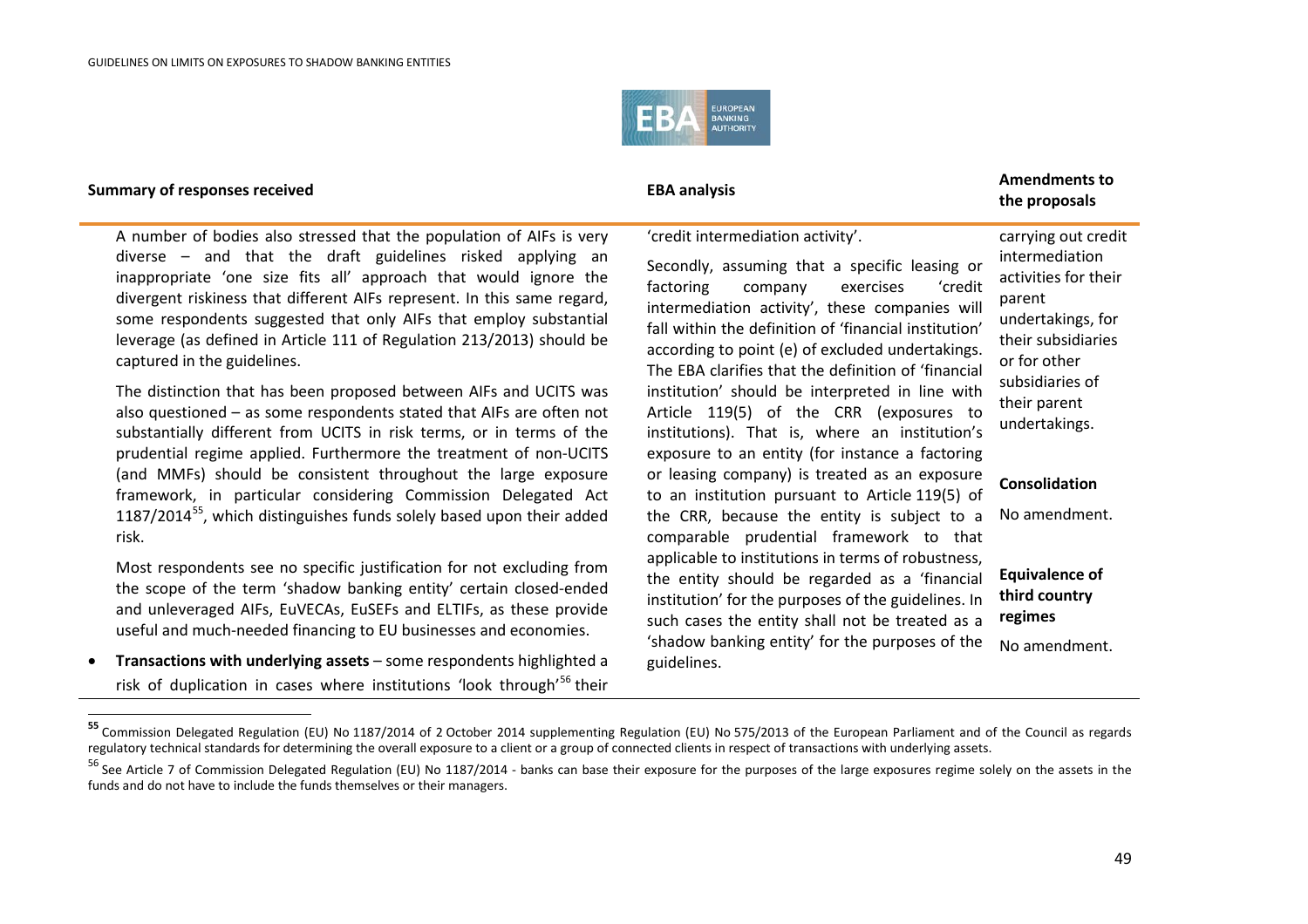<span id="page-48-1"></span><span id="page-48-0"></span>

## **Summary of responses received EBA analysis EBA analysis EBA** analysis

### 'credit intermediation activity'.

A number of bodies also stressed that the population of AIFs is very diverse – and that the draft guidelines risked applying an inappropriate 'one size fits all' approach that would ignore the divergent riskiness that different AIFs represent. In this same regard, some respondents suggested that only AIFs that employ substantial leverage (as defined in Article 111 of Regulation 213/2013) should be captured in the guidelines.

The distinction that has been proposed between AIFs and UCITS was also questioned – as some respondents stated that AIFs are often not substantially different from UCITS in risk terms, or in terms of the prudential regime applied. Furthermore the treatment of non-UCITS (and MMFs) should be consistent throughout the large exposure framework, in particular considering Commission Delegated Act  $1187/2014<sup>55</sup>$ , which distinguishes funds solely based upon their added risk.

Most respondents see no specific justification for not excluding from the scope of the term 'shadow banking entity' certain closed-ended and unleveraged AIFs, EuVECAs, EuSEFs and ELTIFs, as these provide useful and much-needed financing to EU businesses and economies.

• **Transactions with underlying assets** – some respondents highlighted a risk of duplication in cases where institutions 'look through'<sup>[56](#page-48-1)</sup> their Secondly, assuming that a specific leasing or factoring company exercises 'credit intermediation activity', these companies will fall within the definition of 'financial institution' according to point (e) of excluded undertakings. The EBA clarifies that the definition of 'financial institution' should be interpreted in line with Article 119(5) of the CRR (exposures to institutions). That is, where an institution's exposure to an entity (for instance a factoring or leasing company) is treated as an exposure to an institution pursuant to Article 119(5) of the CRR, because the entity is subject to a comparable prudential framework to that applicable to institutions in terms of robustness, the entity should be regarded as a 'financial institution' for the purposes of the guidelines. In such cases the entity shall not be treated as a 'shadow banking entity' for the purposes of the guidelines.

## **the proposals**

carrying out credit intermediation activities for their parent undertakings, for their subsidiaries or for other subsidiaries of their parent undertakings. **Consolidation** No amendment.

**Equivalence of third country regimes** No amendment.

 **<sup>55</sup>** Commission Delegated Regulation (EU) No 1187/2014 of 2 October 2014 supplementing Regulation (EU) No 575/2013 of the European Parliament and of the Council as regards regulatory technical standards for determining the overall exposure to a client or a group of connected clients in respect of transactions with underlying assets.

<sup>&</sup>lt;sup>56</sup> See Article 7 of Commission Delegated Regulation (EU) No 1187/2014 - banks can base their exposure for the purposes of the large exposures regime solely on the assets in the funds and do not have to include the funds themselves or their managers.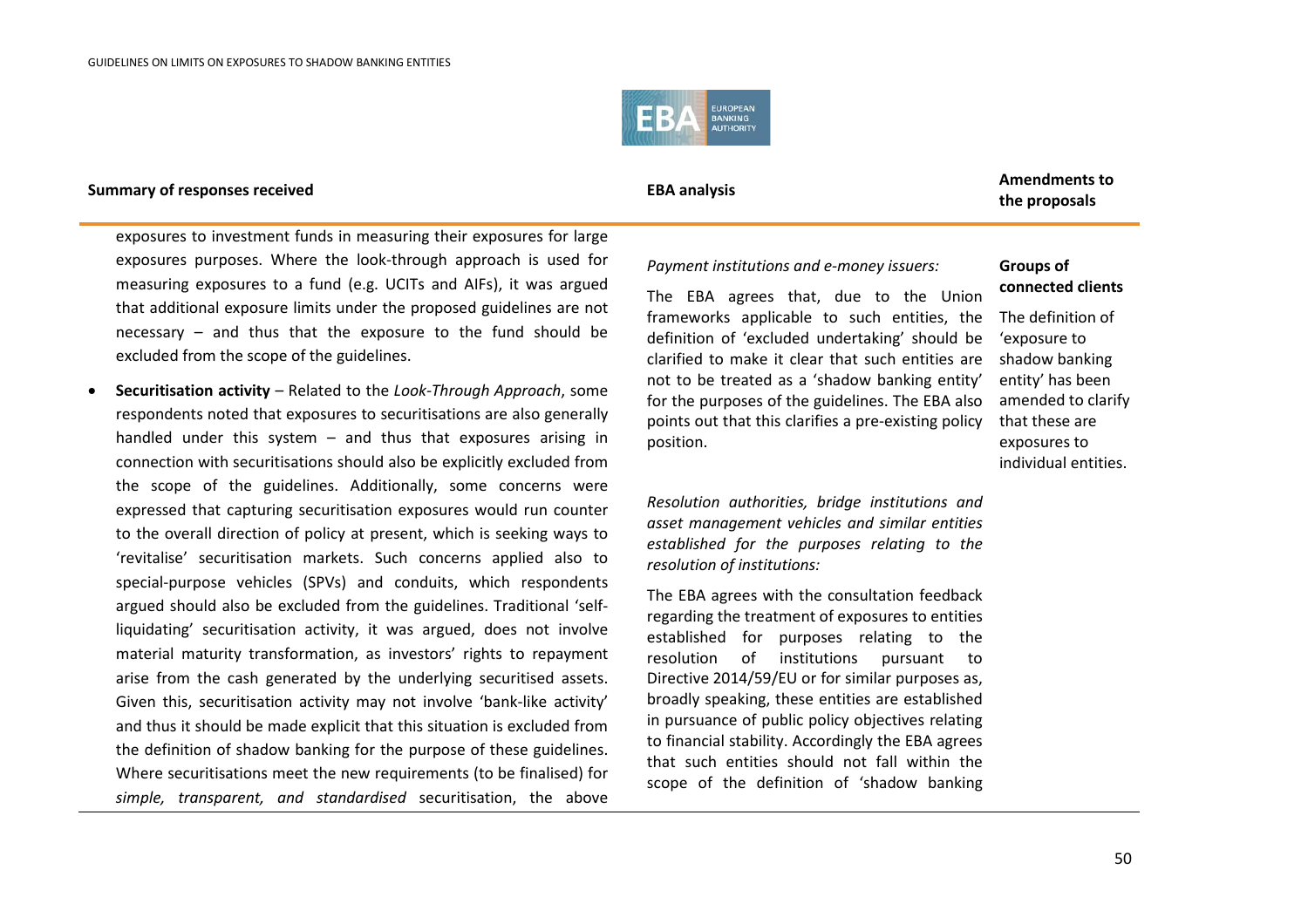

**the proposals**

exposures to investment funds in measuring their exposures for large exposures purposes. Where the look-through approach is used for measuring exposures to a fund (e.g. UCITs and AIFs), it was argued that additional exposure limits under the proposed guidelines are not necessary – and thus that the exposure to the fund should be excluded from the scope of the guidelines.

• **Securitisation activity** – Related to the *Look-Through Approach*, some respondents noted that exposures to securitisations are also generally handled under this system – and thus that exposures arising in connection with securitisations should also be explicitly excluded from the scope of the guidelines. Additionally, some concerns were expressed that capturing securitisation exposures would run counter to the overall direction of policy at present, which is seeking ways to 'revitalise' securitisation markets. Such concerns applied also to special-purpose vehicles (SPVs) and conduits, which respondents argued should also be excluded from the guidelines. Traditional 'selfliquidating' securitisation activity, it was argued, does not involve material maturity transformation, as investors' rights to repayment arise from the cash generated by the underlying securitised assets. Given this, securitisation activity may not involve 'bank-like activity' and thus it should be made explicit that this situation is excluded from the definition of shadow banking for the purpose of these guidelines. Where securitisations meet the new requirements (to be finalised) for *simple, transparent, and standardised* securitisation, the above *Payment institutions and e-money issuers:*

The EBA agrees that, due to the Union frameworks applicable to such entities, the definition of 'excluded undertaking' should be clarified to make it clear that such entities are not to be treated as a 'shadow banking entity' for the purposes of the guidelines. The EBA also points out that this clarifies a pre-existing policy position.

*Resolution authorities, bridge institutions and asset management vehicles and similar entities established for the purposes relating to the resolution of institutions:*

The EBA agrees with the consultation feedback regarding the treatment of exposures to entities established for purposes relating to the resolution of institutions pursuant to Directive 2014/59/EU or for similar purposes as, broadly speaking, these entities are established in pursuance of public policy objectives relating to financial stability. Accordingly the EBA agrees that such entities should not fall within the scope of the definition of 'shadow banking

### **Groups of connected clients**

The definition of 'exposure to shadow banking entity' has been amended to clarify that these are exposures to individual entities.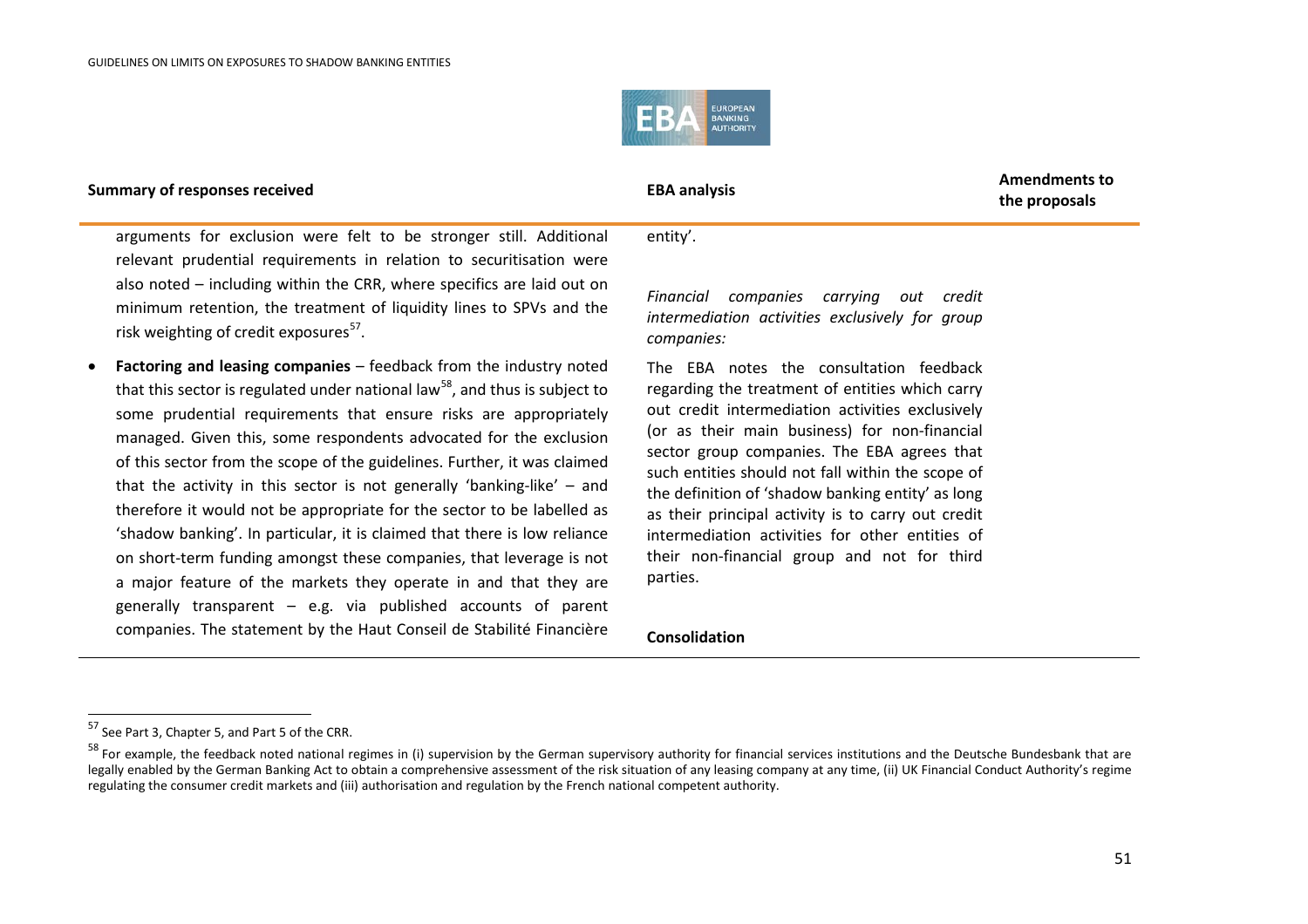<span id="page-50-1"></span><span id="page-50-0"></span>

#### **Summary of responses received EBA analysis EBA analysis EBA** analysis arguments for exclusion were felt to be stronger still. Additional relevant prudential requirements in relation to securitisation were also noted – including within the CRR, where specifics are laid out on minimum retention, the treatment of liquidity lines to SPVs and the risk weighting of credit exposures $57$ . • **Factoring and leasing companies** – feedback from the industry noted that this sector is regulated under national law<sup>[58](#page-50-1)</sup>, and thus is subject to some prudential requirements that ensure risks are appropriately managed. Given this, some respondents advocated for the exclusion of this sector from the scope of the guidelines. Further, it was claimed that the activity in this sector is not generally 'banking-like' – and therefore it would not be appropriate for the sector to be labelled as 'shadow banking'. In particular, it is claimed that there is low reliance on short-term funding amongst these companies, that leverage is not a major feature of the markets they operate in and that they are generally transparent – e.g. via published accounts of parent companies. The statement by the Haut Conseil de Stabilité Financière entity'. *Financial companies carrying out credit intermediation activities exclusively for group companies:* The EBA notes the consultation feedback regarding the treatment of entities which carry out credit intermediation activities exclusively (or as their main business) for non-financial sector group companies. The EBA agrees that such entities should not fall within the scope of the definition of 'shadow banking entity' as long as their principal activity is to carry out credit intermediation activities for other entities of their non-financial group and not for third parties. **Consolidation**

.

**the proposals**

<sup>57</sup> See Part 3, Chapter 5, and Part 5 of the CRR.

<sup>&</sup>lt;sup>58</sup> For example, the feedback noted national regimes in (i) supervision by the German supervisory authority for financial services institutions and the Deutsche Bundesbank that are legally enabled by the German Banking Act to obtain a comprehensive assessment of the risk situation of any leasing company at any time, (ii) UK Financial Conduct Authority's regime regulating the consumer credit markets and (iii) authorisation and regulation by the French national competent authority.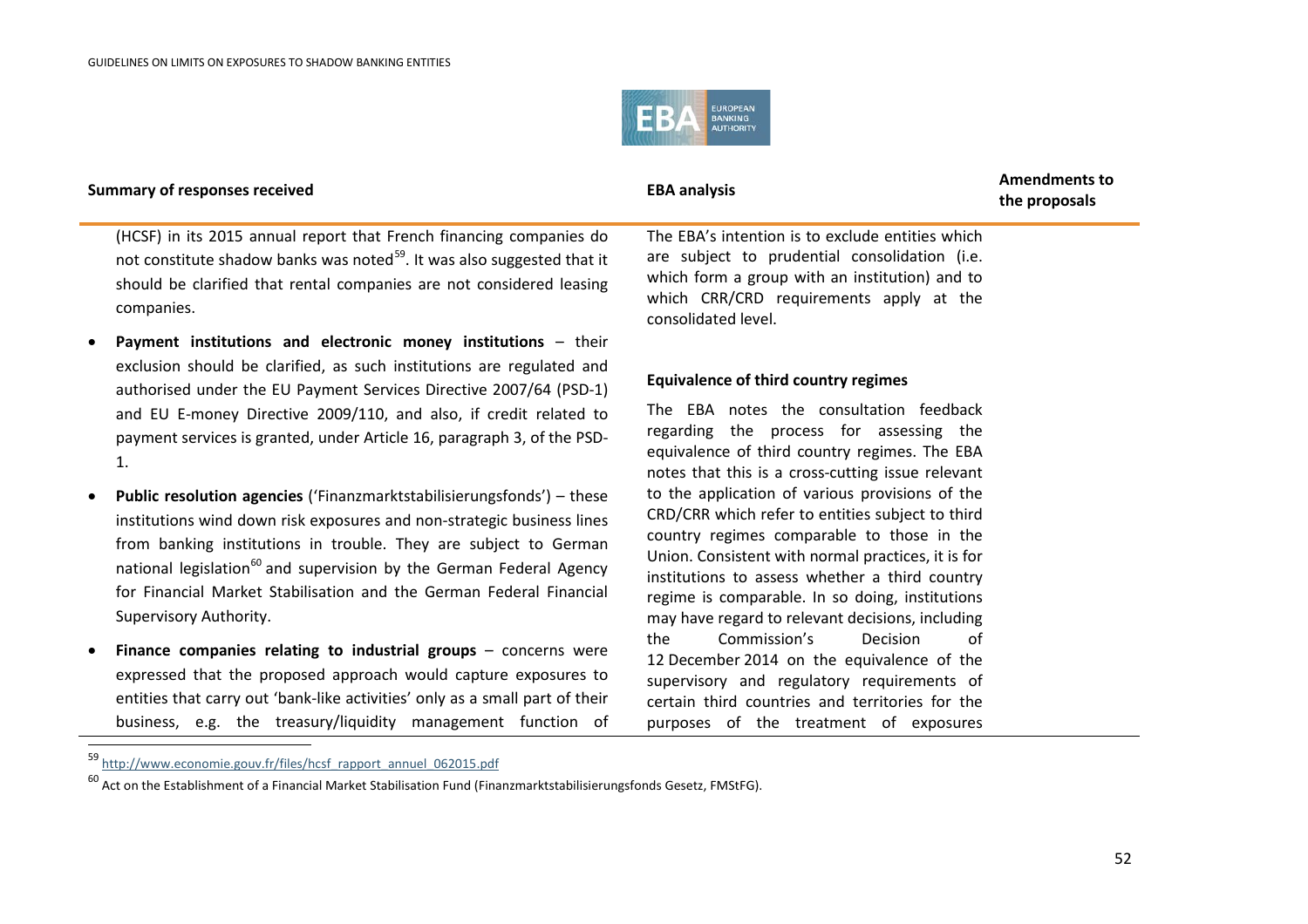1.

1

Supervisory Authority.

<span id="page-51-1"></span><span id="page-51-0"></span>

| <b>Summary of responses received</b> |                                                                                                                                                                                                                                                  | <b>EBA analysis</b>                                                                                                                                                                                                   | <b>Amendments to</b><br>the proposals |
|--------------------------------------|--------------------------------------------------------------------------------------------------------------------------------------------------------------------------------------------------------------------------------------------------|-----------------------------------------------------------------------------------------------------------------------------------------------------------------------------------------------------------------------|---------------------------------------|
|                                      | (HCSF) in its 2015 annual report that French financing companies do<br>not constitute shadow banks was noted <sup>59</sup> . It was also suggested that it<br>should be clarified that rental companies are not considered leasing<br>companies. | The EBA's intention is to exclude entities which<br>are subject to prudential consolidation (i.e.<br>which form a group with an institution) and to<br>which CRR/CRD requirements apply at the<br>consolidated level. |                                       |
|                                      | • Payment institutions and electronic money institutions - their                                                                                                                                                                                 |                                                                                                                                                                                                                       |                                       |
|                                      | exclusion should be clarified, as such institutions are regulated and<br>authorised under the EU Payment Services Directive 2007/64 (PSD-1)                                                                                                      | <b>Equivalence of third country regimes</b>                                                                                                                                                                           |                                       |

The EBA notes the consultation feedback regarding the process for assessing the equivalence of third country regimes. The EBA notes that this is a cross-cutting issue relevant to the application of various provisions of the CRD/CRR which refer to entities subject to third country regimes comparable to those in the Union. Consistent with normal practices, it is for institutions to assess whether a third country regime is comparable. In so doing, institutions may have regard to relevant decisions, including the Commission's Decision of 12 December 2014 on the equivalence of the supervisory and regulatory requirements of certain third countries and territories for the purposes of the treatment of exposures

and EU E-money Directive 2009/110, and also, if credit related to payment services is granted, under Article 16, paragraph 3, of the PSD-

• **Public resolution agencies** ('Finanzmarktstabilisierungsfonds') – these institutions wind down risk exposures and non-strategic business lines from banking institutions in trouble. They are subject to German national legislation<sup>[60](#page-51-1)</sup> and supervision by the German Federal Agency for Financial Market Stabilisation and the German Federal Financial

• **Finance companies relating to industrial groups** – concerns were expressed that the proposed approach would capture exposures to entities that carry out 'bank-like activities' only as a small part of their business, e.g. the treasury/liquidity management function of

52

<sup>59</sup> [http://www.economie.gouv.fr/files/hcsf\\_rapport\\_annuel\\_062015.pdf](http://www.economie.gouv.fr/files/hcsf_rapport_annuel_062015.pdf)

 $^{60}$  Act on the Establishment of a Financial Market Stabilisation Fund (Finanzmarktstabilisierungsfonds Gesetz, FMStFG).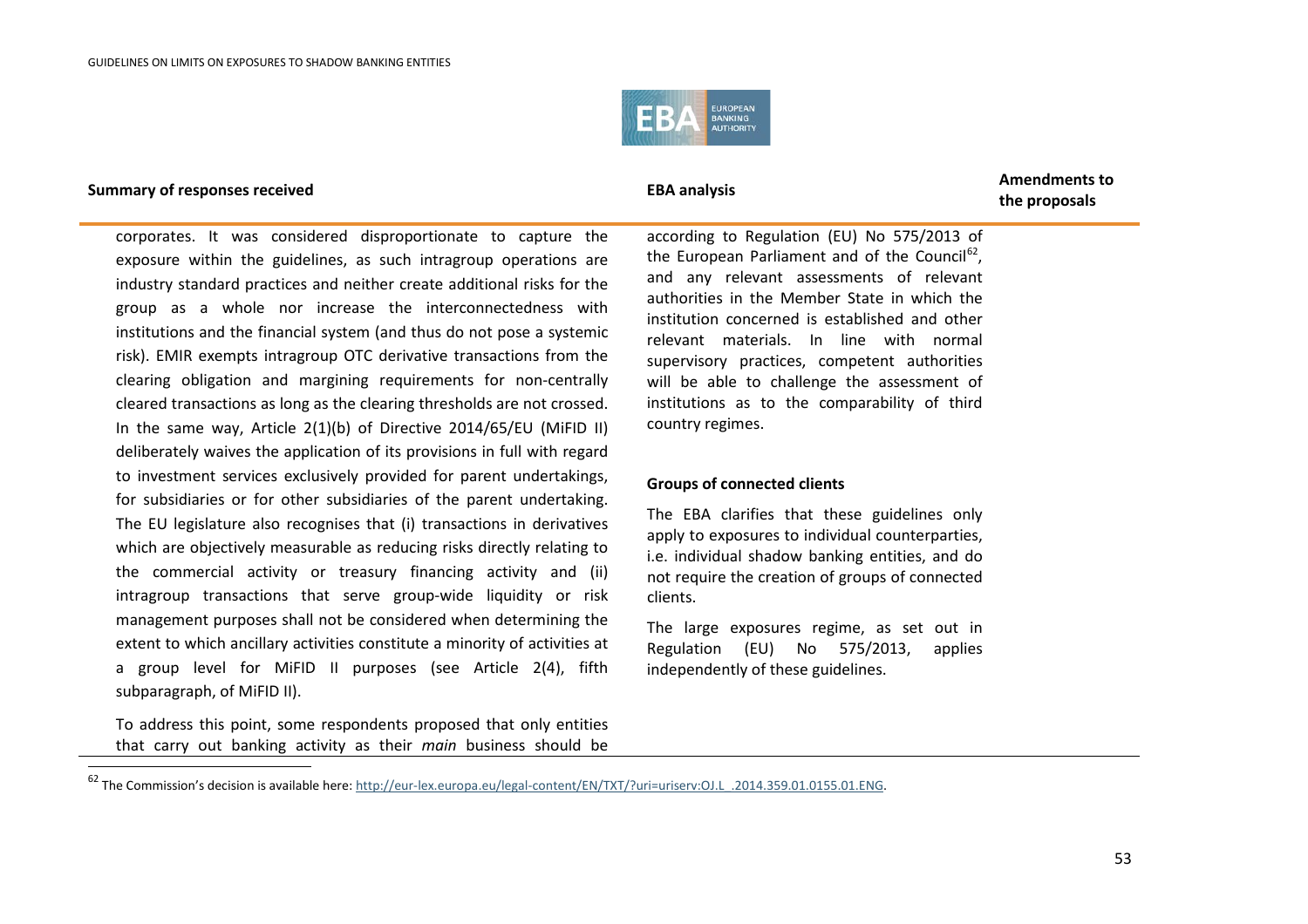<span id="page-52-0"></span>

.

corporates. It was considered disproportionate to capture the exposure within the guidelines, as such intragroup operations are industry standard practices and neither create additional risks for the group as a whole nor increase the interconnectedness with institutions and the financial system (and thus do not pose a systemic risk). EMIR exempts intragroup OTC derivative transactions from the clearing obligation and margining requirements for non-centrally cleared transactions as long as the clearing thresholds are not crossed. In the same way, Article 2(1)(b) of Directive 2014/65/EU (MiFID II) deliberately waives the application of its provisions in full with regard to investment services exclusively provided for parent undertakings, for subsidiaries or for other subsidiaries of the parent undertaking. The EU legislature also recognises that (i) transactions in derivatives which are objectively measurable as reducing risks directly relating to the commercial activity or treasury financing activity and (ii) intragroup transactions that serve group-wide liquidity or risk management purposes shall not be considered when determining the extent to which ancillary activities constitute a minority of activities at a group level for MiFID II purposes (see Article 2(4), fifth subparagraph, of MiFID II).

To address this point, some respondents proposed that only entities that carry out banking activity as their *main* business should be

**the proposals**

according to Regulation (EU) No 575/2013 of the European Parliament and of the Council $^{62}$ . and any relevant assessments of relevant authorities in the Member State in which the institution concerned is established and other relevant materials. In line with normal supervisory practices, competent authorities will be able to challenge the assessment of institutions as to the comparability of third country regimes.

### **Groups of connected clients**

The EBA clarifies that these guidelines only apply to exposures to individual counterparties, i.e. individual shadow banking entities, and do not require the creation of groups of connected clients.

The large exposures regime, as set out in Regulation (EU) No 575/2013, applies independently of these guidelines.

<sup>62</sup> The Commission's decision is available here[: http://eur-lex.europa.eu/legal-content/EN/TXT/?uri=uriserv:OJ.L\\_.2014.359.01.0155.01.ENG.](http://eur-lex.europa.eu/legal-content/EN/TXT/?uri=uriserv:OJ.L_.2014.359.01.0155.01.ENG)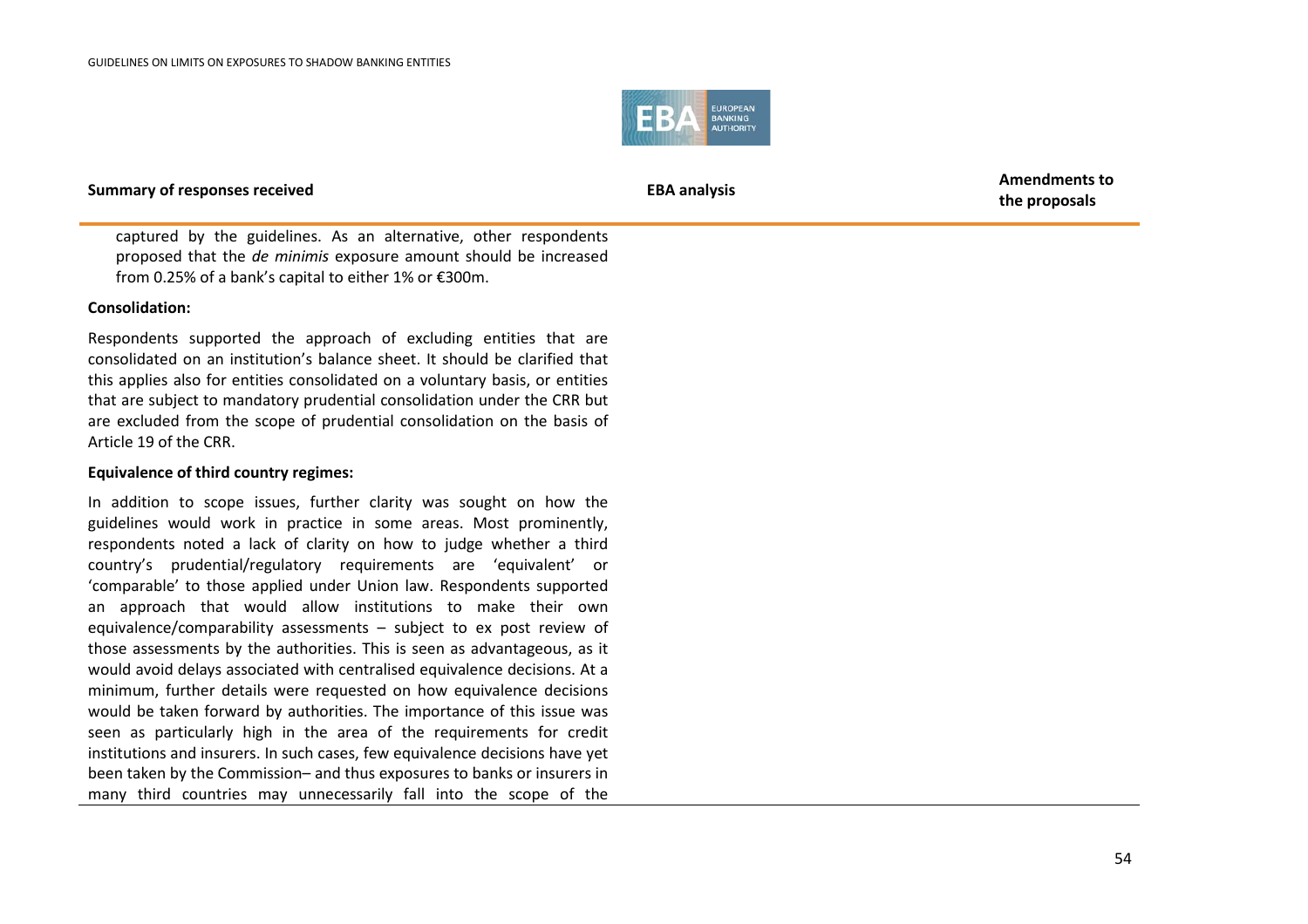

**the proposals**

captured by the guidelines. As an alternative, other respondents proposed that the *de minimis* exposure amount should be increased from 0.25% of a bank's capital to either 1% or €300m.

### **Consolidation:**

Respondents supported the approach of excluding entities that are consolidated on an institution's balance sheet. It should be clarified that this applies also for entities consolidated on a voluntary basis, or entities that are subject to mandatory prudential consolidation under the CRR but are excluded from the scope of prudential consolidation on the basis of Article 19 of the CRR.

### **Equivalence of third country regimes:**

In addition to scope issues, further clarity was sought on how the guidelines would work in practice in some areas. Most prominently, respondents noted a lack of clarity on how to judge whether a third country's prudential/regulatory requirements are 'equivalent' or 'comparable' to those applied under Union law. Respondents supported an approach that would allow institutions to make their own equivalence/comparability assessments – subject to ex post review of those assessments by the authorities. This is seen as advantageous, as it would avoid delays associated with centralised equivalence decisions. At a minimum, further details were requested on how equivalence decisions would be taken forward by authorities. The importance of this issue was seen as particularly high in the area of the requirements for credit institutions and insurers. In such cases, few equivalence decisions have yet been taken by the Commission– and thus exposures to banks or insurers in many third countries may unnecessarily fall into the scope of the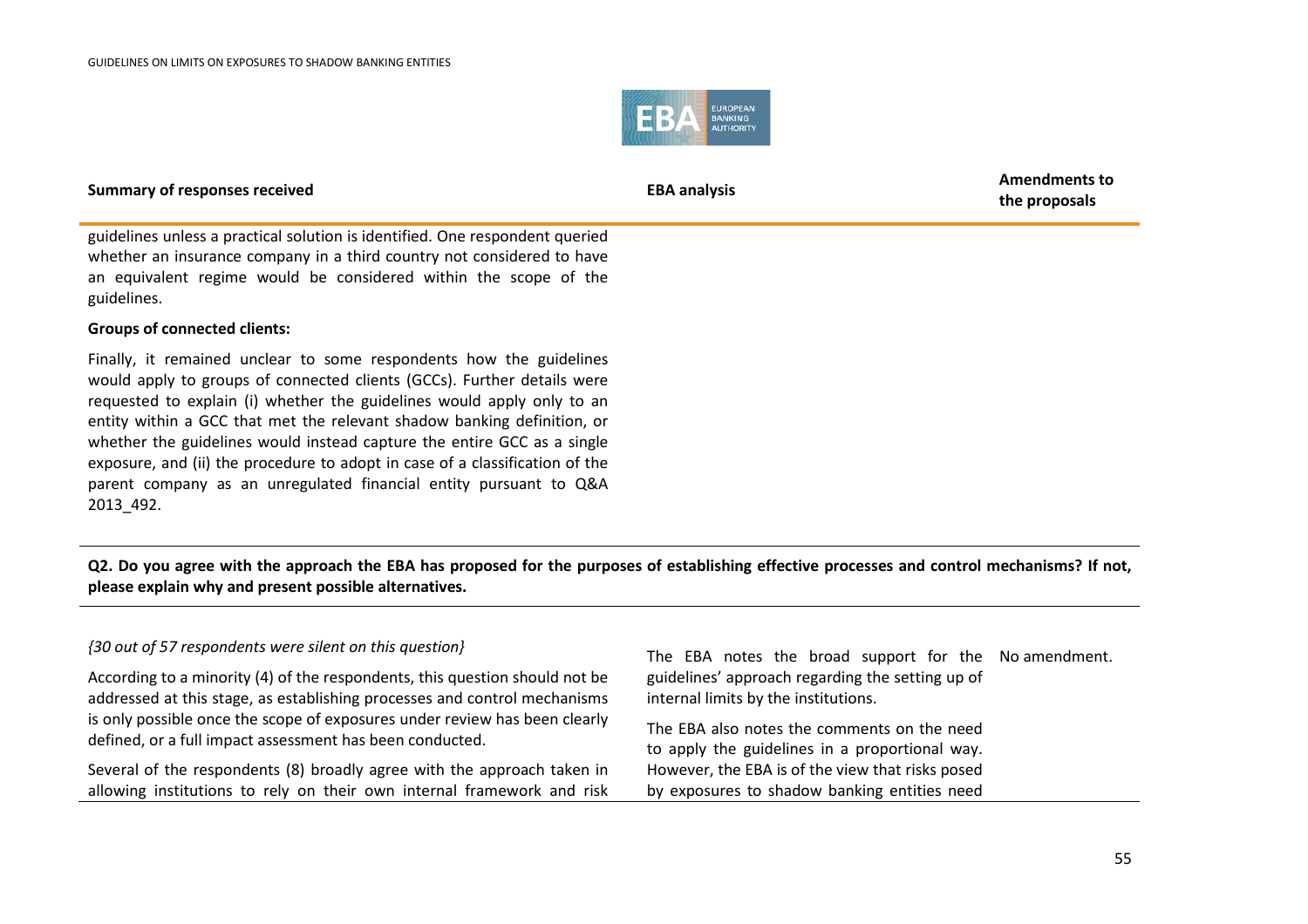

**the proposals**

guidelines unless a practical solution is identified. One respondent queried whether an insurance company in a third country not considered to have an equivalent regime would be considered within the scope of the guidelines.

### **Groups of connected clients:**

Finally, it remained unclear to some respondents how the guidelines would apply to groups of connected clients (GCCs). Further details were requested to explain (i) whether the guidelines would apply only to an entity within a GCC that met the relevant shadow banking definition, or whether the guidelines would instead capture the entire GCC as a single exposure, and (ii) the procedure to adopt in case of a classification of the parent company as an unregulated financial entity pursuant to Q&A 2013\_492.

**Q2. Do you agree with the approach the EBA has proposed for the purposes of establishing effective processes and control mechanisms? If not, please explain why and present possible alternatives.**

### *{30 out of 57 respondents were silent on this question}*

According to a minority (4) of the respondents, this question should not be addressed at this stage, as establishing processes and control mechanisms is only possible once the scope of exposures under review has been clearly defined, or a full impact assessment has been conducted.

Several of the respondents (8) broadly agree with the approach taken in allowing institutions to rely on their own internal framework and risk

The EBA notes the broad support for the No amendment.guidelines' approach regarding the setting up of internal limits by the institutions.

The EBA also notes the comments on the need to apply the guidelines in a proportional way. However, the EBA is of the view that risks posed by exposures to shadow banking entities need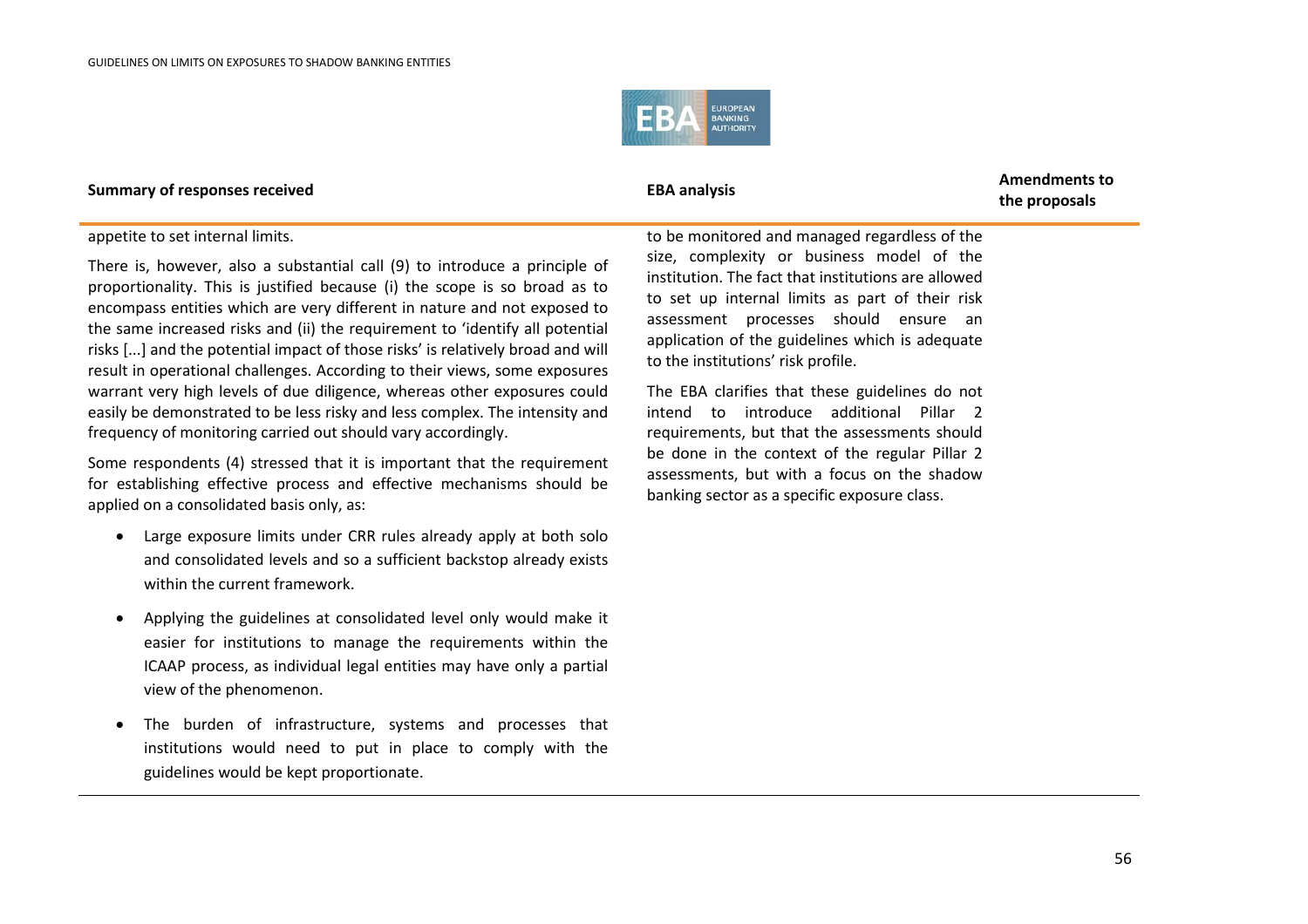

**the proposals**

### appetite to set internal limits.

There is, however, also a substantial call (9) to introduce a principle of proportionality. This is justified because (i) the scope is so broad as to encompass entities which are very different in nature and not exposed to the same increased risks and (ii) the requirement to 'identify all potential risks [...] and the potential impact of those risks' is relatively broad and will result in operational challenges. According to their views, some exposures warrant very high levels of due diligence, whereas other exposures could easily be demonstrated to be less risky and less complex. The intensity and frequency of monitoring carried out should vary accordingly.

Some respondents (4) stressed that it is important that the requirement for establishing effective process and effective mechanisms should be applied on a consolidated basis only, as:

- Large exposure limits under CRR rules already apply at both solo and consolidated levels and so a sufficient backstop already exists within the current framework.
- Applying the guidelines at consolidated level only would make it easier for institutions to manage the requirements within the ICAAP process, as individual legal entities may have only a partial view of the phenomenon.
- The burden of infrastructure, systems and processes that institutions would need to put in place to comply with the guidelines would be kept proportionate.

to be monitored and managed regardless of the size, complexity or business model of the institution. The fact that institutions are allowed to set up internal limits as part of their risk assessment processes should ensure an application of the guidelines which is adequate to the institutions' risk profile.

The EBA clarifies that these guidelines do not intend to introduce additional Pillar 2 requirements, but that the assessments should be done in the context of the regular Pillar 2 assessments, but with a focus on the shadow banking sector as a specific exposure class.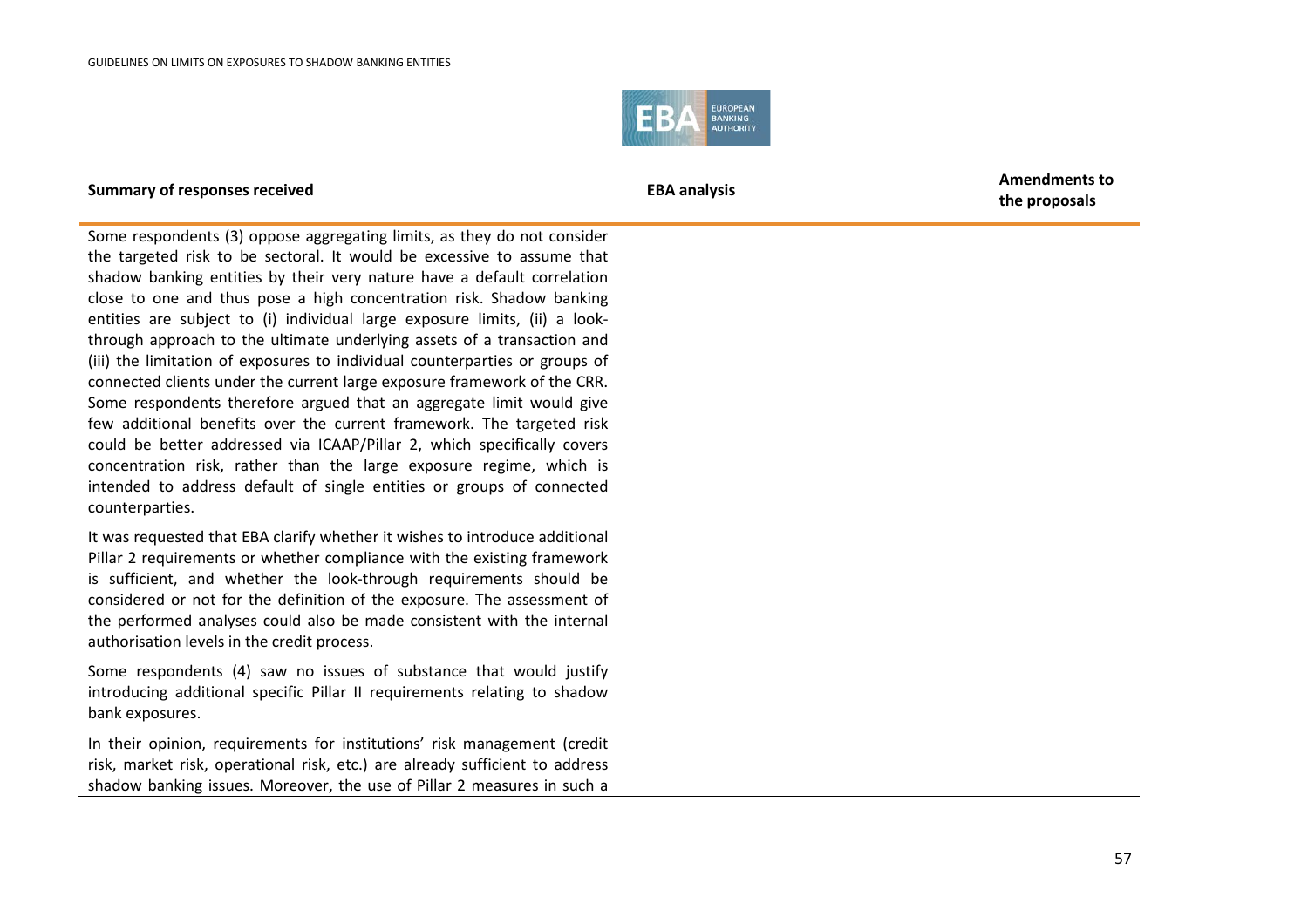

**the proposals**

Some respondents (3) oppose aggregating limits, as they do not consider the targeted risk to be sectoral. It would be excessive to assume that shadow banking entities by their very nature have a default correlation close to one and thus pose a high concentration risk. Shadow banking entities are subject to (i) individual large exposure limits, (ii) a lookthrough approach to the ultimate underlying assets of a transaction and (iii) the limitation of exposures to individual counterparties or groups of connected clients under the current large exposure framework of the CRR. Some respondents therefore argued that an aggregate limit would give few additional benefits over the current framework. The targeted risk could be better addressed via ICAAP/Pillar 2, which specifically covers concentration risk, rather than the large exposure regime, which is intended to address default of single entities or groups of connected counterparties.

It was requested that EBA clarify whether it wishes to introduce additional Pillar 2 requirements or whether compliance with the existing framework is sufficient, and whether the look-through requirements should be considered or not for the definition of the exposure. The assessment of the performed analyses could also be made consistent with the internal authorisation levels in the credit process.

Some respondents (4) saw no issues of substance that would justify introducing additional specific Pillar II requirements relating to shadow bank exposures.

In their opinion, requirements for institutions' risk management (credit risk, market risk, operational risk, etc.) are already sufficient to address shadow banking issues. Moreover, the use of Pillar 2 measures in such a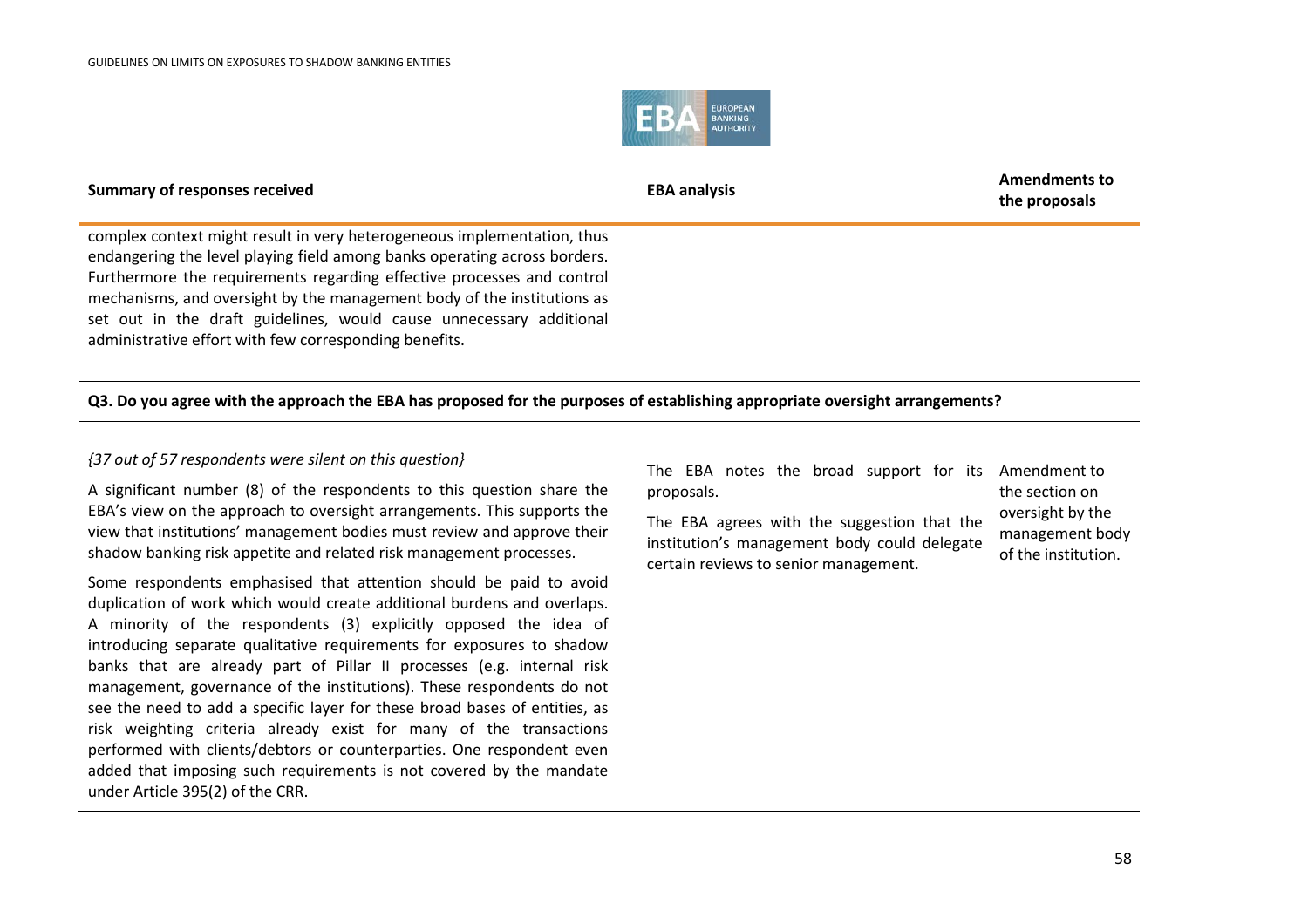

**Summary of responses received EBA analysis EBA analysis EBA** analysis **the proposals**

complex context might result in very heterogeneous implementation, thus endangering the level playing field among banks operating across borders. Furthermore the requirements regarding effective processes and control mechanisms, and oversight by the management body of the institutions as set out in the draft guidelines, would cause unnecessary additional administrative effort with few corresponding benefits.

### **Q3. Do you agree with the approach the EBA has proposed for the purposes of establishing appropriate oversight arrangements?**

### *{37 out of 57 respondents were silent on this question}*

A significant number (8) of the respondents to this question share the EBA's view on the approach to oversight arrangements. This supports the view that institutions' management bodies must review and approve their shadow banking risk appetite and related risk management processes.

Some respondents emphasised that attention should be paid to avoid duplication of work which would create additional burdens and overlaps. A minority of the respondents (3) explicitly opposed the idea of introducing separate qualitative requirements for exposures to shadow banks that are already part of Pillar II processes (e.g. internal risk management, governance of the institutions). These respondents do not see the need to add a specific layer for these broad bases of entities, as risk weighting criteria already exist for many of the transactions performed with clients/debtors or counterparties. One respondent even added that imposing such requirements is not covered by the mandate under Article 395(2) of the CRR.

The EBA notes the broad support for its Amendment to proposals.

The EBA agrees with the suggestion that the institution's management body could delegate certain reviews to senior management.

the section on oversight by the management body of the institution.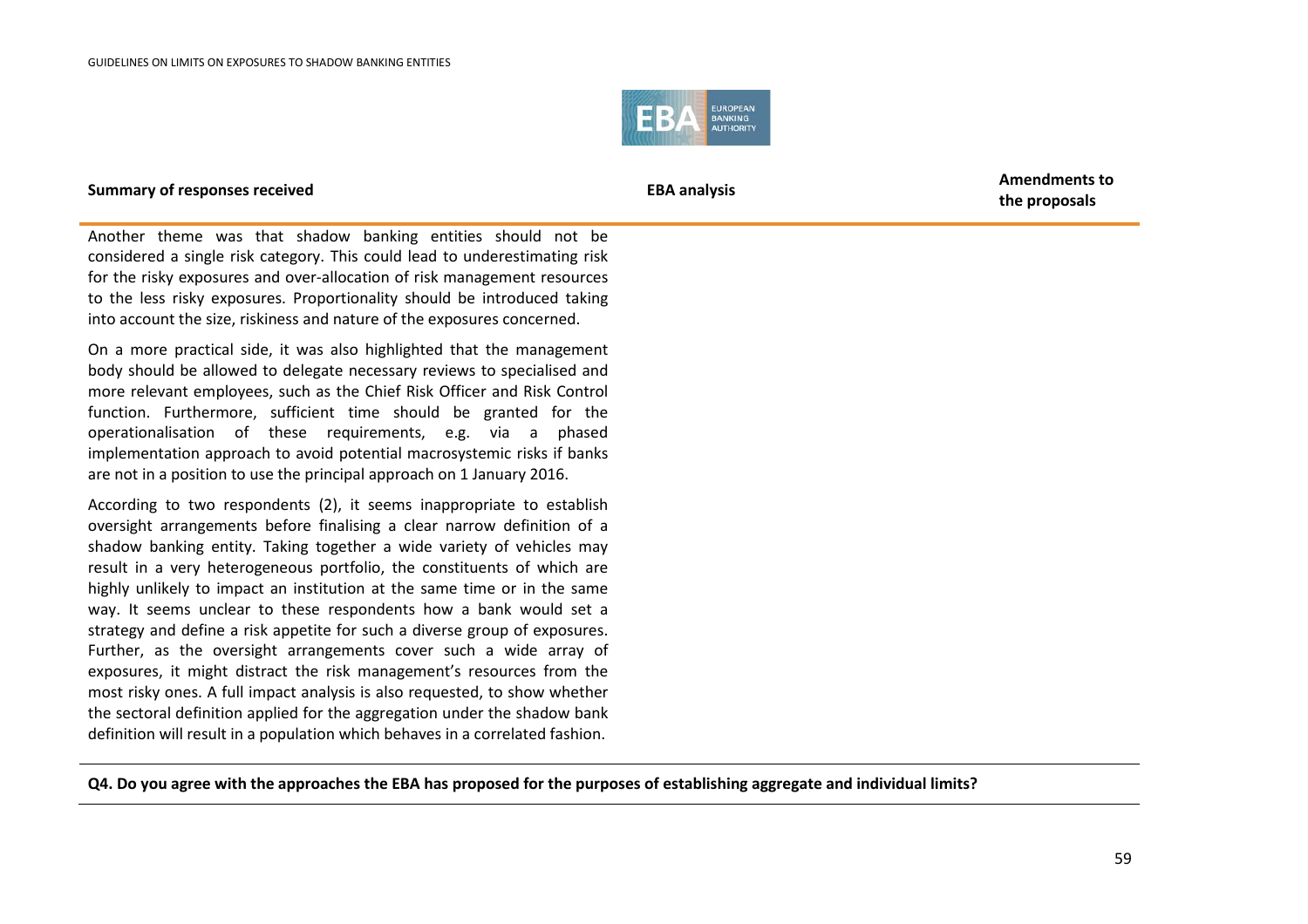

**the proposals**

Another theme was that shadow banking entities should not be considered a single risk category. This could lead to underestimating risk for the risky exposures and over-allocation of risk management resources to the less risky exposures. Proportionality should be introduced taking into account the size, riskiness and nature of the exposures concerned.

On a more practical side, it was also highlighted that the management body should be allowed to delegate necessary reviews to specialised and more relevant employees, such as the Chief Risk Officer and Risk Control function. Furthermore, sufficient time should be granted for the operationalisation of these requirements, e.g. via a phased implementation approach to avoid potential macrosystemic risks if banks are not in a position to use the principal approach on 1 January 2016.

According to two respondents (2), it seems inappropriate to establish oversight arrangements before finalising a clear narrow definition of a shadow banking entity. Taking together a wide variety of vehicles may result in a very heterogeneous portfolio, the constituents of which are highly unlikely to impact an institution at the same time or in the same way. It seems unclear to these respondents how a bank would set a strategy and define a risk appetite for such a diverse group of exposures. Further, as the oversight arrangements cover such a wide array of exposures, it might distract the risk management's resources from the most risky ones. A full impact analysis is also requested, to show whether the sectoral definition applied for the aggregation under the shadow bank definition will result in a population which behaves in a correlated fashion.

**Q4. Do you agree with the approaches the EBA has proposed for the purposes of establishing aggregate and individual limits?**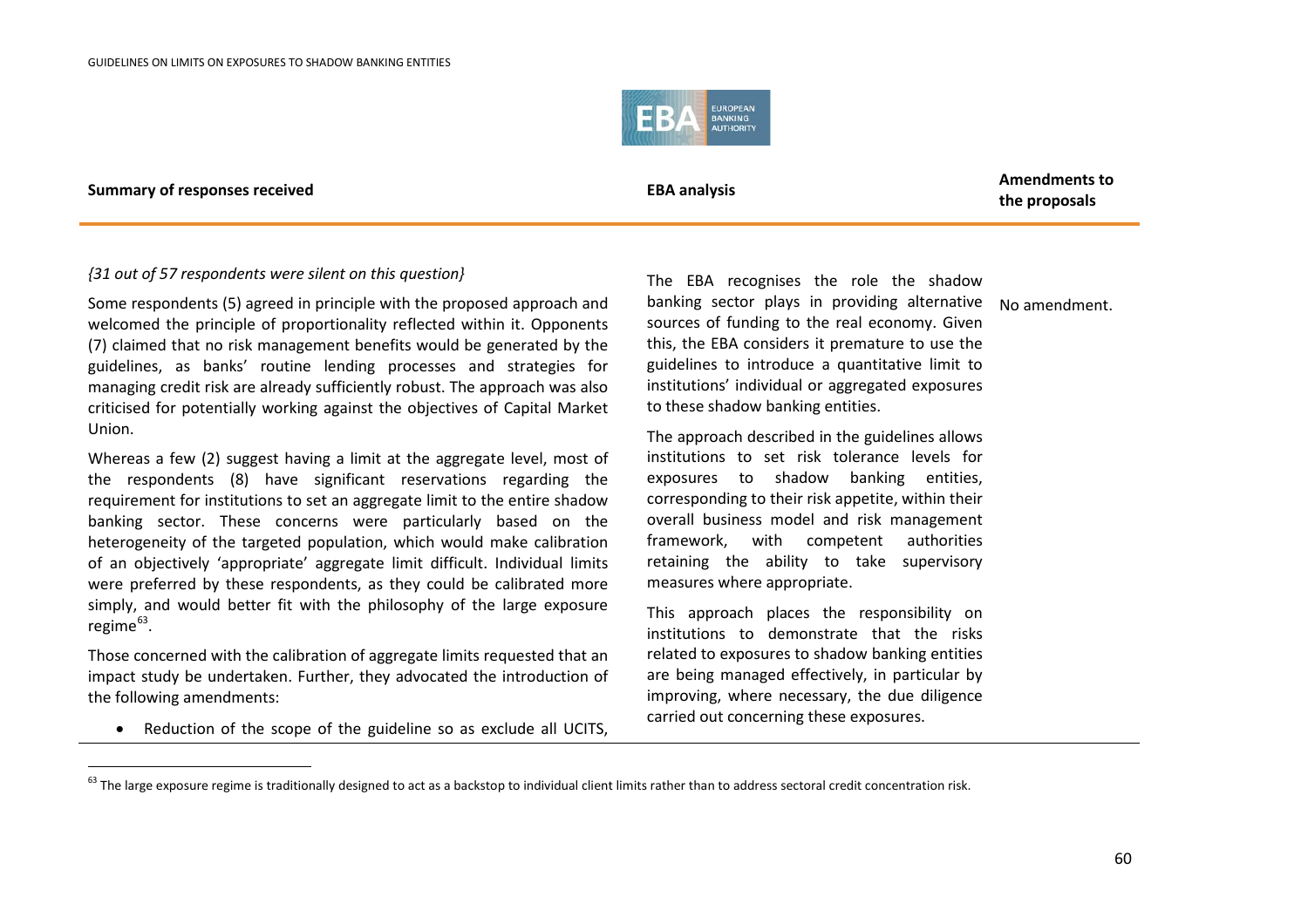<span id="page-59-0"></span>

.

**the proposals**

### *{31 out of 57 respondents were silent on this question}*

Some respondents (5) agreed in principle with the proposed approach and welcomed the principle of proportionality reflected within it. Opponents (7) claimed that no risk management benefits would be generated by the guidelines, as banks' routine lending processes and strategies for managing credit risk are already sufficiently robust. The approach was also criticised for potentially working against the objectives of Capital Market Union.

Whereas a few (2) suggest having a limit at the aggregate level, most of the respondents (8) have significant reservations regarding the requirement for institutions to set an aggregate limit to the entire shadow banking sector. These concerns were particularly based on the heterogeneity of the targeted population, which would make calibration of an objectively 'appropriate' aggregate limit difficult. Individual limits were preferred by these respondents, as they could be calibrated more simply, and would better fit with the philosophy of the large exposure regime<sup>[63](#page-59-0)</sup>.

Those concerned with the calibration of aggregate limits requested that an impact study be undertaken. Further, they advocated the introduction of the following amendments:

• Reduction of the scope of the guideline so as exclude all UCITS,

The EBA recognises the role the shadow banking sector plays in providing alternative No amendment. sources of funding to the real economy. Given this, the EBA considers it premature to use the guidelines to introduce a quantitative limit to institutions' individual or aggregated exposures to these shadow banking entities.

The approach described in the guidelines allows institutions to set risk tolerance levels for exposures to shadow banking entities, corresponding to their risk appetite, within their overall business model and risk management framework, with competent authorities retaining the ability to take supervisory measures where appropriate.

This approach places the responsibility on institutions to demonstrate that the risks related to exposures to shadow banking entities are being managed effectively, in particular by improving, where necessary, the due diligence carried out concerning these exposures.

 $63$  The large exposure regime is traditionally designed to act as a backstop to individual client limits rather than to address sectoral credit concentration risk.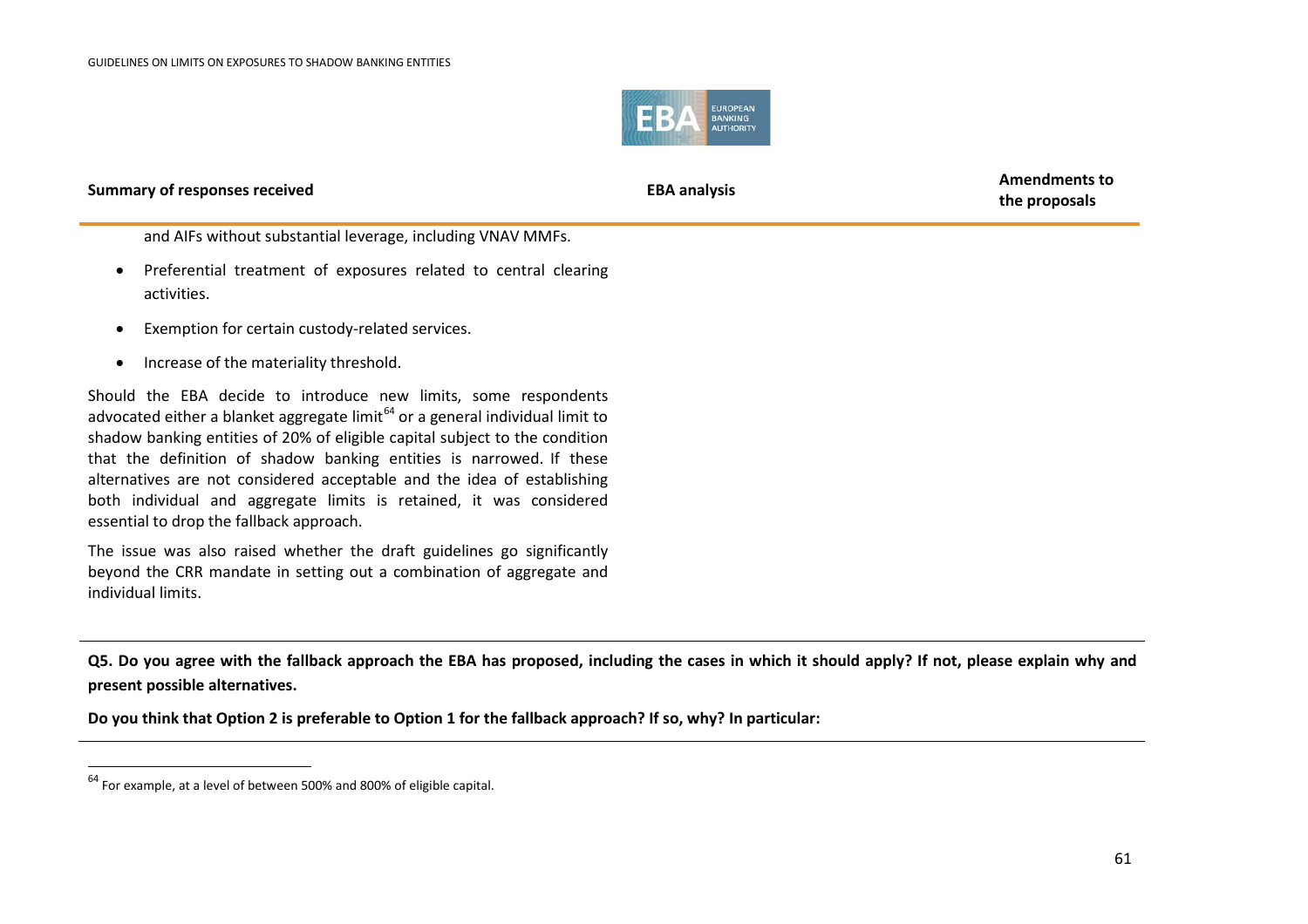<span id="page-60-0"></span>

**the proposals**

and AIFs without substantial leverage, including VNAV MMFs.

- Preferential treatment of exposures related to central clearing activities.
- Exemption for certain custody-related services.
- Increase of the materiality threshold.

Should the EBA decide to introduce new limits, some respondents advocated either a blanket aggregate limit $^{64}$  $^{64}$  $^{64}$  or a general individual limit to shadow banking entities of 20% of eligible capital subject to the condition that the definition of shadow banking entities is narrowed. If these alternatives are not considered acceptable and the idea of establishing both individual and aggregate limits is retained, it was considered essential to drop the fallback approach.

The issue was also raised whether the draft guidelines go significantly beyond the CRR mandate in setting out a combination of aggregate and individual limits.

**Q5. Do you agree with the fallback approach the EBA has proposed, including the cases in which it should apply? If not, please explain why and present possible alternatives.**

**Do you think that Option 2 is preferable to Option 1 for the fallback approach? If so, why? In particular:**

.

<sup>64</sup> For example, at a level of between 500% and 800% of eligible capital.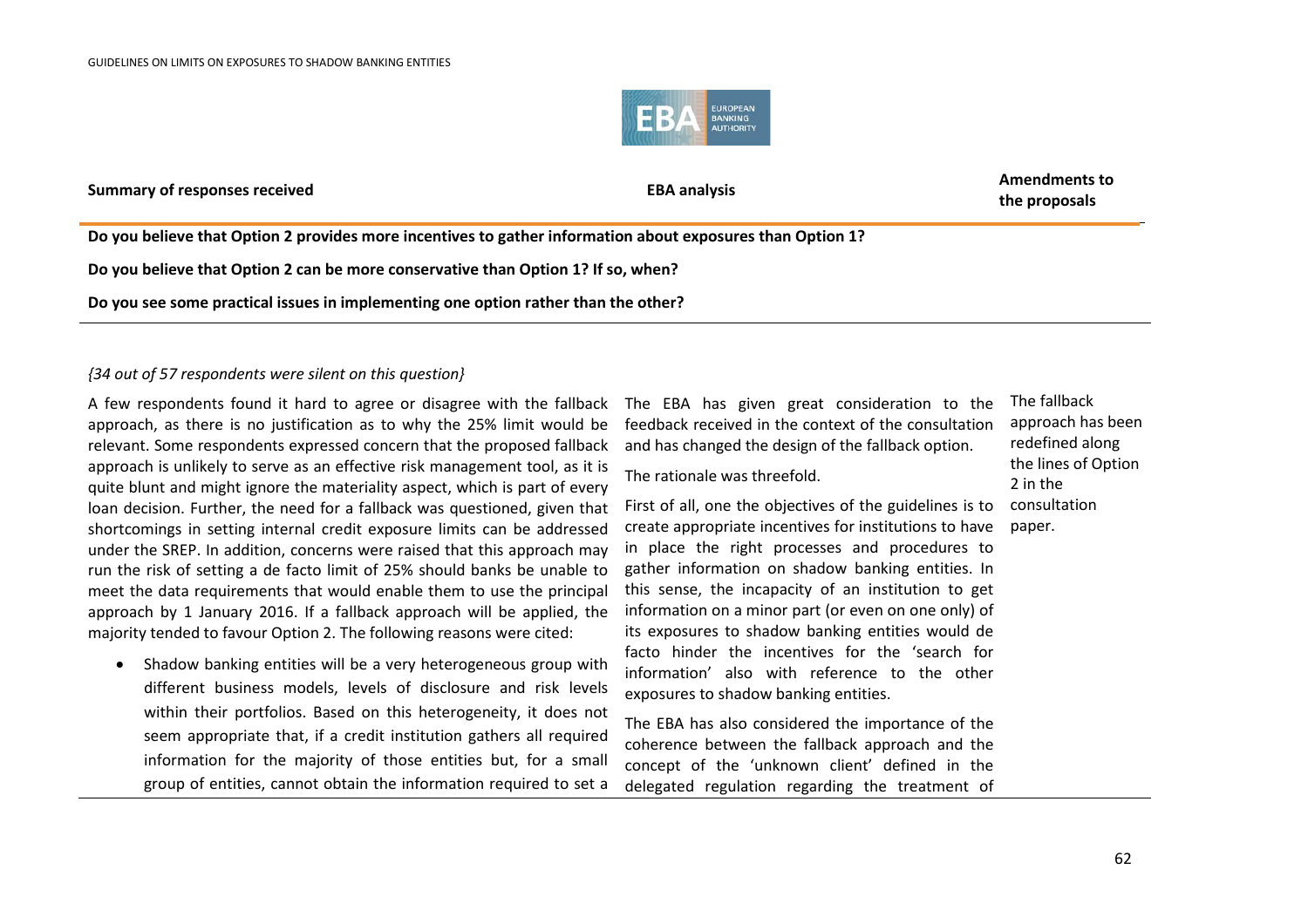

**the proposals**

**Do you believe that Option 2 provides more incentives to gather information about exposures than Option 1?**

**Do you believe that Option 2 can be more conservative than Option 1? If so, when?**

**Do you see some practical issues in implementing one option rather than the other?**

### *{34 out of 57 respondents were silent on this question}*

A few respondents found it hard to agree or disagree with the fallback approach, as there is no justification as to why the 25% limit would be relevant. Some respondents expressed concern that the proposed fallback approach is unlikely to serve as an effective risk management tool, as it is quite blunt and might ignore the materiality aspect, which is part of every loan decision. Further, the need for a fallback was questioned, given that shortcomings in setting internal credit exposure limits can be addressed under the SREP. In addition, concerns were raised that this approach may run the risk of setting a de facto limit of 25% should banks be unable to meet the data requirements that would enable them to use the principal approach by 1 January 2016. If a fallback approach will be applied, the majority tended to favour Option 2. The following reasons were cited:

• Shadow banking entities will be a very heterogeneous group with different business models, levels of disclosure and risk levels within their portfolios. Based on this heterogeneity, it does not seem appropriate that, if a credit institution gathers all required information for the majority of those entities but, for a small group of entities, cannot obtain the information required to set a

The EBA has given great consideration to the feedback received in the context of the consultation and has changed the design of the fallback option.

The rationale was threefold.

First of all, one the objectives of the guidelines is to create appropriate incentives for institutions to have in place the right processes and procedures to gather information on shadow banking entities. In this sense, the incapacity of an institution to get information on a minor part (or even on one only) of its exposures to shadow banking entities would de facto hinder the incentives for the 'search for information' also with reference to the other exposures to shadow banking entities.

The EBA has also considered the importance of the coherence between the fallback approach and the concept of the 'unknown client' defined in the delegated regulation regarding the treatment of

The fallback approach has been redefined along the lines of Option 2 in the consultation paper.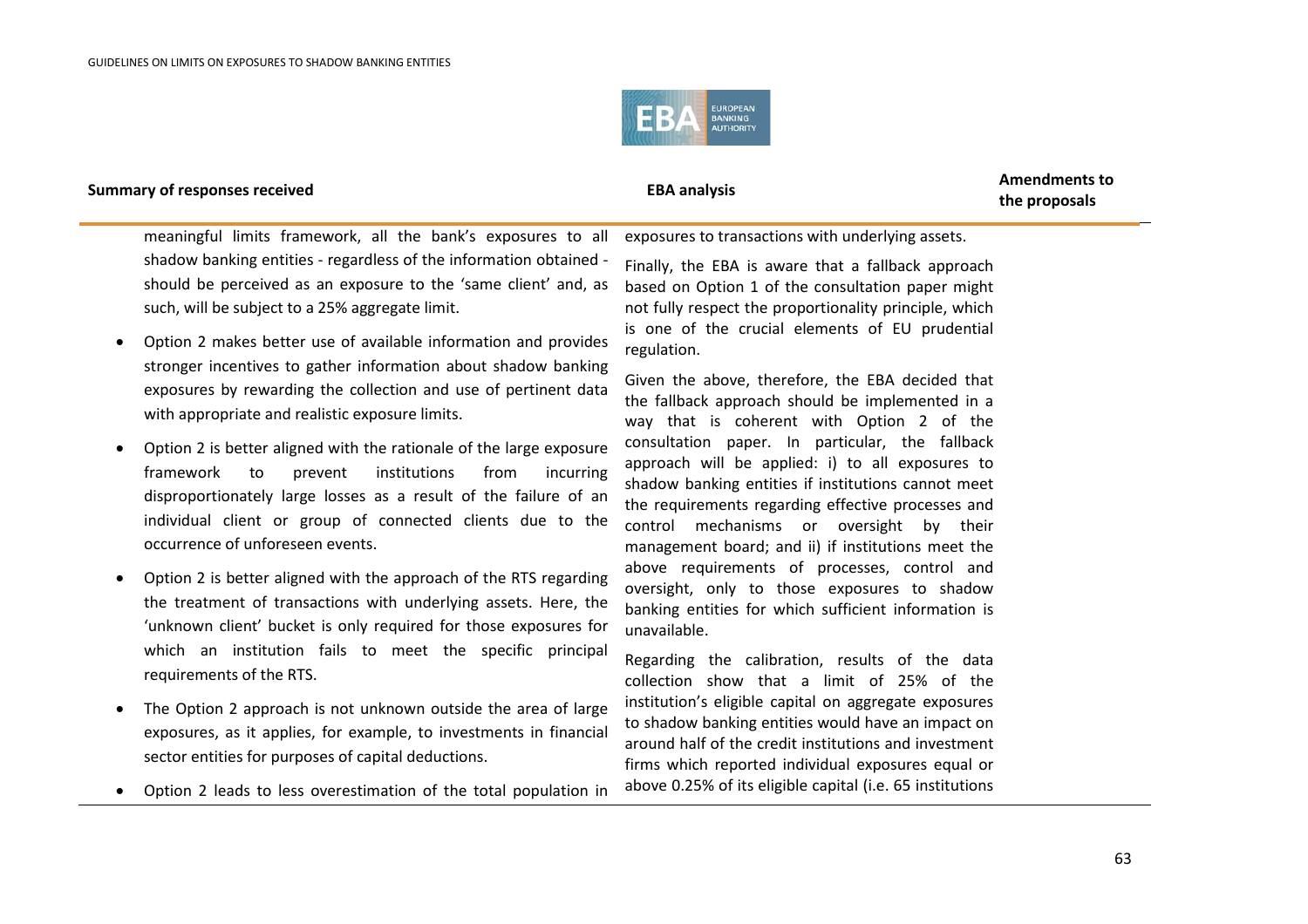

**the proposals**

meaningful limits framework, all the bank's exposures to all shadow banking entities - regardless of the information obtained should be perceived as an exposure to the 'same client' and, as such, will be subject to a 25% aggregate limit.

- Option 2 makes better use of available information and provides stronger incentives to gather information about shadow banking exposures by rewarding the collection and use of pertinent data with appropriate and realistic exposure limits.
- Option 2 is better aligned with the rationale of the large exposure framework to prevent institutions from incurring disproportionately large losses as a result of the failure of an individual client or group of connected clients due to the occurrence of unforeseen events.
- Option 2 is better aligned with the approach of the RTS regarding the treatment of transactions with underlying assets. Here, the 'unknown client' bucket is only required for those exposures for which an institution fails to meet the specific principal requirements of the RTS.
- The Option 2 approach is not unknown outside the area of large exposures, as it applies, for example, to investments in financial sector entities for purposes of capital deductions.
- Option 2 leads to less overestimation of the total population in

exposures to transactions with underlying assets.

Finally, the EBA is aware that a fallback approach based on Option 1 of the consultation paper might not fully respect the proportionality principle, which is one of the crucial elements of EU prudential regulation.

Given the above, therefore, the EBA decided that the fallback approach should be implemented in a way that is coherent with Option 2 of the consultation paper. In particular, the fallback approach will be applied: i) to all exposures to shadow banking entities if institutions cannot meet the requirements regarding effective processes and control mechanisms or oversight by their management board; and ii) if institutions meet the above requirements of processes, control and oversight, only to those exposures to shadow banking entities for which sufficient information is unavailable.

Regarding the calibration, results of the data collection show that a limit of 25% of the institution's eligible capital on aggregate exposures to shadow banking entities would have an impact on around half of the credit institutions and investment firms which reported individual exposures equal or above 0.25% of its eligible capital (i.e. 65 institutions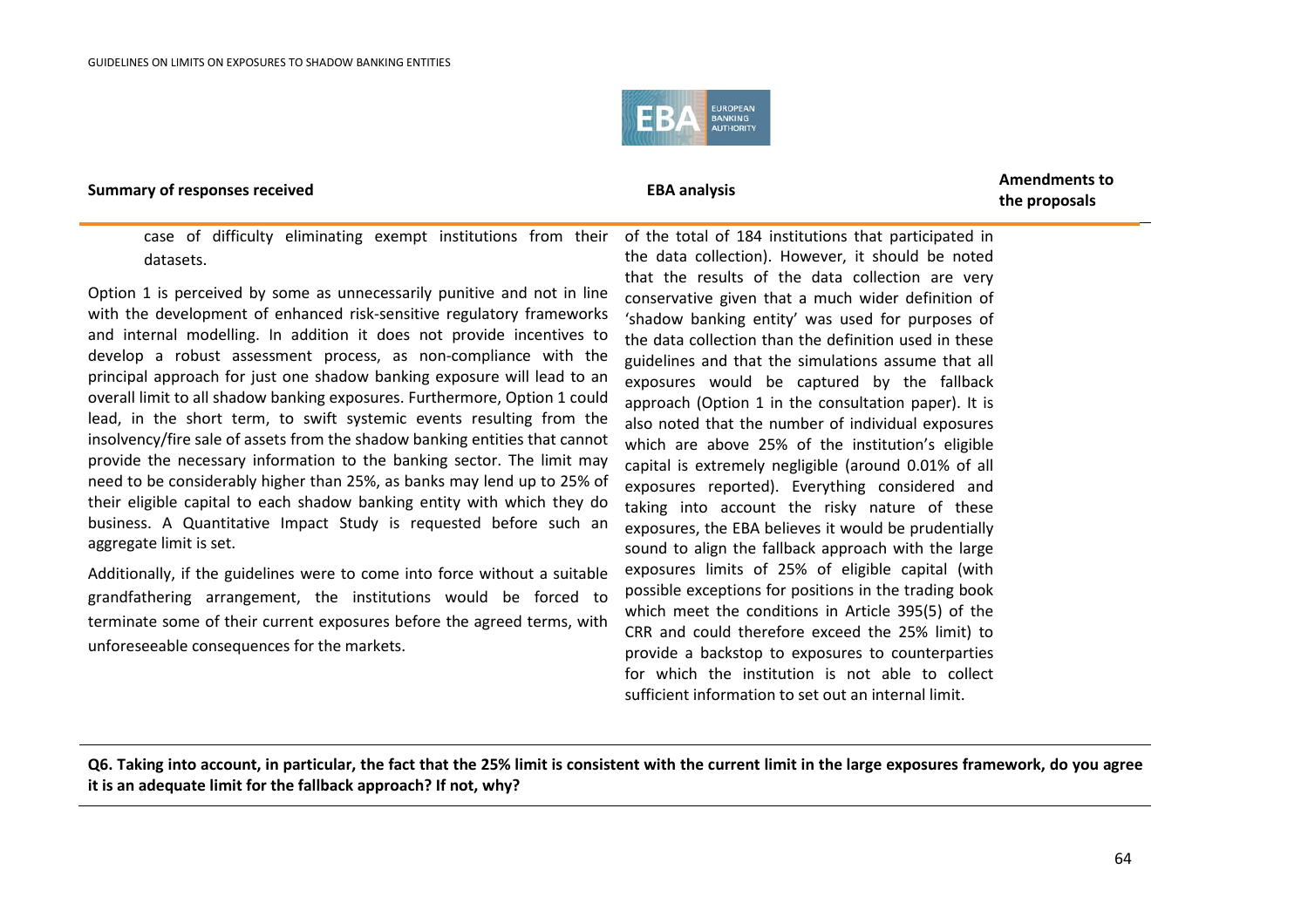

**the proposals**

case of difficulty eliminating exempt institutions from their datasets.

Option 1 is perceived by some as unnecessarily punitive and not in line with the development of enhanced risk-sensitive regulatory frameworks and internal modelling. In addition it does not provide incentives to develop a robust assessment process, as non-compliance with the principal approach for just one shadow banking exposure will lead to an overall limit to all shadow banking exposures. Furthermore, Option 1 could lead, in the short term, to swift systemic events resulting from the insolvency/fire sale of assets from the shadow banking entities that cannot provide the necessary information to the banking sector. The limit may need to be considerably higher than 25%, as banks may lend up to 25% of their eligible capital to each shadow banking entity with which they do business. A Quantitative Impact Study is requested before such an aggregate limit is set.

Additionally, if the guidelines were to come into force without a suitable grandfathering arrangement, the institutions would be forced to terminate some of their current exposures before the agreed terms, with unforeseeable consequences for the markets.

of the total of 184 institutions that participated in the data collection). However, it should be noted that the results of the data collection are very conservative given that a much wider definition of 'shadow banking entity' was used for purposes of the data collection than the definition used in these guidelines and that the simulations assume that all exposures would be captured by the fallback approach (Option 1 in the consultation paper). It is also noted that the number of individual exposures which are above 25% of the institution's eligible capital is extremely negligible (around 0.01% of all exposures reported). Everything considered and taking into account the risky nature of these exposures, the EBA believes it would be prudentially sound to align the fallback approach with the large exposures limits of 25% of eligible capital (with possible exceptions for positions in the trading book which meet the conditions in Article 395(5) of the CRR and could therefore exceed the 25% limit) to provide a backstop to exposures to counterparties for which the institution is not able to collect sufficient information to set out an internal limit.

**Q6. Taking into account, in particular, the fact that the 25% limit is consistent with the current limit in the large exposures framework, do you agree it is an adequate limit for the fallback approach? If not, why?**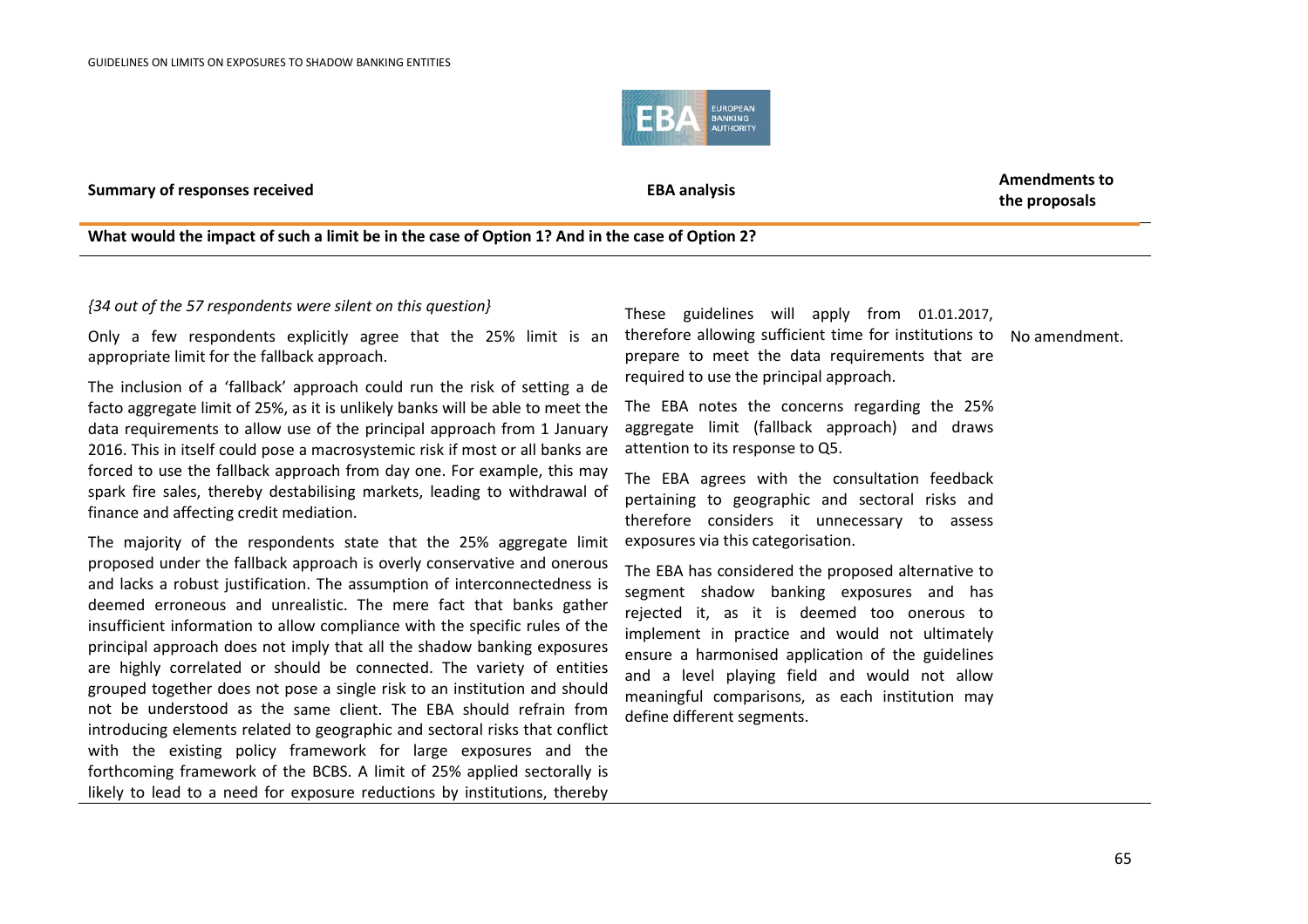

**Summary of responses received EBA analysis EBA analysis EBA** analysis

**the proposals**

### **What would the impact of such a limit be in the case of Option 1? And in the case of Option 2?**

### *{34 out of the 57 respondents were silent on this question}*

Only a few respondents explicitly agree that the 25% limit is an appropriate limit for the fallback approach.

The inclusion of a 'fallback' approach could run the risk of setting a de facto aggregate limit of 25%, as it is unlikely banks will be able to meet the data requirements to allow use of the principal approach from 1 January 2016. This in itself could pose a macrosystemic risk if most or all banks are forced to use the fallback approach from day one. For example, this may spark fire sales, thereby destabilising markets, leading to withdrawal of finance and affecting credit mediation.

The majority of the respondents state that the 25% aggregate limit proposed under the fallback approach is overly conservative and onerous and lacks a robust justification. The assumption of interconnectedness is deemed erroneous and unrealistic. The mere fact that banks gather insufficient information to allow compliance with the specific rules of the principal approach does not imply that all the shadow banking exposures are highly correlated or should be connected. The variety of entities grouped together does not pose a single risk to an institution and should not be understood as the same client. The EBA should refrain from introducing elements related to geographic and sectoral risks that conflict with the existing policy framework for large exposures and the forthcoming framework of the BCBS. A limit of 25% applied sectorally is likely to lead to a need for exposure reductions by institutions, thereby

These guidelines will apply from 01.01.2017, therefore allowing sufficient time for institutions to prepare to meet the data requirements that are required to use the principal approach. No amendment.

The EBA notes the concerns regarding the 25% aggregate limit (fallback approach) and draws attention to its response to Q5.

The EBA agrees with the consultation feedback pertaining to geographic and sectoral risks and therefore considers it unnecessary to assess exposures via this categorisation.

The EBA has considered the proposed alternative to segment shadow banking exposures and has rejected it, as it is deemed too onerous to implement in practice and would not ultimately ensure a harmonised application of the guidelines and a level playing field and would not allow meaningful comparisons, as each institution may define different segments.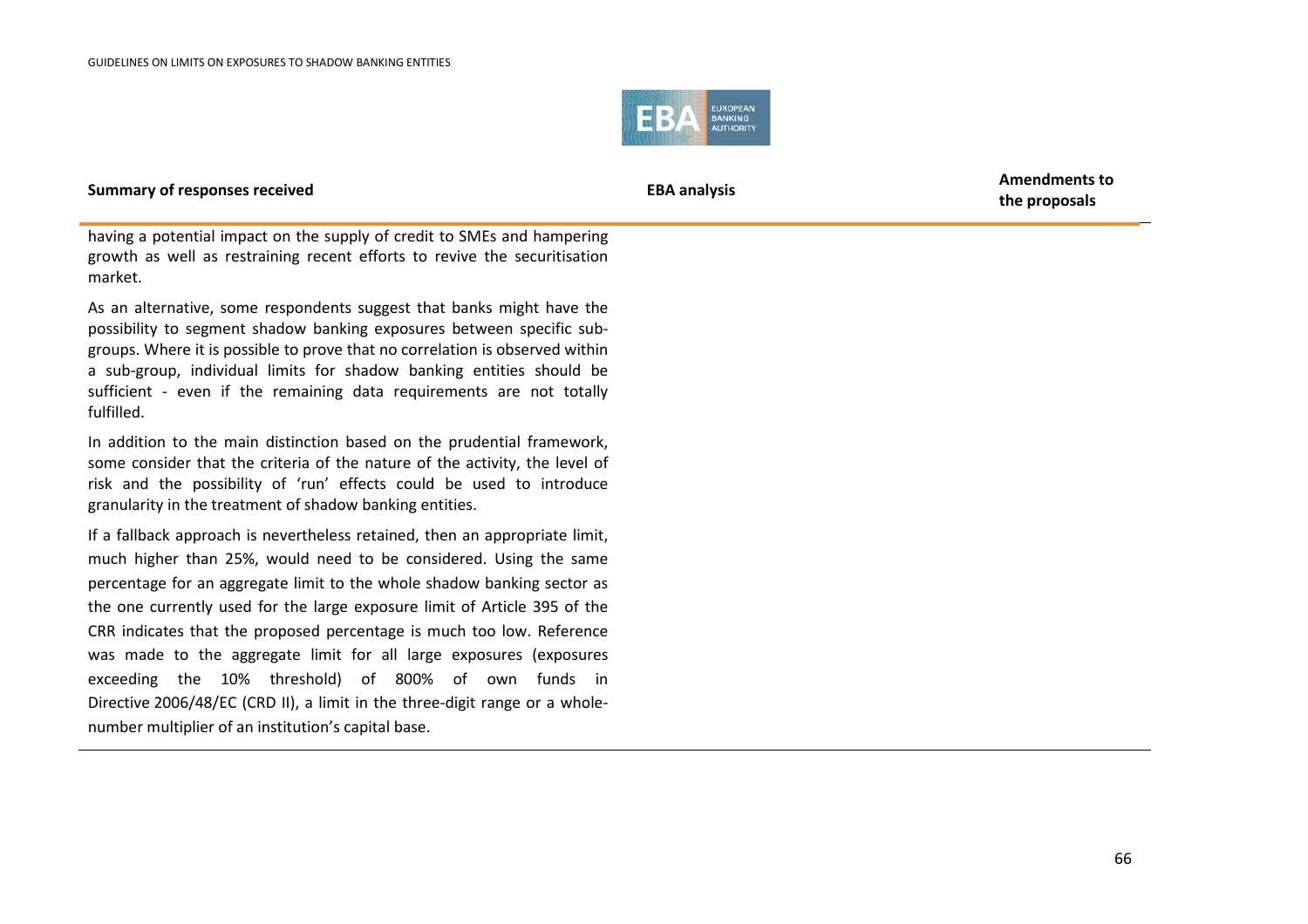

**the proposals**

having a potential impact on the supply of credit to SMEs and hampering growth as well as restraining recent efforts to revive the securitisation market.

As an alternative, some respondents suggest that banks might have the possibility to segment shadow banking exposures between specific subgroups. Where it is possible to prove that no correlation is observed within a sub-group, individual limits for shadow banking entities should be sufficient - even if the remaining data requirements are not totally fulfilled.

In addition to the main distinction based on the prudential framework, some consider that the criteria of the nature of the activity, the level of risk and the possibility of 'run' effects could be used to introduce granularity in the treatment of shadow banking entities.

If a fallback approach is nevertheless retained, then an appropriate limit, much higher than 25%, would need to be considered. Using the same percentage for an aggregate limit to the whole shadow banking sector as the one currently used for the large exposure limit of Article 395 of the CRR indicates that the proposed percentage is much too low. Reference was made to the aggregate limit for all large exposures (exposures exceeding the 10% threshold) of 800% of own funds in Directive 2006/48/EC (CRD II), a limit in the three-digit range or a wholenumber multiplier of an institution's capital base.